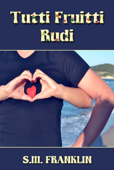# Tutti Fruitti Rudi



## **S.M. FRANKLIN**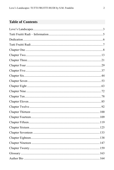#### **Table of Contents**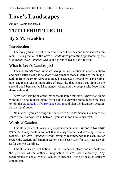## <span id="page-2-0"></span>**Love's Landscapes**

*An M/M Romance series*

## **TUTTI FRUITTI RUDI By S.M. Franklin**

#### **Introduction**

The story you are about to read celebrates love, sex and romance between men. It is a product of the *Love's Landscapes* promotion sponsored by the *Goodreads M/M Romance Group* and is published as a gift to you.

#### **What Is Love's Landscapes?**

The *Goodreads M/M Romance Group* invited members to choose a photo and pen a letter asking for a short M/M romance story inspired by the image; authors from the group were encouraged to select a letter and write an original tale. The result was an outpouring of creativity that shone a spotlight on the special bond between M/M romance writers and the people who love what these authors do.

A written description of the image that inspired this story is provided along with the original request letter. If you'd like to view the photo, please feel free to join the [Goodreads M/M Romance Group](http://www.goodreads.com/group/show/20149-m-m-romance) and visit the discussion section: *Love's Landscapes*.

No matter if you are a long-time devotee to M/M Romance, just new to the genre or fall somewhere in between, you are in for a delicious treat.

#### **Words of Caution**

This story may contain sexually explicit content and is **intended for adult readers.** It may contain content that is disagreeable or distressing to some readers. The *M/M Romance Group* strongly recommends that each reader review the General Information section before each story for story tags as well as for content warnings.

This story is a work of fiction. Names, characters, places and incidents are the products of the author's imagination or are used fictitiously. Any resemblance to actual events, locales, or persons, living or dead, is entirely coincidental.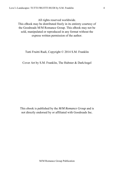All rights reserved worldwide.

This eBook may be distributed freely in its entirety courtesy of the Goodreads M/M Romance Group. This eBook may not be sold, manipulated or reproduced in any format without the express written permission of the author.

Tutti Fruitti Rudi, Copyright © 2014 S.M. Franklin

Cover Art by S.M. Franklin, The Hubster & DarkAngel

This ebook is published by the *M/M Romance Group* and is not directly endorsed by or affiliated with Goodreads Inc.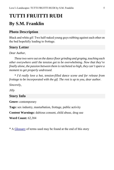## <span id="page-4-0"></span>**TUTTI FRUITTI RUDI**

### **By S.M. Franklin**

#### **Photo Description**

Black and white gif: Two half-naked young guys rubbing against each other on the bed hopefully leading to frottage.

#### **Story Letter**

#### *Dear Author*,

*These two were out on the dance floor grinding and groping, touching each other everywhere until the tension got to be overwhelming. Now that they're finally alone, the passion between them is ratcheted so high, they can't spare a moment to get properly undressed.* 

*\* I'd really love a hot, tension-filled dance scene and for release from frottage to be incorporated with the gif. The rest is up to you, dear author.* 

*Sincerely,*

*Jilly*

#### **Story Info**

**Genre:** contemporary

**Tags:** sex industry, masturbation, frottage, public activity

**Content Warnings:** dubious consent, child abuse, drug use

**Word Count:** 62,384

\* A [Glossary](#page-162-0) of terms used may be found at the end of this story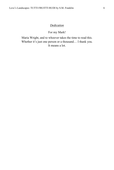#### *Dedication*

For my Mark!

<span id="page-5-0"></span>Maria Wright, and to whoever takes the time to read this. Whether it's just one person or a thousand... I thank you. It means a lot.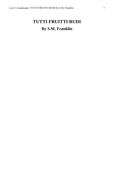## <span id="page-6-0"></span>**TUTTI FRUITTI RUDI By S.M. Franklin**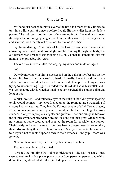#### **Chapter One**

<span id="page-7-0"></span>My hand just needed to move over to the left a tad more for my fingers to turn into a little pair of pincers before I could lift the wallet from the dude's pocket. The old guy stood in front of me attempting to flirt with a girl over three-quarters of his age younger than him. In other words, he was a geriatric and she was, well, barely out of school by the looks of her.

By the reddening of the back of his neck—that was about three inches above my face—and the almost slight tremble running through his body, the old bastard was probably experiencing his only boner in something like six months. No, probably six years.

The old dick moved a little, dislodging my index and middle fingers.

#### *Shit!*

Quickly moving with him, I sidestepped on the balls of my feet and bit my bottom lip. Normally this wasn't so hard. Normally, I was in and out like a fiddler's elbow. I could pick-pocket from the best of people, but tonight, I was trying to hit something bigger. I needed what this dude had in his wallet, and I was going home with it, whether I had to hover, perched like a budgie all night long or not.

Whilst I waited—and rolled my eyes at the bullshit the old guy was spewing to his would be mate—my eyes flicked up to the room at large wondering if anyone had noticed me. They hadn't. Various people of all different shapes, sizes, colours and races were planted throughout the hall. Tinkling of glasses sounded, along with people's laughter and guffaws—rich and arrogant. More of the chinless wonders meandered around, seeking out their prey. Old men with no women at home scoured and scouted the room for possible take-homes. Their beady, old eyes flickered from one barely dressed woman to another, their orbs grabbing their fill of boobs or arses. My eyes, no matter how much I told myself not to look, flipped down to their crotches—and yup—there was growth.

None of them, not one, batted an eyelash in my direction.

That was exactly what I wanted.

It wasn't the first time that I'd been nicknamed "The Cat" because I just seemed to slink inside a place, purr my way from person to person, and whilst doing that, I grabbed what I liked, including a man on occasion.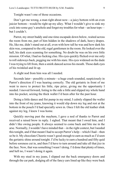Tonight wasn't one of those occasions.

Don't get me wrong, a man right about now—a juicy bottom with an even juicier bottom—would be right up my alley. What I wouldn't give to sink my cock into some guy's arsehole and forget my troubles for what—an hour tops but I couldn't.

Parrot, my street buddy and one-time escapade down below, waited across the room from me, part of him hidden in the shadows of dark, heavy drapes. He, like me, didn't stand out at all, even with how tall he was and how dark his skin was, compared to the old, regal gentlemen in the room. He looked over the hall, his dark eyes scanning for something. No doubt he was on his own little mission. Of what, I had no fucking clue. His eyes quickly flicked over me only to roll sideways back, pegging me with his stare. His eyes widened on the dude I was trying to lift from, then a smirk danced across his mouth. Those dark eyes of his twinkled and lit up.

A slight nod from him was all I needed.

Seconds later—possibly a minute—a huge crash sounded, suspiciously in Parrot's direction if I was hearing correctly. The old geriatric in front of me went to move to protect his little, ripe prize, giving me the opportunity I needed. I moved forward, listing to the side a little and slipped my whole hand into his pocket, seizing the thick wallet I'd been after for the past hour.

Doing a little dance and fist pump in my mind, I calmly slipped the wallet into the front of my jeans, knowing it would slip down my leg and rest at the bottom in the pouch I'd had specially sewn in. Once I felt the old leather slink against my leg, I knew I was home.

Quickly moving past the mayhem, I gave a nod of thanks to Parrot and received a raised brow in reply. I sighed. That meant that I owed him, and I didn't like owing people. It always seemed to come back and bite me in the arse. Normally, I wouldn't have minded that—in the right context, but I needed this tonight, and if that meant I had to accept Parrot's help—which I had—then so be it. My chocolate Cheerio wasn't good enough to earn as much as I'd seen the geriatric shine around tonight. I'd be lucky to earn a hundred and fifty quid before soreness cut in, and then I'd have to turn around and take all that jizz in the face. Now, that was something I wasn't doing. I'd done that plenty of times, and hell no, I wasn't doing it again.

With my steal in my jeans, I slipped out the back emergency doors and through the car park, dodging all of the fancy cars lined up like they were back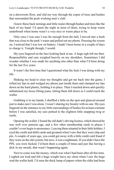on a showroom floor, and slid my way through the copse of trees and bushes that surrounded the posh working men's club.

I knew these back turnings and little routes through bushes and trees like the back of my hand. I'd spent the night in most of them, trying to keep warm underbrush when home wasn't a very nice or warm place to be.

Only once I was sure I was far enough from the hall, I moved into a bush that was close to the park's water and pulled out my phone. Pressing the screen on, I noticed that I was low on battery. I hadn't been home in a couple of days to charge it. Tonight though, I would.

My eyes lingered on the face looking back at me. A huge sigh left me then. Responsibility and care weighed heavily on my shoulders. Sometimes I did wonder whether I was made for anything else other than what I'd been doing for the last five years.

It wasn't the first time that I questioned what the fuck I was doing with my life.

Shaking my head to clear my thoughts and get me back into the game, I rolled my lips in and wedged my phone just inside them and clamped my lips down on the hard plastic, holding it in place. Then I reached down and quickly unbuttoned my loose-fitting jeans, letting them fall down so I could reach the wallet.

Grabbing it in my hands, I shuffled a little on the spot and glanced around just to make sure I was alone. I wasn't sharing my bounty with no one. My eyes lingered on the entrance to my little surroundings of bushes for at least a minute before I was satisfied, my ears perked to the slightest little snapping twig or rustle.

Opening the wallet, I found the old dude's driving licence, which showed he was well over pension age, and a few other membership cards to places I couldn't even begin to pronounce. Leaving them situated in their little holders, I eyed the credit and debit cards and groaned when I saw that they were chip and pin. A couple of years ago, you could get away with a little credit card fraud if they were on the old system, but now, it was a nightmare. If you didn't have the PIN, you were fucked. I'd been there a couple of times and just like having a dick in my mouth, that wasn't happening again.

Next to come was the money, which was what I had been after all this time. I sighed out loud and felt a huge weight leave my chest when I saw the huge wad the wallet held. I'd seen the thick lump of papers when the oldie had been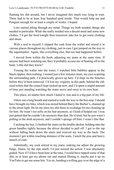flashing his shit around, but I never imagined this much was lying in wait. There had to be at least four hundred quid inside. That would help me and Penguin enough for at least a couple of weeks. I hoped.

Lists started piling through my mind. Things we both needed, things she needed in particular. What she really needed was a decent meal and some new clothes. I'd get the food tonight then tomorrow take her to get some clothing and shoes.

With a nod to myself, I slipped the cash from the wallet and stored it in various places throughout my clothing, just in case I got jumped on the way to the supermarket. Again, like everything else, that too had happened before.

I moved from within the bush, adjusting my jeans at the same time. If anyone had been watching me, they'd probably accuse me of beating off in the bush. Little did they know?

Tossing the wallet into the water, I watched little bubbles appear in the black ripples, then nothing. I waited just a few minutes more, my eyes scanning the surrounding park. I'd practically grown up here. I'd slept on the benches before they'd been removed. I'd lost my virginity in this park, behind the old, used toilets that the council kept locked up now, and I'd spent a stupid amount of time just standing watching the water move and sway to its own beat.

This place, no matter how much I hated it, was and is a big part of my life.

I blew out a long breath and started to walk the way to the bus stop. I should have brought my bike, which was stored behind Barry the Barber's, chained up to the street light. He let me store my shit there in exchange for me cleaning up for him. He wasn't too nifty on his feet anymore, so I kind of helped out. I was just gutted that he couldn't do anymore than that. He'd tried, but he just wasn't pulling in the dosh anymore, and I couldn't sponge off him. I wasn't like that.

Catching the bus, I climbed the stairs on the double-decker, holding onto the green handles tightly because the driver decided to pull off. I got to the top without falling back down the stairs and weaved my way to the back. The moment I got within touching distance of the seats, I smelt the piss and heavy stench of cum.

Admittedly, my cock stirred in my jeans, making me adjust the growing bulge. Damn, by the ripe smell, I'd just missed the action. I was absolutely gutted. Now if I'd have been here at the time, I would have tapped some of that shit, or at least got my phone out and started filming it, maybe put it up on YouTube to get me some hits. Yes sir, bending a willing guy over the edge of a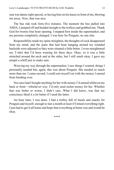seat was damn-right special, or having him on his knees in front of me, blowing me away. Now, that was nice.

The bus ride took forty-five minutes. The moment the bus pulled into ASDA, I jumped off and headed straight to the trolleys and grabbed one. Thank God for twenty-four hour opening. I stepped foot inside the supermarket, and my persona completely changed. I was here for Penguin, no one else.

Responsibility made my spine straighten, the thoughts of cock disappeared from my mind, and the jeans that had been hanging around my rounded backside were adjusted so they were situated a little better. I even straightened my T-shirt that I'd been wearing for three days. Okay, so it was a little stretched around the neck and at the sides, but I still smelt okay. I gave my armpit a whiff just to make sure.

Weaving my way through the supermarket, I saw things I wanted, things I personally needed but, again, this was about Penguin. She needed so much more than me. I came second. I could sort myself out with the money I earned from bending over.

Not once had I bought anything for her with money I'd earned whilst on my back or front—whichever way. I'd only used stolen money for her. Whether that was better or worse, I didn't care. What I did know, was that my conscience liked it a lot better if I used the latter.

An hour later, I was done. I had a trolley full of meals and snacks for Penguin and myself, enough to last a month at least if I timed everything right. I just had to get it all home and hope that everything at home was and would be okay.

\*\*\*\*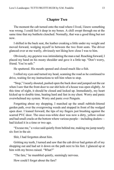#### **Chapter Two**

<span id="page-12-0"></span>The moment the cab turned onto the road where I lived, I knew something was wrong. I could feel it deep in my bones. A chill swept through me at the same time that my butthole clenched. Normally, that was a good thing but not now.

I shifted in the back seat, the leather creaking a little under my weight and moved forward, wedging myself in between the two front seats. The driver glanced over at me warily, obviously not liking how close I was to him.

Obviously, my *gayness* was intimidating the man a tad. Reaching forward, I placed my hand on his meaty shoulder and gave it a little tap. "Don't worry, friend. You're safe."

He sputtered. His mouth opened and closed much like a fish.

I rolled my eyes and turned my head, scanning the road as he continued to drive, waiting for my instructions to tell him when to stop.

"Stop," I nearly shouted, pushed open the back door and jumped out the car when I saw that the front door to our shit hole of a house was open slightly. At this time of night, it should be closed and locked up. Immediately, my heart kicked up to double time, beating hard and fast in my chest. Worry and panic overwhelmed my system. Worry and panic over Penguin.

Forgetting about my shopping, I marched up the small rubbish-littered garden path, over the overgrowing weeds and stopped in front of the wedged open door. I leaned forward, the tips of my fingers just brushing against the scarred PVC door. The once-was-white door was now a dirty, yellow colour and had small cracks at the bottom where various people—including dealers had kicked it in a time or two ago.

"Excuse me," a voice said quietly from behind me, making me jump nearly six foot in the air.

Shit, I had forgotten about him.

Gritting my teeth, I turned and saw that the cab driver had gotten all of my shopping out and had set it down on the path next to his feet. I glanced up at him with my brows raised. "What?"

"The fare," he mumbled quietly, seemingly nervous.

How could I forget about the fare?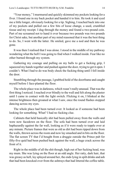"Your money," I murmured and quickly skimmed my pockets looking for a fiver. I found one in my back pocket and handed it to him. He took it and eyed me a little longer, obviously looking for a tip. Sighing, I reached back into one of my pockets and pulled out a few bits of loose change, a used, crumbled tissue and my receipt. I dug through the money and found a two-pound coin. Part of me screamed not to hand it over because two pounds was two pounds for Christ sake, but another part of my mind reasoned that it was the best thing to do. So, I went with the latter. He smiled, gave me a nod and then he was gone.

It was then I realised that I was alone. I stood in the middle of my pathway wondering what the hell I was going to find when I walked inside. Fear like no other burned through my system.

Gathering my courage and pulling on my balls to get a fucking grip, I squeezed my hands together and pushed against the door, trying to get it open. I couldn't. What I had to do was body check the fucking thing until I fell inside the door.

Stumbling through the passage, I grabbed hold of the doorframe and caught myself before I face-planted the floor.

The whole place was in darkness, which wasn't really unusual. That was the first thing I noticed. I reached over blindly to the wall and felt along the plaster until I came in contact with the light switch. Flicking it on, I blinked at the intense brightness then groaned at what I saw, once the round flashes stopped dancing across my eyes.

The whole place had been turned over. It looked as if someone had been looking for something. What? I had no fucking clue.

Cabinets that held basically shit had been pulled away from the walls and were now facedown on the floor. The sofa had been turned over and laid haphazardly against the far wall, looking as if it were ready to topple over at any minute. Picture frames that were as old as dirt had been ripped down from the walls, thrown across the room and now lay smashed and in bits on the floor. The flat screen TV that I'd bought from a druggie outside the Prince pub for fifty-five quid had been pushed back against the wall, a huge crack across the front of it.

Right in the middle of all the shit though, high out of her fucking head, was my mum. She was lying on the floor at an odd angle. Her ratty, dark hair, that was greasy as hell, lay splayed around her, the ends lying in spilt drinks and ash that had been knocked over from the ashtrays that had littered the coffee table.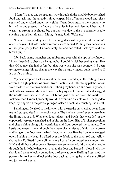"Mum," I called and stepped my way through all the shit. My boots crushed food and ash into the already ruined carpet. Bits of broken wood and glass squished and cracked under my weight. I bent down next to the woman who birthed me and pressed my fingers to the pulse in her neck, feeling it beating. It wasn't as strong as it should be, but that was due to the hypodermic needle sticking out of her left arm. "Mum, it's me, Rudi. Wake up."

No matter how hard I jostled her or nudged her with my hand, she wouldn't open her eyes. That told me how recently she'd scored. Pulling back her eyelids on her pale, pasty face, I immediately noticed her rolled-back eyes and the blown pupils.

I fell back on my haunches and rubbed my eyes with the tips of my fingers. I knew I needed to check on Penguin, but I couldn't risk her seeing Mum like this. Of course, she had before but that was when she was younger. I'd been trying to change things, change the way she was growing up, but it looked as if it wasn't working.

My head dropped back on my shoulders as I stared up at the ceiling. It was covered in light patches of brown from nicotine and little sticky patches of oil from the kitchen that was next door. Rubbing my hands up and down my face, I looked back down at Mum and heaved a big sigh as I reached out and snagged the needle from her arm. A trail of blood just dribbled from the mark. If I looked closer, I knew I probably wouldn't even find a viable vein. I managed to keep my fingers on the plastic plunger instead of actually touching the metal.

Standing up, I walked to the kitchen with the needle outstretched away from me and stopped dead in my tracks, again. The kitchen looked even worse than the living room did. Whatever food, plates, and bowls that were left in the cupboards were now smashed and in bits on the floor. Bits of broken porcelain and cheap china along with cornflakes and flour covered the counters. The kettle and toaster—even though they were plastic pieces of shit—were broke and lying on the floor near the back door, which was like the front one, wedged open. Shaking my head, I walked over the debris to the small red and yellow sharps bin I'd lifted from a clinic where I usually got tested every month for HIV and all those other pesky diseases everyone carried. I dropped the needle through the little hole then went over to the door and banged it closed with my shoulder. I went to lock it but noticed the key was gone. Huffing, I searched my pockets for my keys and locked the door back up, giving the handle an uplifted tug just to make sure.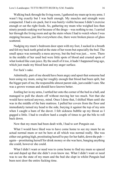Walking back through the living room, I gathered my mum up in my arms. I wasn't big exactly but I was built enough. My muscles and strength were compacted. I had a six-pack, but it was barely visible because I didn't exercise enough or eat the right foods. So, gathering my mum who weighed less than ninety pounds soaking wet because of the drugs—was nothing to me. I carried her through the living room and up the stairs where I had to watch where I was stepping because, just like everywhere else, there were broken pieces of glass scattered.

Nudging my mum's bedroom door open with my foot, I sucked in a breath and felt my back teeth grind at the state of her room but especially the bed. The small space was normally a mess anyway, but the bed was just… wow. There in the middle of her used bed were little spots of blood and crusted spots of what looked like cum juice. By the smell of it too, it hadn't happened long ago, which just made my blood heat and my anger surface.

For fuck's sake.

Admittedly, part of me should have been angry and upset that someone had been using my mum, using her roughly enough that blood had been spilt, but the bigger part of me, the responsible almost parent side, just couldn't care. She was a grown woman and should have known better.

Jostling her in my arms, I settled her onto the corner of the bed in a ball, and managed to pull the sheets off without moving her too much. Not that she would have noticed anyway, mind. Once I done that, I shifted Mum until she was in the middle of the bare mattress. I pulled her covers from the floor and immediately turned my head to the side, burying it against the top of my arm when I caught a hum of the duvet. I felt sickness bubble up my throat as I gagged a little. I had to swallow hard a couple of times to get the bile to roll back down.

Now that my mum had been dealt with, I had to sort Penguin out.

What I would have liked was to have come home to see my mum be an actual normal mum or not be here at all which was normal really. She was either out getting high, prostituting herself to pay for her habit, down the pub again—prostituting herself for drink money or she was here, banging anything she could, however she could.

What I didn't want or need was to come home to find my mum so spaced out and doped up that she didn't even know me. What I didn't want or need was to see the state of my mum and the bed she slept in whilst Penguin had been next door the entire fucking time.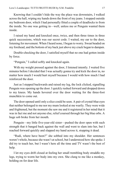Knowing that I couldn't hide the way the place was downstairs, I walked across the hall, wiping my hands down the front of my jeans. I stopped outside my bedroom door, which I had personally fitted a couple of deadlocks to from the inside. No one was getting in—well, unless me or Penguin wanted them inside.

I raised my hand and knocked once, twice, and then three times in three quick successions, which was our secret code. I waited, my ear to the door, listening for movement. When I heard none, I began to worry. Sweat beaded on my forehead, and the bottom of my back just above my crack began to dampen.

Double-checking the door, I satisfied myself that no one had gotten inside by force.

"Penguin," I called softly and knocked again.

With my weight pressed against the door, I listened intently. I waited five minutes before I decided that I was actually gonna try and kick the door in, no matter how much I would hurt myself because I would with how much I had reinforced the door.

Just as I stepped backwards and raised my leg, the lock clicked, signalling Penguin was opening up the door. I quickly rushed forward and dropped down to my knees. My hands hovered over the door waiting for the three-foot munchkin to come out.

The door opened until only a slice could be seen. A pair of crystal-blue eyes that neither belonged to me nor my mum looked at me warily. They were wide and frightened, but the moment she saw me and it registered in her mind that it was in fact me and not anyone else, relief coursed through her big blue orbs. A huge sob broke from her mouth.

Penguin—my little five-year-old sister—pushed the door open with such strength that it banged back against the wall and went to slam into her, but I reached forward quickly and slapped my hand across it, stopping it dead.

"Rudi, where have been?" she sobbed into my shoulder. Her sentences weren't whole, because she wasn't at school, but I understood how she spoke. I did try to teach her, but I wasn't here all the time and TV wasn't the best of help.

I let my eyes drift closed at feeling her small trembling body straddle my legs, trying to worm her body into my own. She clung to me like a monkey, holding on for dear life.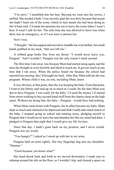"I'm sorry." I mumbled into her hair. Burying my nose into her crown, I sniffed. She needed a bath. I was secretly glad she was dirty because that meant she hadn't been out of the room, which in turn meant she had been doing as she'd been told. I'd made her promise me not to leave the room when I wasn't here. It wasn't safe for her. The only time she was allowed to leave was when there was an emergency, or if I was here to protect her.

Now I was.

"I thought," she hiccupped and moved to straddle me even further, her small hands grabbed at my neck, "that you left me."

A sobbed gasp broke free from my throat. "I would never leave you, Penguin." And I wouldn't. Penguin was the only reason I stuck around.

The first time I ran away was because Mum had started using again, and the men she brought in were horrible and liked to touch me. It got too much at one time that I ran away. When the police found me because the school had reported me missing, they'd brought me back. After that, Mum told me she was pregnant. Whose child it was, no one, including Mum, knew.

It was obvious, at that point, that she was keeping the baby. From that point, I went to the library and read up on as much as I could. By the time Mum was due to have Penguin, I was ready for the baby. I'd used the money I'd earned from street-walking to buy second-hand stuff from the charity shop on the high street. Without me doing that, the baby—Penguin—would have had nothing.

When Mum came home with Penguin, she in effect became my baby. Mum slept so much and claimed to be depressed and didn't really take much notice of the baby. I stopped going to school and running away, pledging myself to Penguin that I would never leave her and abandon her like my mum had done. I pledged to Penguin that night that I would give my life for hers.

Since that day, I hadn't gone back on my promise, and I never would. Penguin was my world.

"You hungry?" I asked as I stood up with her in my arms.

Penguin held on more tightly. Her tiny fingertips dug into my shoulders. "Hmmm."

"Good because you know what?"

Her head shook back and forth as we moved downstairs. I made sure to sidestep around the shit on the floor, so I wouldn't trip, and cleared a space on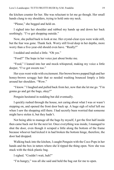the kitchen counter for her. She was reluctant to let me go though. Her small hands clung to my shoulders, trying to hold onto my neck.

"Please," she begged and held on.

I sighed into her shoulder and rubbed my hands up and down her back soothingly. "I've got shopping outside."

Now, she pulled back to look at me. Her crystal-clear eyes were wide still, but the fear was gone. Thank fuck. Worry still lived deep in her depths, more worry than a five-year-old should even have. "Really?"

I nodded and smiled a little. "Oh yes."

"Food?" The hope in her voice just about broke me.

"Food," I leaned into her and mock-whispered, making my voice a little deeper, "I've got sweets too."

Her eyes went wide with excitement. Her brown brows popped high and her honey-brown scraggy hair that so needed washing bounced limply a little around her shoulders. "Wow."

"I know." I laughed and pulled back from her, now that she let me go. "I'm gonna go and get the bags, okay?"

Penguin hesitated in nodding but did eventually.

I quickly rushed through the house, not caring about what I was or wasn't stepping on, and opened the front door back up. A huge sigh of relief left me when I saw the shopping still there. I had secretly been worried that someone might have stolen it, but they hadn't.

Not being able to manage all the bags by myself, I got the first half inside then came back out for the next lot. Once everything was inside, I managed to shut the door, even though it scraped a little along the bottom of the frame because whoever had kicked it in had broken the bottom hinge, therefore, the door had dropped.

Walking back into the kitchen, I caught Penguin with the Coco Pops in her hands and the box in tatters where she'd ripped the thing open. Now she was stuck with the thick plastic bag.

I sighed. "Couldn't wait, huh?"

"I'm hungry," was all she said and held the bag out for me to open.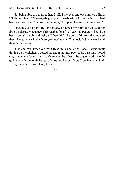Not being able to say no to her, I rolled my eyes and even smiled a little. "Grab me a bowl." She eagerly got up and nearly tripped over the bin that had been knocked over. "On second thought," I stopped her and got one myself.

Penguin wasn't very big for her age. I blamed my mum for that and her drug use during pregnancy. I'd read that for a five-year-old, Penguin should've been a certain height and weight. When I did take both of those and compared them, Penguin was in the three-year age bracket. That included her speech and thought processes.

Once she was sorted out with fresh milk and Coco Pops, I went about tidying up the kitchen. I sorted the shopping into two loads. One load would stay down here for my mum to share, and the other—the bigger load—would go in my bedroom with the rest of mine and Penguin's stuff, so that when I left again, she would have plenty to eat.

\*\*\*\*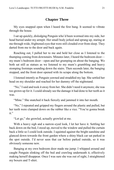#### **Chapter Three**

<span id="page-20-0"></span>My eyes snapped open when I heard the first bang. It seemed to vibrate through the house.

I sat up quickly, dislodging Penguin who'd been wormed into my side, her head buried under my armpit. Her small body jerked and sprang up, staring at me through wide, frightened eyes that were still clouded over from sleep. They darted from me to the door and back again.

Reaching out, I pulled her to me and held her close as I listened to the thumping coming from downstairs. Minutes later, I heard the bedroom door my mum's bedroom door—open and her grumping on about the banging. We both sat still as statues as we listened to my mum's grumbling and heavy stomping footsteps sounding down the stairs. Then seconds later, the banging stopped, and the front door opened with its scrape along the bottom.

I listened intently as Penguin yawned and straddled my lap. She settled her head on my shoulder and reached for her dummy off the nightstand.

"No," I said and took it away from her. She didn't need it anymore; she was too grown up for it. I could already see the damage it had done to her teeth as it was.

"Mine." She snatched it back fiercely and jammed it into her mouth.

"No," I repeated and gripped my fingers around the plastic and pulled, but her teeth were clamped down on the rubber like a vice. "You're gonna break it."

"Let go," she growled, actually growled at me.

With a heavy sigh and a narrow-eyed look, I let her have it. Settling her back down on the bed, I stood up, moved to the window and pulled the curtain back a little so I could look outside. I squinted against the bright sunshine and glanced down towards the front garden where a shiny black car sat parked in the spot outside. I'd never seen that car before parked outside, so it was obviously someone new.

Banging at my own bedroom door made me jump. I whipped around and caught Penguin slinking off the bed and crawling underneath it, effectively making herself disappear. Once I was sure she was out of sight, I straightened my boxers and T-shirt.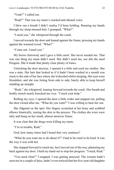"Yeah?" I called out.

"Rudi?" That was my mum's cracked and abused voice.

I blew out a breath I didn't realise I'd been holding. Running my hands through my sleep-mussed hair, I grumped, "What?"

"I need you," she whispered through the crack.

I moved towards the door and leaned against the frame, pressing my hands against the warmed wood. "What?"

"Come out. I need you."

My brows furrowed, and I gave a little snort. She never needed me. That was one thing my mum didn't need. She didn't need me, nor did she need Penguin. She'd made that plenty clear plenty of times.

Unlocking the door anyway, I opened it a little and eyed my mother. She was a state. Her hair that looked as if it hadn't been washed in a month was stuck to the side of her face where she'd drooled whilst sleeping. Her eyes were bloodshot, and she was listing from side to side, barely able to keep herself standing up straight.

"Rudi," she whispered, leaning forward towards the crack. Her breath and bodily stench nearly knocked me over. "I need your help."

Rolling my eyes, I opened the door a little wider and stepped out, pulling the door closed after me. "What do you want?" I was willing to hear her out.

She fidgeted on the spot. Her fingers scratched at her bony and scabbed elbows frantically, tearing the skin in the process. The clothes she wore were tatty and hung on her small, almost anorexic frame.

It was clear that the drugs were killing my mum.

"I'm in trouble, Rudi."

God, how many times had I heard that very sentence?

"What do you want me to do about it?" I had to be cruel to be kind. It was the way it was with her.

She stepped forward to touch me, but I moved out of the way, plastering my back against my door. I held my hand out to stop her progress. "I need, Rudi."

"You need what?" I snapped. I was getting annoyed. The woman hadn't seen me in a couple of days, hadn't even noticed that her five-year-old daughter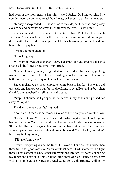had been in the room next to her whilst she'd fucked God knows who. She couldn't even be bothered to ask how I was, or Penguin was for that matter.

"Money," she pleaded. Her head tilted to the side, her bloodshot and glassy eyes wide and begging. She was truly all over the gaff. "I owe him."

My head was already shaking back and forth. "No." I'd helped her enough as it was. Countless times over the past five years and more, I'd laid myself down with plenty of dealers in payment for her borrowing too much and not being able to pay her debts.

I wasn't doing it anymore.

No fucking way.

My mum moved quicker than I gave her credit for and grabbed me in a strangle-hold. "I need you to pay him, Rudi."

"I haven't got any money," I grunted as I knocked her backwards, yanking my arms out of her hold. She went sailing into the door and fell into the bathroom doorway, landing on her back with an *oomph.* 

Shock registered as she attempted to climb back to her feet. She was a tad unsteady and had to reach out for the doorframe to actually stand up but when she did, she launched herself at me, nails bared.

"Stop!" I shouted as I gripped her forearms in my hands and pushed her away. "Stop it."

The damn woman was fucking mad.

"You dare hit me," she screamed as much as her croaky voice would allow.

"I didn't hit you," I shouted back and pushed against her, knocking her backwards again. With my strength and her weakened state, she was no match. She tumbled backwards again, but this time her back hit the doorframe, and she let out a pained wail as she slithered down the wood. "And I told you, I don't have any fucking money."

"I'll take Anna away."

I froze. Everything inside me froze. I blinked at her once then twice then three times for good measure. "You wouldn't dare," I whispered with a tight throat. Fear as tight as a boa constrictor whipped through my body, squeezing my lungs and heart in a hold so tight, little spots of black danced across my vision. I stumbled backwards and reached out for the doorframe, settling my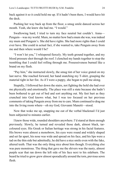back against it so it could hold me up. If it hadn't been there, I would have hit the deck.

Pushing her way back up from the floor, a smug smile danced across her mouth. Yeah, she knew she had me. "I would."

Swallowing hard, I tried to turn my face neutral but couldn't. Anna— Penguin—was my world. Mum, no matter how bad a mum she was, was indeed my mum and Penguin's. She did have rights. She had more rights than I could ever have. She could in actual fact, if she wanted to, take Penguin away from me and then where would I be?

"I won't let you," I whispered fiercely. My teeth ground together, and my blood pressure shot through the roof. I clenched my hands together to stop the trembling that I could feel rolling through me. Possessiveness burned like a brand on my flesh.

"Pay him," she instructed slowly, the smug tint of her voice grated on my last nerve. She reached forward, her hand snatching my T-shirt, grasping the material tight in her fist. As if I were a puppy, she began to pull me along.

Stupidly, I followed her down the stairs, not fighting the hold she had over me physically and emotionally. The place was still a state because she hadn't been bothered to get out of bed and sort anything out. My feet hurt as they crunched into God knows what, but I was too focused on her previous comments of taking Penguin away from me to care. Mum continued to drag me into the living room where—oh my God, Giovanni Manetti—stood.

Now that woke me up, snapping me out of the verbal blackmail I'd just been subjected to minutes earlier.

I knew those wide, rounded shoulders anywhere. I'd stared at them enough previously. Slowly, he turned and revealed those dark, almost black, tarcoloured eyes. His Greek or Italian heritage was strong in his facial features. His brows were almost a monobrow, his eyes were round and widely shaped and set far apart, his nose was wide and spread on his face, and his lips were a tad on the thin side but admittedly, he did have a nice smile even with the fake, altered teeth. That was the only thing nice about him though. Everything else was pure monstrous. The thing that gave me the shivers was the nasty, almost purple scar that ran down the left side of his face next to his sideburn. The beard he tried to grow grew almost sporadically around the torn, previous sewn flesh.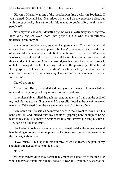Giovanni Manetti was one of the most known drug dealers in Southend. If you wanted, Giovanni had. His prices were a tad on the expensive side, but with the superiority that came with his name, he could afford to rip a few people off.

Not only was Giovanni Manetti a pig, he was an extremely nasty pig who liked dirty pig sex even more—not giving a shit who the unfortunate underneath him may be.

Many times over the years, my mum had gotten tick off another dealer and screwed them over in not paying her bills. They'd come round, kick the shit out of her and take whatever they could find in our home to pay the dues. When she was sober enough, she'd realise that she'd fucked her normal go-to guy, and then she'd go to Giovanni. Giovanni would give her twice the amount of smack on tick knowing she couldn't pay any of it back. But personally, I think he did it on purpose. He knew that if she didn't pay him back by a certain day, he could come round here, throw his weight around and demand repayment in the form of me.

I hated that man.

"Tutti Fruitti Rudi," he smiled and even gave me a wink as his eyes drifted up and down my body, settling on my cloth-covered crotch.

A revolted shiver rolled through me, sending the small hairs on the back of my neck flaring up, standing on end. My eyes slid closed at the use of my street name that I'd earned from the very man who stood in front of me.

"Ah, come on," he said as he moved closer to me. I went to move, but his hand shot out and latched onto my shoulder, gripping hard enough to bring tears to my eyes. His meaty fingers were like mini knives piercing my flesh. "Eh, don't be like that, Rudi."

I looked up into those tar-coloured eyes and realised that the longer he stood here holding onto me, the more power he had over me. It was better to nip it in the bud right about now.

"How much?" I managed to get out through gritted teeth. The pain in my shoulder threatened to take my legs out.

"Five."

My eyes went wide as they darted to my mum who stood off to the side. Her whole body was trembling, but, no, not out of fear of Giovanni. No, she was no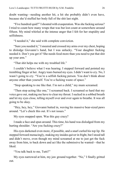doubt wanting—needing another hit, a hit she probably didn't even have, because she'd stuffed her body full of the shit last night.

"Five hundred quid?" I shouted with exasperation. Was she fucking serious? I tried to count how many wraps that was but lost count at somewhere around fifteen. My mind whirled at the intense anger that I felt for her stupidity and selfishness.

"I needed it," she said with complete conviction.

"Sure you needed it," I sneered and crossed my arms over my chest, hoping to dislodge Giovanni's hand, but I was unlucky. "Your daughter fucking needed it. Don't you get it? She needs food more than you need to put that shit up your arm."

"That shit helps me with my troubled life."

I couldn't believe what I was hearing. I stepped forward and pointed my trembling finger at her. Angry tears burned my eyes. I didn't want to cry. No, I wasn't going to cry. "You're a selfish fucking person. You don't think about anyone other than yourself. You're a fucking waste of space."

"Stop speaking to me like that. I'm not a child," my mum screamed.

"Then stop acting like one," I screamed back. I screamed so hard that my voice gave out, making me have to clear my throat. I sucked in a sobbed breath and let my eyes close, telling myself over and over again to breathe. It was all going to be okay.

"Hey, hey, hey," Giovanni butted in, waving his massive bear-sized paws around. "Let's check this out. It's not issues."

My eyes snapped open. Was this guy crazy?

I made a face and spun around. This time, his hand was dislodged from my hurting shoulder. "Are you fucking crazy?"

His eyes darkened even more, if possible, and a snarl curled his top lip. He stepped forward menacingly, making my insides quiver in fright, but I stood tall and didn't move, even though my mind screamed at me to just get the fuck away from him, to back down and act like the submissive he wanted—that he **liked** 

"You talk back to me, Tutti?"

My eyes narrowed at him, my jaw ground together. "No," I finally gritted out.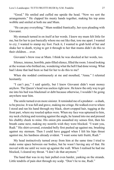"Good." He smiled and cuffed me upside the head. "Now we sort the arrangements." He clapped his meaty hands together, making his top arms wobble and smiled at both me and Mum.

"He can pay everything." Mum nodded frantically, her eyes pleading with Giovanni.

My stomach turned in on itself at her words. I knew my mum felt little for me, but for her to just basically whore me out like that, tore me apart. I wanted to cry; I wanted to stamp my foot. Fuck it, I wanted to grab hold of her and shake her to death, trying to get it through to her that mums didn't do this to their children… ever.

Giovanni's brow rose at Mum. I think he was shocked at her words, too.

Silence, intense, horrible, pain-filled silence, filled the room. I stood looking at the woman who birthed me, wondering what the hell I had done wrong. What had I done that had been so bad for her to do this to me?

When she nodded continuously at me and mouthed, "Anna." I relented hesitantly.

"I can't pay," I said quietly, but I knew Giovanni didn't want money anyhow. The Queen's head was useless right now. He knew the only way to get me into his bed was blackmail or debt because otherwise, I wouldn't be going anywhere near him.

The smile turned even more sinister. It reminded me of a predator—a shark, to be precise. It was full and grave, making me cringe. He walked over to where I stood and ran his hand through my black, short-cropped hair, tugging at the front part, where my tousled spikes were. When my face was upturned to him, my neck clicking and resisting against the angle, he leaned into me and pressed his chubby cheek to mine. His onion pits assaulted my senses first, then his breath came next, making my nostrils wish they were blocked. "I want you, Rudi." His shirt-covered, extended belly first pushed up against me, brushing against my sternum. Then I could have gagged when I felt his hips thrust against me, his hardness already evident. "I want some tutti fruitti, Rudi."

My head instinctively turned away from him at the same time I tried to make some space between our bodies, but he wasn't having any of that. He moved with me until we were up against the wall. When I realised he had me blocked, I cleared my throat. "I don't do that anymore."

The hand that was in my hair pulled even harder, yanking on the strands. Little tendrils of pain shot through my scalp. "Don't lie to me, Rudi."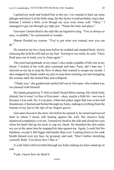I gritted my teeth and looked him in the eye. I so wanted to hack up some phlegm and shoot it at his bully mug, but the fucker would probably enjoy that. Instead, I smiled a little, even though my eyes were stone cold. "Okay," I managed to get out through my tight jaw. "Name the time and place."

Giovanni's head tilted to the side like an inquisitive dog. "You're always so easy, so pliable," he commented in wonder.

Shame flooded my system. "You've got what you wanted; now you can go."

He stared at me for a long time before he nodded and stepped back, slowly releasing the hold he still had on my hair. Turning to my mum, he said, "Once Rudi pays me in kind, you're clean again."

The relief and gratitude on my mum's face made a puddle of bile rise in my throat. I looked at her with utter contempt and hate. Fuck, did I hate her. I chewed on my lip to stop the flow of abuse that wanted to escape my mouth. I also snapped my hands under my pits to stop from reaching out and strangling the woman until she turned blue and collapsed.

"Thank you," she gushed and smiled full out at Giovanni, who looked way too pleased with himself.

My hands grasped my T-shirt so hard I heard fabric tearing. My whole body jittered, but it wasn't in fear of Giovanni—okay, maybe a little bit—nor was it because I was cold. No, it was pure, white-hot-poker anger that was so hot and thunderous; it burned and bolted through my body, making everything from the bottom of my feet to the tips of my fingers quiver.

Giovanni moved to the door, but before he opened it, he turned and moved back to where I stood, still leaning against the wall. His massive body shadowed completely over me. I turned my head to the side and closed my eyes when his hand slid up my neck to cup my cheek. He thumbed the skin under my eye at the same time he snapped his hips against me. Again, I could feel his hardness, except it felt bigger and harder than ever. Leaning down so his rank breath fanned over my face, he groaned, and said, "Don't bother stretching yourself, Rudi. You know how I like it."

A cold, bitter chill travelled through my body making my hairs stand up on end.

Yeah, I knew how he liked it.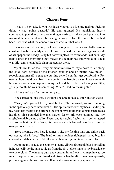#### **Chapter Four**

<span id="page-28-0"></span>"That's it, boy, take it, you worthless whore, you fucking fuckrat, fucking tight, twisted, twink bastard," Giovanni grunted. His punishing thrusts continued to pound into me, unrelenting, uncaring. His thick cock pounded into my small hole without any lube easing the way. In fact, the only lube that had been used was what the condom was coated in. That was it.

I was sore as hell, and my back teeth along with my cock and balls were in constant, terrible pain. My cock felt raw like it had been scraped against a wall of sandpaper, the head pulsing but not with pleasure, with tendrils of pain. My balls pained me every time they moved inside their bag and what didn't help was Giovanni's own balls slapping against them.

My elbows killed too. Every momentum forward, my elbows rolled along the cold, hard surface of the kitchen counter and no matter how much I repositioned myself to ease the burning ache, I couldn't get comfortable. For over an hour, he'd been back there behind me, banging away. I was sure with how much sweat was dripping on my back and the expletives leaving his filthy, grubby mouth, he was on something. What? I had no fucking clue.

All I wanted was for him to hurry up.

If he carried on like this, I wouldn't be able to take a shit right for weeks.

"Yes, you're gonna take my load, fuckwit," he bellowed, his voice echoing in the spaciously decorated kitchen. His spittle flew over my back, landing on my neck. His meaty hand gripped the top of my shoulder holding me in place as his thick hips pounded into me, harder, faster. His cock jammed into my arsehole with bruising quality. Faster and faster, his flabby, hairy belly slapped against the bottom of my back, his huge hairy balls banged heavily against my own pinioned ones.

"Here it comes, boy, here it comes. Take my fucking load and shit it back out again, take it, boy." The hand on my shoulder tightened incredibly; his chewed, crudely cut nails felt like small blades digging into my muscles.

Dropping my head to the counter, I let my elbows drop and folded myself in half, basically so the pain could go from the six o'clock mark in my backside to twelve o'clock. The intense burn and constant in-and-out rhythm pain was too much. I squeezed my eyes closed and hissed when he slid down then upwards, pushing against the sore and swollen flesh surrounding my sphincter.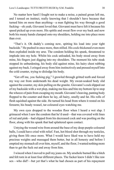No matter how hard I fought not to make a noise, a pained groan left me, and I tensed on instinct, really knowing that I shouldn't have because that turned him on more than anything—a man fighting his way through a good fucking—oh yeah, Giovanni loved that. Giovanni must have felt it because his speed picked up even more. His spittle and sweat flew over my back and now both his meaty hands clamped onto my shoulders, holding me into place more than ever.

"That's it. Oh daddy's coming now, spitting his load into your tight backside." He pushed in once more, then stilled. His cock thickened even more then exploded inside my arse. The condom holding his spunk, threatened to implode into my hole. Whilst his cock unloaded, his body stood away from mine, his fingers just digging into my shoulders. The moment his tube steak stopped its unburdening, his body slid against mine, his hairy chest rubbing against my back. I cringed away from him instinctively and pressed myself into the cold counter, trying to dislodge his body.

"Get off me, you fucking pig," I growled through gritted teeth and forced my way out from underneath his dead weight. My sweat-soaked body slid against the counter, my skin pulling on the granite. Giovanni's cock slipped out of my backside with a wet plop, making me hiss and bite my bottom lip to stop the wheeze of pain from escaping my mouth. Giovanni's heaving, panting body flopped to the counter and there he lay, all hairy, smelly and fat. His rolls of flesh squished against the side. He turned his head from where it rested on his forearm; his beady weasel, tar-coloured eyes watching me.

My own eyes dropped to the wooden floor when I heard a wet slap. I grimaced when I saw the condom that he'd used—that was covered with lines of red and pink—had slipped from his decreased cock and was pooling on the floor, along with his spunk that had splattered upon contact.

Untying the wound wire from around the base of my deep-purple-coloured balls, I could have cried with relief. Fast, hot blood shot through my testicles, giving them life once more. What I would have liked was to have held my precious weights and massaged them better, but in all honesty and before I emptied my stomach all over him, myself, and the floor, I wanted nothing more than to get the fuck out and away from him.

I winced when I moved to pull my jeans on. My arsehole burned like a bitch and felt torn in at least four different places. The fucker knew I didn't like raw sex—who did?—but yet that's what he had chosen as part of his repayment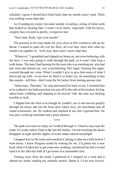schedule. I guess I should have been lucky that my mouth wasn't used. There was nothing worse than that.

As if reading my mind, Giovanni smiled, revealing a string of white teeth that looked so fucking fake it wasn't even funny, especially with his heavy, weighty face covered in patchy, overgrown hair.

"Next time, Rudi, I get your mouth."

The promise in his tone made my eyes close as bile wanted to roll up my throat. I wanted to puke all over his floor, all over him, show him what my mouth was capable of—well, now, that wasn't such a bad idea.

"Whatever," I grumbled and slipped my boots on, not even bothering with the laces. I was only going to walk through the park, so it wasn't that long a walk home. The hate I had burning for the man who was watching me, who had just used and abused me, was overwhelming. Hot anger, burning hot anger, coursed through my veins. What I wouldn't give to give him some of what I had to put up with—to see how he liked it or better yet, do something to him like maybe—kill him—that'd stop the fat fucker from hurting anyone else.

"Same time, Thursday," he said and turned his back on me. I watched him as he walked to the bathroom that was just off to the side of the kitchen, his big, naked body wobbling and slapping as he moved. Gah, the man was fucking horrible as fuck.

I flipped him the bird even though he couldn't see it and moved quickly through his house and out the front door where Joey, his henchman and all round cocksucker, sat. He winked and smirked at me, but I ignored him. He was just a wind-up merchant and a prick anyhow.

\*\*\*\*

The park was near on empty as I walked through it. I liked to stay near the water if I could, unless I had to dip into the bushes. I loved watching the ducks disappear at night and the ripples of water under natural moonlight.

I stopped next to the water and watched it, letting it calm me a little before I went home. I knew Penguin would be waiting for me. I'd gotten her a new book when I'd taken her to get some new clothing. I promised her that I would read it to her after her bath if I got home at a reasonable time.

Turning away from the pond, I grimaced as I stepped on a rock and it altered my stride, making my arsehole stretch. Damn it, I'd be sore forever.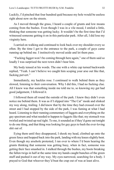Luckily, I'd pinched that four hundred quid because my hole would be useless right about now on the streets.

As I moved through the grass, I heard a couple of grunts and low moans coming from the bushes. Even though I was in a vile mood, I smiled a little, thinking that someone was getting lucky. It wouldn't be the first time that I'd witnessed someone getting it on in this particular park. After all, I did lose my virginity here.

I carried on walking and continued to look back over my shoulder every so often. By the time I got to the entrance to the park, a couple of guys came running up behind me. I instinctively moved aside and let them pass.

"Fucking faggot won't be coming through here again," one of them said so loudly I was surprised the next town didn't hear him.

My body tensed at his words. The one with a white cap turned backwards replied, "Yeah. I can't believe we caught him scoping your arse out like that, fucking pervert."

Immediately, my hackles rose. I continued to walk behind them as they slowed, listening to their conversation. Why I did this, I had no fucking clue. All I knew was that something inside me told me to, so knowing my gut had good judgement, I followed it.

I followed them all round the outside of the park. I knew they didn't even notice me behind them. It was as if I slipped into "The Cat" mode and slinked my way along, trailing. I did know that by the time they had crossed over the street and I had stopped by the side of the park, I was fuming at what I had heard. Listening to their running commentary of faggots and everything on the gay spectrum and what needed to happen to faggots like that; my stomach was twirled and twisted up real tight. To me, it sounded as if they'd gone out tonight to do one thing, and that thing was looking for gay guys to bash the ever-loving shit out of.

Eying them until they disappeared, I shook my head, climbed up onto the green fence and hopped back into the park, landing with my knees slightly bent. Even though my arsehole protested, I ran over to where I'd been hearing the grunts thinking that someone was getting busy, when in fact, someone was getting their face smashed in. I stalked through the bushes, my boots breaking the fallen twigs in half at the same time my hands caught bunches of the green stuff and pushed it out of my way. My eyes narrowed, searching for a body. I prayed to God that whoever they'd beat the crap out of was at least alive.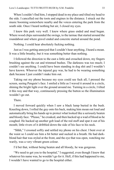When I couldn't find him, I stopped dead in my place and tilted my head to the side. I cancelled out the toots and engines in the distance. I struck out the music booming somewhere nearby and the voices entering the park from the south side. Once I heard nothing but air, I closed my eyes.

I knew this park very well. I knew where grass ended and mud began. Where wood chips surrounded the swings, to the tarmac that started around the roundabout and where gravel ended and concrete started around the pond.

Nothing. I could hear absolutely fucking nothing.

Just as I was getting annoyed that I couldn't hear anything, I heard a moan. It was a little breathy, but it was something better than nothing.

I followed the direction to the east a little and crouched down, my fingers brushing against the cut and trimmed bushes. The darkness was too much; I couldn't see anything. I could have been standing in dog shit and I wouldn't have known. Whoever the injured guy was, he had to be wearing something dark because I just couldn't make him out.

Taking out my phone because my eyes could see fuck all, I pressed the screen, seeing Penguin's face. I smiled a little as I waved it around in a circle, shining the bright light over the ground around me. Turning in a circle, I tilted it this way and that way, continuously pressing the button so the illumination wouldn't go out.

#### There.

I moved forward quickly when I saw a black lump buried in the bush. Kneeling down, I rolled the guy onto his back, making him moan out loud and automatically bring his hands up to protect what looked like a seriously beaten and bloody face. "Please," he croaked, and then hacked up a wad of blood as he coughed. He hacked up another gob load of the red stuff and spat it out of his mouth; little rivers of it dribbled down the side of his face to his neck.

"Shhh," I crooned softly and settled my phone on his chest. I bent over at the waist so I could see him a bit better and sucked in a breath. He had darkblond hair that was styled at the front, and the eye that was open, watching me warily, was a very vibrant green colour.

I'd bet that, without being beaten and all bloody, he was gorgeous.

"We need to get you to the hospital," I suggested, even though I knew that whatever his name was, he wouldn't go for it. Hell, if this had happened to me, I wouldn't have wanted to go to the hospital either.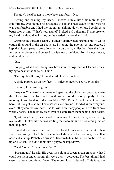The guy's head began to move back and forth. "No."

Sighing and shaking my head, I moved him a little bit more to get comfortable, even though he cursed me to hell and back again for it. Once he was comfortable and I had the moonlight shining down on us, I could get a better look at him. "What's your name?" I asked, as I pulled my T-shirt up over my head. I valued that T-shirt, but he needed it more than I did.

Gripping the top at the seams, I pulled it apart, watching small bits of white cotton fly around in the air above us. Stripping the two halves into pieces, I kept the biggest parts to press down on his cuts with, whilst the others that I cut into smaller pieces could be used to wipe away the blood from his eyes, nose, and mouth area.

"Jay."

Stopping what I was doing, my brows pulled together as I leaned down, trying to hear what he said. "Huh?"

"I'm Jay, Jay Bruins," he said a little louder this time.

A smile popped up on my face. "It's nice to meet you Jay, Jay Bruins."

In return, I received a grunt.

"Anyway," I cleared my throat and spat into the cloth then began to clean the blood from his face and mouth so he could speak properly. In the moonlight, his blood looked almost black. "I'm Rudi Costa. I live not far from here, but I've got to admit, I haven't seen you around. I kind of know everyone, even if they don't know me." I had to, with how many people I lifted from on a weekly basis, I had to know faces even if I stole from them behind their backs.

"I just moved here," he croaked. His eye watched me closely, never leaving my hands. It looked like he was waiting for me to hit him or something, rather than help him.

I nodded and wiped the last of the blood from around his mouth, then started on his eyes. He'd have a couple of shiners in the morning, a swollen nose and a fat lip. Probably a bruise or fracture to his ribs, but no doubt, he'd be up on his feet. He didn't look like a guy to be kept down.

"Yeah? Where'd you move from?"

"Portsmouth," he said. His eyes, the colour of green, green grass now that I could see them under moonlight, were utterly gorgeous. The best thing I had seen in a very long time, if ever. The more blood I cleaned off his face, the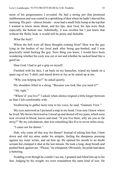more of his gorgeousness I revealed. He had a strong jaw that promised stubbornness and was coated in a sprinkling of dust where he hadn't shaved this morning. His pert—almost female—nose had a small little bump at the top that I wanted to know more about, and his lips, dear God, his lips were thick especially the bottom one. Admittedly, it was swollen but I just knew that without the fleshy look, it would still be pouty and fuckable.

What the fuck?

Where the hell were all these thoughts coming from? Here was the guy lying in the bushes of my local park after being gay-bashed, and I was practically mind fucking the guy. Next thing you knew, I would have been wondering whether his cock was cut or not and whether he sucked head like a good'un.

Dear God, I had to get a grip on myself.

Finished with his face, I sat back on my haunches, wiped my hands on a spare rag of my T-shirt, and stared down at Jay as he stared up at me.

"Why you helping me?" he asked quietly.

My shoulders lifted in a shrug. "Because you look like you need it?"

"Ah, right."

"Where'd' you live?" I asked, when silence reigned a little longer between us than I felt comfortable with.

Swallowing to gather more tone to his voice, he said, "Gunners View."

My eyes narrowed as I pictured a map in my head. I was sure I knew where he lived. My brows furrowed as I stood up and dusted off my jeans, which were now covered in blood, leaves and mud. "If you live there, why are you so far away?" By my calculations, that was something like five to seven miles away.

"I came out for dinner."

Huh, why come all this way for dinner? Instead of asking him that, I bent down and slid my arms under his armpits, feeling the dampness pressing against my inner wrists, and sat him up. He opened his mouth to no doubt scream but clamped it shut at the last minute. He took a long, deep breath and pushed back against me. "Please," he whispered. Obviously, his pride had taken a battering.

Nodding even though he couldn't see me, I grunted and lifted him up to his feet. Judging by his weight, we were roundabout the same kind of size. He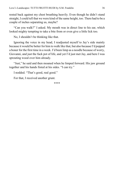rested back against my chest breathing heavily. Even though he didn't stand straight, I could tell that we were kind of the same height, too. There had to be a couple of inches separating us, maybe?

"Can you walk?" I asked. My mouth was in direct line to his ear, which looked mighty tempting to take a bite from or even give a little lick too.

No, I shouldn't be thinking like that.

Ignoring the voice in my head, I readjusted myself to Jay's side mainly because it would be better for him to walk like that, but also because I'd popped a boner for the first time in a week. I'd been limp as a noodle because of worry, Giovanni, and just the fuck pot of life, and yet I'd just met Jay, and here I was sprouting wood over him already.

"Just," he said and then moaned when he limped forward. His jaw ground together and his hands fisted at his sides. "I can try."

I nodded. "That's good, real good."

For that, I received another grunt.

\*\*\*\*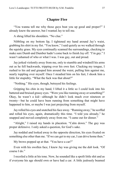# **Chapter Five**

"You wanna tell me why those guys beat you up good and proper?" I already knew the answer, but I wanted Jay to tell me.

A shrug lifted his shoulders. "No clue."

Nibbling on my bottom lip, I tightened my hand around Jay's waist, grabbing his shirt in my fist. "You know," I said quietly as we walked through the squishy grass. My eyes continually scanned the surroundings, checking to make sure Dumb and Dumber hadn't come back to finish Jay off. "I'm gay." I wasn't ashamed of who or what I was. I was gay, out and proud.

Jay jerked violently away from me, only to stumble and windmill his arms out as he fell backwards, tripping over his own feet. Clucking my tongue, I rushed to his aid and grasped him around the waist, pulling him against me, nearly toppling over myself. Once I steadied him on his feet, I shook him a little for stupidity. "What the fuck was that about?"

"Nothing." His eyes, though, betrayed his feelings.

Gripping his chin in my hand, I lifted it a little so I could look into his battered and bruised grassy eyes. "Were you like running away or something?" Okay, he wasn't a kid—although he didn't look much over nineteen or twenty—but he could have been running from something that might have happened to him, or maybe I was just projecting from myself.

Jay rolled his eyes and snatched his face away. "Running away," he scoffed and rolled his eyes, again, dramatically this time. "I told you already," he snapped and moved completely away from me. "I came out for dinner."

"Alright," I raised my hands in placation. "Calm down." The guy was proper defensive. I only asked a question, for God's sake.

Jay nodded and looked away in the opposite direction, his eyes fixated on something else other than me. "If we can get to my car, I can drive home then."

My brows popped up at that. "You have a car?"

Even with his swollen face, I knew Jay was giving me the *duh* look. "Of course I do."

I recoiled a little at his tone. Now, he sounded like a spoilt little shit and as if everyone his age should own or have had a car. A little jealously beamed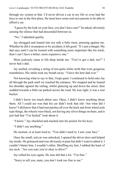through my system at that. I'd never driven a car in my life or even had the keys to one in the first place. He must have some real nice parents to be able to afford a car.

"I guess by the look on your face, you don't have one?" he asked, obviously sensing the silence that had descended between us.

"No," I admitted quietly.

Jay shrugged and leaned into my side a little more, pressing against me. Whether he did it on purpose or by accident, it felt good. "It's just a banger. My dad says until I can be trusted with something more important like his truck, then I can't have a better, more expensive one."

More jealously came to life deep inside me. "You've got a dad, too?" I never had a dad.

Jay smiled, revealing a string of not-quite-white teeth that were gorgeous nonetheless. His smile took my breath away. "I have the best dad ever."

Not knowing what to say to that, I kept quiet. I continued to hold onto Jay all through the park until we reached the entrance. We stopped and he leaned his shoulder against the railing, whilst glancing up and down the street, then nodded towards a little car parked across the road. He was right, it was a rust bucket.

I didn't know too much about cars. Okay, I didn't know anything about them. All I could see was that his car didn't look that old—but what did I know? I did know that it had rust patches all over the back and front wheel arch type things, the wheels were black, not having any silver things on them, and it just had that "I'm fucked" look about it.

"I know." Jay chuckled and reached into his pocket for his keys.

"I didn't say anything."

He snorted, or at least tried to. "You didn't need to, I saw your face."

Once the small, red car was unlocked, I opened the driver door and helped Jay inside. He grimaced and was obviously in pain but didn't want to admit it. I couldn't blame him, I wouldn't either. Shuffling my feet, I rubbed the back of my neck. "Are you sure you're okay to drive?"

Jay rolled his eyes again. He sure did that a lot. "I'm fine."

"Sorry to tell you, mate, you don't look too fine to me."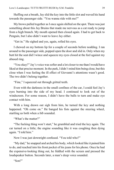Huffing out a breath, Jay slid the key into the little slot and waved his hand towards the passenger side. "You wanna ride with me?"

My brows pulled together as I once again shifted on the spot. There was just something about this Jay Bruins that made me nervous as a cat ready to jump from a high branch. My mouth opened then closed again. I had to get back to Penguin, but I also didn't want to leave Jay either.

"Get in." He sighed and yes, again, rolled his eyes.

I chewed on my bottom lip for a couple of seconds before nodding. I ran around to the passenger side, popped open the door and slid in. Only when my butt hit the seat did I wince and squeeze my eyes closed at the feel against my abused ring.

"You okay?" Jay's voice was softer and a lot closer to me than I would have liked at that precise moment. In the park, I didn't mind him being close, but this close when I was feeling the ill effect of Giovanni's attentions wasn't good. The two didn't belong together.

"Fine," I squeezed out through gritted teeth.

Even with the darkness in the small confines of the car, I could feel Jay's eyes burning into the side of my head. I continued to look out of the windscreen. For some reason, I didn't have the balls to turn and make eye contact with him.

With a long drawn out sigh from him, he turned the key and nothing happened. "Oh come on." He banged his fists against the steering wheel, startling us both when a *bib* sounded.

"What's the matter?"

"The fucking thing won't start," he grumbled and tried the key again. The car turned on a little; the engine sounding like it was coughing then dying again. "I told him."

Now I was just downright confused. "You told who?"

"My dad," he snapped and arched his body, which looked like it pained him to do, and reached into his front pocket of his jeans for his phone. Once he had the expensive-looking thing out, he fiddled with the screen and pressed the loudspeaker button. Seconds later, a man's deep voice sounded.

"Son?"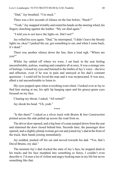"Dad," Jay breathed. "I'm stuck."

There was a few seconds of silence on the line before, "Stuck?"

"Yeah," Jay snapped irritably and rested his hands on the steering wheel, his fingers clenching against the leather. "My car died again."

"I told you to not leave the lights on. Did I not?"

Jay rolled his eyes again. "Dad," he interrupted, "I didn't leave the bloody lights on, okay? I parked the car, got something to eat, and when I come back, it's dead."

There was another silence down the line, then a loud sigh. "Where are you?"

Whilst Jay rattled off where we were, I sat back in the seat feeling uncomfortable, jealous, wanting and complete all at once. It was a strange mix of feelings. I closed my eyes and listened to the timbre of Jay's voice—the love and affection, even if he was in pain and annoyed at his dad's constant questions—I could tell he loved the man and it was reciprocated. It was nice, albeit a tad uncomfortable to listen to.

My eyes popped open when everything went silent. I looked over at Jay to find him staring at me, his split lip hanging open and his grassy-green eyes focused on my face.

Clearing my throat, I asked, "All sorted?"

Jay shook his head. "Uh, yeah."

\*\*\*\*

"Is this them?" I asked as a silver truck with *Bruins & Son Construction* printed across the side pulled up across the road from us.

The driver door opened, and a big bear of a man jumped down from the seat and slammed the door closed behind him. Seconds later, the passenger door opened, and a slightly plump woman got out and joined Jay's dad at the front of the truck, their hands joining immediately.

Jay nodded, pushed off his car and moved towards his dad. "Yes, that's David Bruins, my dad."

The moment Jay's dad clocked the state of Jay's face, he stopped dead in his tracks and his face morphed into something so fierce, I couldn't even describe it. I'd seen a lot of violent and angry-looking men in my life but never something like that.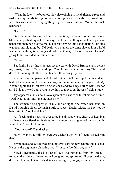"What the fuck?" he boomed, his voice echoing in the darkened street, and rushed to Jay, gently taking his face in his big paw-like hands. He turned Jay's face this way and that way, getting a good look at his son. "What the fuck happened?"

"Dad—"

David's angry face turned in my direction, his eyes zoomed in on me. Slowly, he pushed Jay out of the way, like he was nothing more than a piece of paper and marched over to me, his chest heaving, his hands fisting. His size was real intimidating, but I'd dealt with punters the same size as him who'd wanted something for nothing and hadn't gotten it, so I was damn sure I wasn't going to let Jay's dad intimidate me.

 $``Sir$ .

Suddenly, I was thrust up against the car with David Bruins's arm across my throat, cutting off my windpipe. "You fucker, you hurt my boy," he roared down at me as spittle flew from his mouth, coating my face.

My own mouth opened and closed trying to tell the stupid dickwad that I hadn't laid a hand on his precious boy, but I couldn't even get a gasp out. My Adam's apple felt as if it was being crushed, and my lungs burned with need for air. My legs kicked out, trying to get him to move, but he was fucking huge.

Jay appeared at my side, his eyes panicked as he tried to get his dad off me. "Dad, Rudi didn't hurt me, he saved me."

The woman also appeared in my line of sight. She rested her hand on David's bulging bicep, giving it a little squeeze. "David, release the boy, you're being stupid. You heard Jay."

As if seeking the truth, his eyes turned to his son, whose chest was heaving. His hands were fisted at his sides, and his mouth was tightened into a straight white line. "Dad, let him go."

"You're sure?" David asked.

Now, I wanted to roll my own eyes. Didn't the two of them just tell him that?

Jay nodded and swallowed hard, his eyes darting between me and his dad. He gave the big man a placating nod. "I'm sure. Let him go, now."

Slowly, hesitantly, the big slab of steel was removed from my throat. I rolled to the side, my throat raw as I coughed and spluttered all over the dusty, dirty car. Intense, hot air rushed its way through my lungs, burning like a bitch.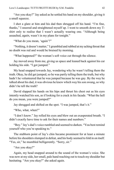"Are you okay?" Jay asked as he settled his hand on my shoulder, giving it a small squeeze.

I shot a glare at him and his dad then shrugged off his hand. "I'm fine, thanks," I sneered and straightened myself up. I went to smooth down my Tshirt only to realise that I wasn't actually wearing one. "Although being assaulted, *again,* wasn't in my plans for tonight."

"What do you mean, 'again'?"

"Nothing, it doesn't matter," I grumbled and rubbed at my aching throat that no doubt was red and would be bruised by morning.

"What happened?" the woman's soft voice cut through the silence.

Jay moved away from me, giving us space and leaned back against his car holding his side. "I got jumped."

My head snapped towards Jay, wondering why he wasn't telling them the truth. Okay, he did get jumped, so he was partly telling them the truth, but why hadn't he volunteered that he was jumped because he was gay. By the way he talked about his dad, it was obvious he knew which way his son swung, so why didn't he tell the truth?

David slapped his hands on his hips and thrust his chest out as his eyes intently watched his son, as if looking for a crack in his facade. "What the hell do you mean, you were jumped?"

Jay shrugged and shifted on the spot. "I was jumped, that's it."

"Who, what, when?"

"I don't know." Jay rolled his eyes and blew out an exasperated breath. "I didn't exactly have time to ask for their names and numbers."

"Boy." Jay's dad's voice rumbled and seemed to darken. "You best remind yourself who you're speaking to."

The stubborn point of Jay's chin became prominent for at least a minute before his shoulders slumped in defeat, and his body seemed to fold in on itself. "Yes, sir," he mumbled belligerently. "Sorry, sir."

"Are you okay?"

Again, my head snapped around to the sound of the woman's voice. She was now at my side, her small, pale hand reaching out to touch my shoulder but hesitating. "Are you okay?" she asked again.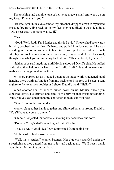The touching and genuine tone of her voice made a small smile pop up on my face. "Fine, thank you."

Her intelligent blue eyes scanned my face then dropped down to my naked chest before travelling back up to my face. Her head tilted to the side a little. "Did I hear that your name was Rudi?"

"Yes."

"Good. Well, Rudi, I'm Monica and this is David." She reached backwards blindly, grabbed hold of David's hand, and pulled him forward until he was standing in front of me and next to her. David now up close looked very much like Jay but his features were more masculine, rougher and older. His scowl, though, was what got me scowling back at him. "This is David, Jay's dad."

Neither of us said anything, until Monica elbowed David's side. He huffed and sighed then held out his hand to me. "Hello, Rudi." He said my name as if nails were being pinned to his throat.

My brow popped up as I looked down at the huge work-roughened hand hanging there waiting. A nudge from my back jerked me forward a step. I sent a glare to Jay over my shoulder as I shook David's hand. "Hello."

When another bout of silence rained down on us, Monica once again elbowed David. He grunted and said, "I'm sorry for that misunderstanding, Rudi, but you can understand my confusion though, can you not?"

"Sure," I mumbled and nodded.

Monica clapped her hands together and slithered her arm around David's. "You'll have to come to dinner."

"Oh no," I objected immediately, shaking my head back and forth.

"Do what?" Jay's dad's eyes bugged out of his head.

"That's a really good idea," Jay commented from behind me.

All three of us had spoken at once.

"Well, that's settled." Monica beamed. Her blue eyes sparkled under the streetlights as they darted from me to Jay and back again. "We'll host a thank you dinner for helping out our boy."

\*\*\*\*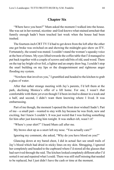# **Chapter Six**

"Where have you been?" Mum asked the moment I walked into the house. She was sat in her normal, nicotine- and God-knows-what-stained armchair that funnily enough hadn't been touched last week when the house had been trashed.

The fourteen-inch CRT TV I'd had to get down from the loft after the other one got broke was switched on and showing the midnight quiz show on ITV. Fortunately, the sound was muted. I couldn't stand the woman's squeaky voice at the best of times. My eyes lifted towards the coffee table that I'd managed to put back together with a couple of screws and odd bits of old, used wood. There on the top lay bright silver foil, a lighter and an empty draw bag. I couldn't stop the snarl building on my lips or the disappointment and righteous anger flooding my system.

"Nowhere that involves you," I grumbled and headed to the kitchen to grab a glass of water.

After that rather strange meeting with Jay's parents, I'd left them at the park, declining Monica's offer of a lift home. For one, I wasn't *that*  comfortable with them yet even though I'd been invited to dinner in a week and a half, and second, I didn't want them knowing where I lived. It was embarrassing.

Part of me though, the moment I opened the front door wished I hadn't. Part of me—a small part—wanted to stay with Jay because he was fresh, new and exciting, but I knew I couldn't. It was just weird that I was feeling something for him after just knowing him tonight. It was stalker-*ish*, wasn't it?

"Where's your shirt?" I heard Mum call after me.

My brows shot up as a snort left my nose. "You actually care?"

Ignoring my comment, she asked, "Why do you have blood on you?"

Glancing down at my bared chest, I did in actual fact see small trails of Jay's blood which had dried in sticky lines on my skin. Shrugging, I ignored her completely and headed to the cupboard where I'd stored all the glasses that had survived through the raid. The kitchen looked completely different after I'd sorted it out and repaired what I could. There was still stuff missing that needed to be replaced, but I just didn't have the cash or time at the moment.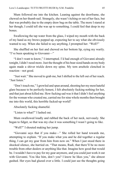Mum followed me into the kitchen. Leaning against the doorframe, she chewed on her thumb nail. Strangely, she wasn't itching or out of her face, but that was probably due to the empty draw bag on the table. The more I stared at her though; I could tell she was up to something. I could feel that deep in my bones.

Swallowing the tap water from the glass, I wiped my mouth with the back of my hand as my brows popped up, expecting her to say what she obviously wanted to say. When she failed to say anything, I prompted her. "Well?"

She shuffled on her feet and chewed on her bottom lip, eying my warily. "I've been speaking to Giovanni—"

"I don't want to know," I interrupted. I'd had enough of Giovanni already tonight, I didn't need more. Just the thought of his bear-sized hands on my body again made a shiver trickle down my spine. My torn arsehole clenched in reaction—not good.

"Just wait." She moved to grab me, but I shifted to the left out of her reach. "Just listen."

"Don't touch me," I growled and spun around, shooting her my most hateful glare because to be perfectly honest, I felt absolutely fucking nothing for her, and that just about killed me. How fucking sad was it that I didn't feel anything for the woman who created me, carried me for nine whole months then brought me into this world, this horrible fucked-up world?

Absolutely fucking shameful.

"Listen to what?" I lashed out.

Mum swallowed loudly and rubbed the back of her neck, nervously. She began to fidget, so that was my clue it was something I wasn't going to like.

"Well?" I shouted making her jump.

"Giovanni says that if you make—" She rolled her hand towards me, attempting to explain. "If you make what you and he did together a regular thing, I can get my gear from him from now on." When I just stood there in shocked silence, she hurried on. "That means, Rudi, that there'll be no more trouble from other dealers or anything like that. Imagine how good that would be. I wouldn't have to pay for my gear anymore, and you could just work it out with Giovanni. You like him, don't you? I know he likes you," she almost gushed. Her eyes had glazed over a little. I could just see the thoughts going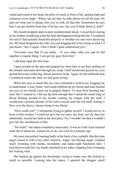round and round in her head, the piles of crack in front of her, getting high and comatose every night. "When I go see him, he talks about you all the time. He asks me what you're doing, who you're with, all that shit. Sometimes he says that I can get double from him if he has you. Say you'll think about it, huh?"

My mouth dropped open in pure unadulterated shock. I stood there staring at my mother wondering what the fuck had happened along the line. I wondered for real if I had actually heard her properly or whether my ears were deceiving me. My head dropped to the side, my eyes begging her to be wrong in what I'd just heard. "Say it again. I don't think I quite understood you."

"Giovanni says that if you make… If you make what you and he did together a regular thing, I can get my gear from him."

I did hear right the first time.

I spun around on the spot and gripped my short hair in my fists, pulling on the strands until pain shot through my scalp. I half turned and grazed my eyes up and down her withering, almost anorexic body. Again, for the millionth time I wondered where the fuck we had gone wrong.

When her eyes so much like my own continued to look at me, begging me to understand, a sour, bitter, foul laugh bubbled up my throat and tears burned my eyes as my breath came out in gasped chokes. To stop from bursting into tears like I wanted to, I bit my lip hard enough that I tasted the metal tang of blood floating around in my mouth, coating my tongue with the stuff. I swallowed a pooled amount of hot saliva mixed with the red stuff, feeling it flow over the heavy, intense lump in my throat.

"How could you?" I whispered, trying to gather myself. I would not cry in front of this woman. I would not give her my tears, my fears, my all, that was admittedly, mostly her fault in the first place. No, I wouldn't do that; I wouldn't give her the satisfaction of that.

"Do what?" she asked completely innocently. It was as if she'd not realised what she'd asked me, wanted me to do, not even five minutes ago.

My tears intensified, burning badly at the back of my eyeballs. But this time anger joined in with every other emotion. Anger, hot blazing anger, coupled itself, twinning with shame, incredulity and damn-right butchered hurt. I marched towards her, my hands clenched at my sides, stopping from wringing her fucking neck.

She backed up against the doorframe, trying to make sure she looked as small as possible. Leaning into her space, I ignored the druggie smell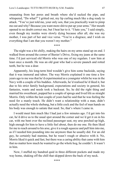emanating from her pores and breath where she'd sucked the pipe, and whispered, "Do what?" I gritted out, my lip curling much like a dog ready to attack. "You've just told me, your only son, that you practically want to pimp me out and why? Because you want more shit to put up your arms." Her mouth opened to no doubt correct me, but I beat her to it. "I hate you," I said simply, even though my insides were slowly dying because after all, she was my mother, I was part of her and vice versa. "You're a disgrace, and I wish on everything that I am that you weren't my mother."

\*\*\*\*

The night was a bit chilly, making the hairs on my arms stand up on end. I walked from around the corner of Baxter's Drive, fixing my jeans at the same time. I'd just serviced old Morris who was one of my regulars. I saw him at least once a month. He was an old goat who had a severe paunch and rotted teeth, but he was a dear.

Apparently, his long-term bird wouldn't give him some backside, saying that it was immoral and taboo. The way Morris explained it one time a few years ago to me was that he'd experimented as a youngster whilst he was in the Navy with a couple of his buddies. Afterwards, he'd realised he'd liked it, but due to his strict family background, expectations and society in general, his fantasies, wants and needs took a backseat. So, he did the right thing and married his sweetheart, popped her a couple of sprogs and lived life as straight Morris. Only within the last couple of years had he said that he was feeling the need for a manly touch. He didn't want a relationship with a man, didn't actually need the whole shebang, but a little cock and the feel of man hands on his body was enough to satiate that need. So, that's where I came in.

I would meet him much like I had just a few minutes ago. I'd get into his car, he'd drive us to the usual spot around the corner and we'd get it on in his car, with me bent over the reclined passenger seat, my arse perched up high, high enough for him to have a little feel about, then do me one. He then liked for me to reach around to his arse, give it a rough squeeze and pull him into me, as if I needed him pounding into me anymore than he usually did. For an old guy, he certainly had stamina, but he wasn't rough or abusive with it. No, Morris liked it quick and fast, but there was a caring ability that came with him that no matter how much he wanted to go the whole hog, he couldn't. It wasn't in him.

Now, I stuffed my hundred quid in three different pockets and made my way home, shaking off the chill that skipped down the back of my neck.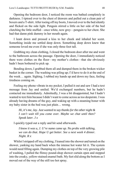Opening the bedroom door, I noticed the room was bathed completely in darkness. I tiptoed over to the chest of drawers and pulled out a clean pair of boxers and a T-shirt. After toeing off my boots, I moved over to the bed silently and flicked on the side light. Penguin stirred a little on her side of the bed clutching the little stuffed—once white, now grey—penguin to her chest. She had that damn pink dummy in her mouth again.

I leant down and pressed a kiss to her cheek and inhaled her scent. Something inside me settled deep down. Something deep down knew that someone loved me even if she was only three foot tall.

Grabbing my clean clothing, I closed the bedroom door after me and went to the bathroom across the passage. Opening the door, I immediately noticed there were clothes on the floor—my mother's clothes—that she obviously hadn't been bothered to pick up.

Bending down, I grabbed them all and dumped them in the broken wicker basket in the corner. The washing was piling up; I'd have to do it at the end of the week… again. Sighing, I rubbed my hands up and down my face, feeling tiredness coming on.

Feeling my phone vibrate in my pocket, I pulled it out and saw I had a text message from Jay and smiled. We'd exchanged numbers, but he hadn't contacted me immediately. Admittedly, I was a bit disappointed, but I hadn't wanted to text him because I didn't want to come across as too desperate. I was already having dreams of the guy, and waking up with a steaming boner with my baby sister in the bed was just plain… wrong.

*Hi, it's me, Jay. Just wanted to say thanks for the other night & I can't wait till you come over. Maybe we chat until then? Speak later. J x* 

I quickly typed out a reply and hit send afterwards.

*I know it was u, J. U're name came up. No probs with talking, we can do that. Hope U get better. See u next week 4 dinner. Night. R x* 

Whilst I stripped off my clothing, I leaned into the shower and turned on the shower, yanking my hand back when the intense hot water hit it. The system would need filling again. Dumping my clothes on top of the very growing pile of washing, I pulled the flimsy pound-shop shower curtain open and stepped into the creaky, yellow-stained enamel bath. My feet slid along the bottom as I moved out of the way of the still too hot spray.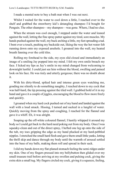I made a mental note to buy a bath mat when I was out next.

Whilst I waited for the water to cool down a little, I reached over to the shelf and grabbed the strawberry kid's detangling shampoo I'd bought for Penguin. The other shampoo—my shampoo—was gone. Where, I had no clue.

When the stream was cool enough, I stepped under the water and leaned against the wall, letting the fine spray patter against my tired, sore muscles. My hands pushed against the wall, my back arching a little, my feet spreading a tad. I bent over a touch, pushing my backside out, liking the way the hot water felt running down onto my exposed arsehole. I groaned into the wall, my heated breath fanning over the cold tiles.

Rolling my forehead to the side, my eyes slid closed and immediately an image of a smiling Jay popped into my mind. I felt my own smile breach my face. I licked my lips as Jay's smile in my mind changed from welcoming to downright lustful. I could just see him without the blood, swelling and pained look on his face. He was truly and utterly gorgeous; there was no doubt about it.

With his dirty-blond, spiked hair and intense green eyes watching me, goading me silently to do something naughty, I reached down to my cock that was half-hard, the tip pressing against the tiled wall. I grabbed hold of it in my hand and gave it a couple of jiggles, encouraging the blood to flow more freely and quickly.

I groaned when my hard cock pushed out of my hand and landed against the wall with a loud smack. Hissing, I turned and sucked in a lungful of water. Quickly moving from the spray and coughing, I reached for the flannel and gave it a whiff. Eh, it was alright.

Soaping up the off-white coloured flannel, I hastily whipped it around my body so I could get back to the hard need poking out from my body. Once I was squeaky-clean and out of the direct spray, I hefted one leg up onto the side of the tub, my toes gripping the edge as my hand plucked at my hard-pebbled nipples. I stretched the small hard flesh and gave them small little yanks, letting the thrill skip and dance through my body until the warmth of arousal settled into the base of my balls, making them roll and spread in their sack.

I slid my hands down my flat-planed stomach feeling the semi-ridges under my skin. One of my fingers pressed into my bellybutton then glided over my small treasure trail before arriving at my swollen and pulsing cock, giving the extra skin a small tug. My fingers circled my cock, giving it a squeeze, feeling,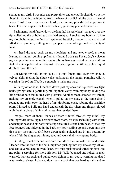sizing up my girth. I was nice and pretty thick and uncut. I looked down at my foreskin, watching as it pulled from the base of my dick all the way to the end where it rolled over the swollen head, covering my piss slit before pulling it back. The skin slipped back over the head, gathering just underneath it.

Pushing my hand further down the length, I hissed when it scraped over the tip, collecting the dribbled sap that had escaped. I sucked my bottom lip into my mouth, biting on the flesh as I gathered the sticky pre-cum in my hand and lifted it to my mouth, spitting into my cupped palm making sure I had plenty of lube.

My head dropped back on my shoulders and my eyes closed, a moan leaving my mouth, coming up from my throat. I was sure I heard Jay's voice in my ear, goading me on, telling me to rub my hands up and down my shaft, to feel the skin ripple and pull against my cock, tug on it until more clear liquid dribbled from the end.

Loosening my hold on my cock, I let my fingers trail over my smooth, velvety skin, feeling the slight veins underneath the length, pumping wildly, ensuring the red stuff built up enough to make me hard.

With my other hand, I reached down past my cock and squeezed my tight balls, giving them a gentle tug, pulling them away from my body, loving the little hint of pain that mixed with pleasure. Another moan escaped my throat, making my arsehole clench when I pulled on my nuts, at the same time I rounded my palm over the head of my throbbing cock, rubbing the sensitive plum. I hissed as I slid my hand underneath the tip, where my fingers played with the thin piece of skin and nerves that resided there.

Images, more of them, tonnes of them filtered through my mind: Jay smiling wider revealing his crooked front tooth, his eyes twinkling with mirth and naughtiness and his body radiating absolute lust and horniness. At that, my feet bounced and fidgeted in the bath, my body sailing up and down onto the tips of my toes only to drift back down again. I sighed and bit my bottom lip when I felt the tingles start in my toes and work their way up my body.

Grunting, I bent over and held onto the side of the sink with one hand whilst I leaned into the side of the bath, my knee pushing into my side as my salivaand sap-covered hand moved faster, my hips pushing and thrusting hard into my palm, searching for more friction. My balls bounced and rolled in their warmed, hairless sack and pulled even tighter to my body, warning me that I was nearing release. I glanced down at my cock that was hard as nails and an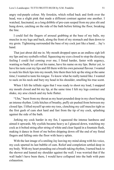angry red-purple colour. My foreskin, which rolled back and forth over the head, was a slight pink that made a different contrast against one another. I watched, fascinated, as a long dribble of pre-cum seeped from my piss slit and hung down, catching on the side of the bath before hitting the floor, breaking the line.

I could feel the fingers of arousal grabbing at the base of my balls, my muscles in my legs and back, along the front of my stomach and then down to my groin. Tightening surrounded the base of my cock just like a hand… Jay's hand.

That just about did me in. My mouth dropped open as an endless sigh left my lips and my eyeballs rolled. Squeezing my eyes closed to stop the dizzying feeling I could feel coming over me, I fisted harder, faster with urgency, wanting so badly to call out his name, have his name on my lips. Better yet, to have his taste coat my lips and fill them with his own personal flavour. I wanted to suck his thick lips into my mouth, bite them then lick up the sting at the same time; I wanted to taste his tongue. To know what he really tasted like. I wanted to suck on his neck and bury my head in his shoulder, smelling his true scent.

When I felt the telltale signs that I was ready to shoot my load, I snapped my mouth closed and bit my lip, at the same time I felt my legs contract and shake, my arse clench and my hole flutter.

"Uhn," burst from my throat as my heart pounded deep in my chest beating an intense rhythm. Little hitches of breathy, puffy air pushed from between my closed lips. I lifted myself up onto my toes, clenching my calf muscles tight as the first gush of cum shot hard and fast from the tip of my cock, splashing against the side of the bath.

Jerking my cock harder in my fist, I squeezed the intense hardness and aimed it upwards. My eyelids became heavy as I glanced down, watching my cock as it bolted string after string of white and clear liquid in a fountain flush, making it dance in front of me before dripping down off the end of my fisted fingers and falling onto the floor with heavy splats.

With the last image of a smiling Jay leaving my mind along with his voice, my cock spurted its last bubble of cum. Relief and completion settled deep in my body. With my heart pounding out a breath-taking rhythm, I turned back to the shower and leaned my shoulder against the wall. I was worried that if the wall hadn't have been there, I would have collapsed into the bath with pure exhaustion.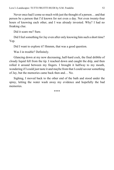Never once had I come so much with just the thought of a person… and that person be a person that I'd known for not even a day. Not even twenty-four hours of knowing each other, and I was already invested. Why? I had no freaking clue.

Did it scare me? Sure.

Did I feel something for Jay even after only knowing him such a short time? Yep.

Did I want to explore it? Hmmm, that was a good question.

Was I in trouble? Definitely.

Glancing down at my now decreasing, half-hard cock, the final dribble of cloudy liquid fell from the tip. I reached down and caught the drip, and then rolled it around between my fingers. I brought it halfway to my mouth, wondering if I could just taste it and maybe from that I could savour something of Jay, but the memories came back then and… No.

Sighing, I moved back to the other end of the bath and stood under the spray, letting the water wash away my evidence and hopefully the bad memories.

\*\*\*\*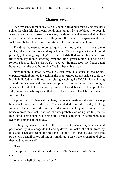### **Chapter Seven**

I ran my hands through my hair, dislodging all of my precisely twisted little spikes for what felt like the millionth time tonight. I was so bloody nervous, it wasn't even funny. I looked down at my hands and saw they were shaking like crazy. I clenched them together, telling myself over and over again to calm the fuck down before I did something stupid like fainting or something.

The days had seemed to go real quick, until today that is. For nearly two weeks, I'd worried and sweated my bollocks off wondering how the hell I could possibly get out of going to Jay's for dinner. I'd dialled his number hundreds of times with my thumb hovering over the little, green button, but for some reason, I just couldn't press it. I'd typed out the messages, my finger again hovering over the send button but I hadn't been able to do it.

Now though, I stood across the street from his house in the pricey, expensive neighbourhood, watching the people move around inside. I could see his big built dad in the living room, sitting watching the TV, Monica whizzing around the kitchen and Jay was whipping from room to room doing… whatever. I could tell they were expecting me though because if I stepped to the side, I could see a dining room that was to the east wall. The table had been set for four places.

Sighing, I ran my hands through my hair one more time and blew out a long breath as I moved across the road. My head darted from side to side, checking for what I had no clue. I did catch an old woman watching me from one of the houses across the street. I snorted; she was probably watching, waiting for me to either do some damage to something or nick something. She probably had her mobile phone at the ready.

Rolling my eyes, I reached the fence post outside Jay's house and positioned my bike alongside it. Bending down, I unlocked the chain from my bike and fastened it around the post and a couple of my spokes, locking it into place with a small snick. Giving it a small tug, I tested the strength and give, then nodded to myself.

"Hey."

I jumped six foot in the air at the sound of Jay's voice, nearly falling on my arse.

Where the hell did he come from?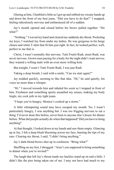Glaring at him, I fumbled a little as I got up and rubbed my sweaty hands up and down the front of my best jeans. "Did you have to do that?" I snapped, feeling ridiculously nervous and embarrassed all of a sudden.

Jay's mouth opened and closed before his brows pulled together. "Do what?"

"Nothing." I waved my hand and cleared my suddenly dry throat. Pocketing my keys, I watched Jay from under my lashes. He was gorgeous in his beige chinos and white T-shirt that fit him just right. In fact, he looked perfect, well, perfect to me that is.

Christ, I wasn't normally this nervous. Tutti Fruitti Rudi, street Rudi, was never nervous. Grown men paying for a body for the night didn't want nerves; they wanted a willing male with an even more willing hole.

But tonight, I wasn't Tutti Fruitti Rudi, I was just Rudi.

Taking a deep breath, I said with a smile, "Can we start again?"

Jay nodded quickly, seeming to like that idea. "Hi," he said quietly, his voice no more than a whisper.

"Hi." I moved towards him and inhaled his scent as I stopped in front of him. Freshness and something sporty assaulted my senses, making my body tingle, my cock jerk in my tight jeans.

"I hope you're hungry; Monica's cooked up a storm."

A little whimpering sound may have escaped my mouth. No, I wasn't particularly hungry, I was anything but. I was too frigging nervous to eat a thing. I'd never done this before, never been to anyone else's house for dinner before. What did people actually do when that happened? Did you have to bring anything?

At that thought, I looked down at my hands and saw them empty. Glancing up at Jay, I felt a deep blush blooming across my face, burning the tips of my ears. Clearing my throat, I said, "I didn't bring anything."

Jay's dark-blond brows shot up in confusion. "Bring what?"

Shuffling on my feet, I shrugged. "Aren't you supposed to bring something to dinner when you're invited?"

The laugh that left Jay's throat made my hackles stand up on end a little. I didn't like the piss being taken out of me. I may not have had much to my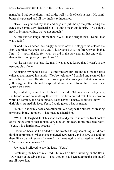name, but I had some dignity and pride, well a little of each at least. My semiboner disappeared and all my tingles extinguished.

"Hey." Jay grabbed my hand and began to pull me up the path, letting the gate close behind us with a hard click. "I didn't mean anything by it. You didn't need to bring anything, we've got enough."

A little snorted laugh left me then. "Well, that's alright then." Damn, that was a relief.

"Good." Jay nodded, seemingly nervous now. He stopped us outside the front door that was open just a tad. "I just wanted to say before we went in that I'm… I… just… thanks for what you did in the park and all that and well… thanks for coming tonight, you know?"

Ah, he was nervous just like me. It was nice to know that I wasn't in the nervous club alone.

Adjusting my hand a little, I let my fingers curl around his, feeling little calluses that marred his hands. "You're welcome." I smiled and scanned his nearly healed face. He still had bruising under his eyes, but it was more yellowy-green than the reddish-purple it was when I found him. "Your face looks a lot better."

Jay smiled shyly and tilted his head to the side. "Monica's been a big help, she hasn't let me do anything this week. I've been on bed rest. That means no work, no gaming, and no going out. I also haven't been… Well you know." A dark blush stained his face. Yeah, I could guess what he meant.

"Man." I shook my head and smiled full out despite the butterflies creating torpedoes in my stomach. "That must be a hardship."

"Well." He laughed, took his hand back and jammed it into the front pocket of his beige chinos that looked very nice on his lean, thinly muscled body. "Yeah, it is a hardship… because…"

I assumed because he trailed off, he wanted to say something but didn't think it appropriate. When silence reigned between us, and to save us standing there like a pair of lemons, I cleared my throat again and pointed to the door. "Can I ask you a question?"

Jay looked relieved to say the least. "Yeah."

Scratching the back of my head, I bit my lip a little, nibbling on the flesh. "Do you sit at the table and eat?" That thought had been bugging the shit out of me all week long.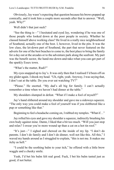Obviously, Jay wasn't expecting that question because his brows popped up comically, and it took him a couple more seconds after that to answer. "Well, yeah. Why?"

Well didn't that just suck?

"See the thing is—" I hesitated and eyed Jay, wondering if he was one of those people who looked down at the poor people in society. Whether he classed himself above working class? He lived in a really nice neighbourhood of Southend, actually one of the best. I, however, lived in the pits. It was the low class, the let-down part of Southend, the part that never featured on the adverts for one of the best beaches to come to, the best place to bring the family for a day out at the arcades or to the adventure park along the seafront. My part was the benefit sector, the hand-me-down-and-take-what-you-can-get part of the sparkly Essex town.

"What's the matter, Rudi?"

My eyes snapped up to Jay's. It was only then that I realised I'd been off on my glider again. I shook my head. "Uh, right, yeah. Anyway, I was saying that, I don't eat at the table. Do you ever eat watching TV?"

"Please." He snorted. "My dad's all big for family. I can't actually remember a time when we haven't had dinner at the table."

My shoulders slumped in defeat. "What if I make a fool of myself?"

Jay's hand slithered around my shoulder and gave me a sideways squeeze. "The only way you could make a fool of yourself was if you slobbered like a pup or something like that."

Beginning to feel a headache coming on, I rubbed my temples. "What if…"

Jay rolled his eyes and gave my shoulder a squeeze, indirectly brushing his own body against mine. Damn, I liked that a bit too much. "Will you just stop and relax? I swear you're more wound up than a cat on a hot tin roof."

"It's just—" I sighed and chewed on the inside of my lip. "I don't do parents. I don't do family and I don't do dinner, well not like this. All this," I waved my hands around as I struggled to explain, "this is not me. It makes me itchy as hell."

"I could be the soothing balm to your itch," he offered with a little brow waggle and a cheeky smile.

Yeah, I'd bet his balm felt real good. Fuck, I bet his balm tasted just as good, if not better.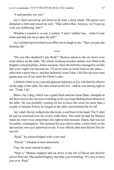"I said parents, not you."

Jay's chest moved up and down as he took a deep inhale. His green eyes darkened a little and closed an inch. "That settles that. Anyway, we'll just go with you slobbering, huh?"

Whether I wanted to or not, I smiled. "I don't slobber but… what if your mum and dad ask me to pass the salt?"

Jay's plump lips twitched in an effort not to laugh at me. "Then you pass the fucking salt."

\*\*\*\*

"Do you like shepherd's pie, Rudi?" Monica asked as she set down even more dishes on the table. The whole freaking wooden surface was filled with brightly coloured plates, dishes and pots. How the hell they managed to eat like this every night was beyond me. I'd never seen so much food in one place other than a party that is, and this definitely wasn't that. I felt like my eyes were gonna pop out of my head for Christ's sake.

I shifted a little in my seat and glanced sideways at Jay who had his elbows on the edge of the table, his chin rested on his fist—and he was staring right at me. "Yeah, I do."

Baloo, Jay's dog, which was a giant black and tan Great Dane, slumped on the floor next to me, his nose twitching as his eyes kept flicking from Monica to the table. He was probably waiting for her to leave the room for more than a couple of minutes before he lunged at the table and polished the lot off.

Jay's dad, David, walked into the room, a cold beer in his hand. The T-shirt he had on stretched over his overly wide chest. The smile he had for Monica made me wish I was somewhere else right at that moment. Damn, that was not for public consumption. The moment his eyes slid to mine, a sneer built on his lips and his own eyes narrowed on me. It was official, that man did not like me one bit.

"Rudi," he acknowledged with a curt nod.

"David." I blinked at him innocently.

Yup, the sneer stayed in place.

"Stop it," Monica snapped and sat down to the left of David and directly across from me. She smiled brightly, her blue eyes twinkling. "It's nice to have you over, Rudi."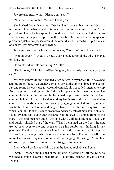Jay groaned next to me. "Please don't start."

"It's nice to be invited, Monica. Thank you."

She hushed Jay with a wave of her hand and glanced back at me. "Oh, it's no biggie. After what you did for our Jay, you're welcome anytime," she gushed and handed a big spoon to David who rolled his eyes and stood up to start serving the shepherd's pie from the roast tin. Once we all had a big splat of pie on our plates, we passed around the other dishes. By the time I put the last one down, my plate was overflowing.

Jay leaned over and whispered in my ear, "You don't have to eat it all."

I couldn't even if I tried. My body wasn't made for food like this. "I'm that obvious, huh?"

He snickered and started eating. "A little."

"Rudi, honey," Monica shuffled the gravy boat a little, "can you pass the salt?"

My eyes went wide and a choked laugh caught in my throat. If I'd have had a mouthful of food, it would have sprayed across the table. I zipped my eyes to Jay and found his eyes just as wide and comical, his lips rolled together to stop from laughing. He dropped his fork on his plate with a heavy clatter. He couldn't hold it for long before a high-pitched laugh burst from his throat. I just couldn't help it. The more I tried to hold my laugh inside, the more it wanted to come free. Seconds later and with watery eyes, giggles erupted from my mouth. We both fell into each other and laughed like crazies. I turned away from him when I couldn't look at his face anymore and nearly fell off my chair. Actually, I did. My hand shot out to grab the table, but I missed it. I slipped right off the edge of the freaking chair and hit the floor with a dull thud. Baloo let out a yelp and quickly shuffled out of the way. When I remained on the floor, the dog trotted back over to me and began to wag his stubby tail, thinking it was playtime. The dog pounced when I held my hands up and started licking my face to death, leaving trails of slobber coating my face. That set Jay off even more. He bent over my chair so his head was hanging off the edge. A thin line of drool dripped from his mouth as he struggled to breathe.

From what I could see of him, damn, he looked fuckable and cute.

"Stop," I gasped and pushed at the big dog to get the hell off me. Shit, he weighed a tonne. Leaning past Baloo, I playfully slapped at Jay's head. "Move."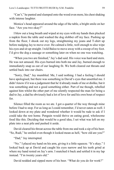"Can't," he panted and slumped onto the wood even more, his chest shaking with intense laughter.

Monica's head appeared around the edge of the table, a bright smile on her face. "Are you two okay?"

I blew out a long breath and wiped at my eyes with my hands then plucked a napkin from the table and washed the dog slobber off my face. Pushing up from the floor, I shook out my legs, straightening my jeans and T-shirt up before nudging Jay to move over. He calmed a little, well enough to also wipe his eyes and sit up straight. I told Baloo to move away with a sweep of my foot. I'd give the dog a sausage or something later on when no one was watching.

"When you two are finished," Jay's dad said. His voice was hard and stern. He was not amused. His eyes burned into both me and Jay, burned enough to immediately snap us out of our laughing fit. We both cleared out throats and settled back into our chairs.

"Sorry, Dad," Jay mumbled. Me, I said nothing. I had a feeling I should have apologised, but there was something in David's eyes that unsettled me. I didn't know if it was a judgement that he'd already made of me or dislike, but it was something and not a good something either. Part of me though, rebelled against him whilst the other part of me silently respected the man for being a dad to Jay, a dad he obviously had a lot of love for and his own bout of respect for.

Silence filled the room as we ate. I got a quarter of the way through mine before I had to stop. For as long as I could remember, I'd never eaten as well. I looked down at my plate and wondered whether it would be rude to ask if I could take the rest home. Penguin would thrive on eating good, wholesome food like this. Deciding that would be a good idea, I set what was left on my plate into a neat pile and pushed it aside.

David cleared his throat across the table from me and took a sip of his beer. "So, Rudi," he smiled even though it looked mean as hell, "how old are you?"

"Dad," Jay interrupted.

"No." I placed my hand on his arm, giving it a little squeeze. "It's okay." I looked back up at David and caught his eyes narrow and his teeth grind at where my hand rested on Jay's arm. I snatched it back and settled it in my lap instead. "I'm twenty years old."

David nodded and sipped more of his beer. "What do you do for work?"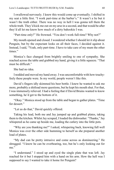I swallowed nervously. I knew this would come up eventually. I shifted in my seat a little first. "I work part-time at the barber's." It wasn't a lie but it wasn't the truth either. There was no way in hell I was gonna tell them the whole truth. They'd kick me out on my arse in a second, and that would be after they'd all let me know how much of a dirty bahookie I was.

"Part-time only?" He frowned. "You don't work full-time? Why not?"

My mouth opened and closed. I wondered whether I should let it slip about Penguin, but by the expectant looks on all their faces, I decided against it. Instead, I said, "Yeah, only part-time. I have to take care of my mum the other times."

Monica's face changed from brightly smiling to one of sympathy. She reached across the table and grabbed my hand, giving it a little squeeze. "That must be difficult."

She had no idea.

I nodded and moved my hand away. I was uncomfortable with how touchyfeely these people were. In my world, people weren't like this.

David's fingers idly skimmed his beer bottle. I knew he wanted to ask me more, probably a shitload more questions, but he kept his mouth shut. For that, I was immensely relieved. I had a feeling that if David Bruins wanted to know something, he'd get to the bottom of it.

"Okay." Monica stood up from the table and began to gather plates. "Time for dessert."

"Let us do that," David quickly offered.

Taking his lead, both me and Jay jumped up and grabbed plates, taking them to the kitchen. Whilst Jay scraped, I loaded the dishwasher. "Thanks," Jay whispered as he came up beside me, loading the cutlery into the little pots.

"Why are you thanking me?" I asked, whispering back, knowing full well Monica was over the other side humming to herself as she prepared another load of plates.

"My dad can be pretty intrusive and come across as domineering." He shrugged. "I know he can be overbearing, too, but he's only looking out for me"

"I understand." I stood up and eyed the single plate that was left. Jay reached for it but I stopped him with a hand on his arm. How the hell was I supposed to say I wanted to take it home for Penguin?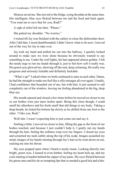Monica saved me. She moved to the fridge, eying the plate at the same time. Her intelligent, blue eyes flicked between me and the food and back again. "You want me to save that for you, Rudi?"

A sigh of relief left me then. "Please."

She patted my shoulder. "No worries."

I waited till Jay was finished with the cutlery to close the dishwasher door. After I did that, I stood dumbfounded; I didn't know what to do next. I moved out of the way for Jay to take over.

Jay took my hand and pulled me out into the hallway. I quickly looked around to make sure we were alone because he obviously wanted to say something to me. Under the wall lights, his hair appeared almost golden. I felt the needy urge to run my hands through it, just to feel how soft it really was. His green eyes glowed too, showing off the real, deep colouring. He really was gorgeous and seriously lickable and definitely fuckable.

"What's up?" I asked when we both continued to stare at each other. Damn, he had the strength to make me feel like a silly teenager all over again. Usually, I had confidence that bounded out of me, but with him, it just seemed to sail completely out of the window, leaving me feeling abandoned in the big, deep blue sea.

His mouth opened and closed a few times before he moved on closer to me so our bodies were just mere inches apart. Being this close though, I could smell his aftershave and his fresh smell that did things to my body. Taking a deep breath, he licked his bottom lip slowly as he shifted from one foot to the other. "I like you, Rudi."

Well shit. I wasn't expecting him to just come out and say it.

Smiling a little, I moved on closer to him, filling the gap so the front of our bodies touched, and because I just couldn't help it, I gently ran my hands through his hair, feeling the softness wisp over my fingers. I closed my eyes and scratched my nails subtly along the top of his scalp. Images assaulted my mind, images of my hands running through Jay's hair as he went down on me, sucking me into his throat.

My eyes popped open when I heard a needy moan. Looking directly into bright, green eyes, I leaned in even further, feeling my heart kick up, and my cock starting to harden behind the zipper of my jeans. My eyes flicked between his green ones and his oh-so-tempting lips that so needed a good lick and a bite.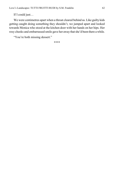If I could just…

We were centimetres apart when a throat cleared behind us. Like guilty kids getting caught doing something they shouldn't, we jumped apart and looked towards Monica who stood at the kitchen door with her hands on her hips. Her rosy cheeks and embarrassed smile gave her away that she'd been there a while.

"You're both missing dessert."

\*\*\*\*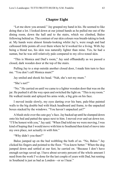# **Chapter Eight**

"Let me show you around." Jay grasped my hand in his. He seemed to like doing that a lot. I looked down at our joined hands as he pulled me out of the dining room, down the hall and to the stairs, which we climbed, Baloo following behind us. The contrast of our skin colours was breath-taking to look at. My hands were almost female-looking whilst Jay's, were rough and had calloused little points all over them where he'd worked for a living. With Jay being a blond too, his skin was naturally lighter than mine. Yes, he had a suntan, but he was still relatively pale compared to my olive-toned skin.

"This is Monica and Dad's room," Jay said offhandedly as we passed a closed, dark wooden door at the top of the stairs.

Pulling Jay to a stop outside another closed door, I made him turn to face me. "You don't call Monica mum?"

Jay smiled and shook his head. "Nah, she's not my mum."

"She's not?"

"No." He carried on until we came to a lighter wooden door that was on the jar. He pushed it all the way open and switched the light on. "This is my room." He walked inside and splayed his arms wide, a big grin on his face.

I moved inside slowly, my eyes darting over his bare, pale-blue painted walls to the big double bed with black headboard and frame, to the unpacked boxes stacked by the windows. "You haven't unpacked yet?"

A blush stole over the cute guy's face. Jay backed up until he slumped down onto his bed and patted the space next to him. I moved over and sat down too. "I'll be honest with you," Jay said. "When Dad told me we were moving, I was kind of hoping that I would move with him to Southend then kind of move into my own place, not actually *in with him*."

"Why didn't you then?"

Baloo jumped up on the bed wobbling the both of us. "No, Baloo." Jay clicked his fingers and pointed to the floor. "You know better." When the dog jumped down and settled at our feet, he carried on. "Because I don't have enough savings saved up. I have about seventy percent of the whole amount I need from the work I've done for the last couple of years with Dad, but renting in Southend is just as bad as London—or so I hear."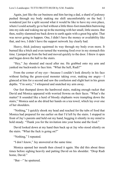Again, just like the car business and him having a dad, a shard of jealousy pushed through my body making me shift uncomfortably on the bed. I wondered just for a split second what it would be like to have my own place, where I could actually go to bed without a little three-foot munchkin burrowing into my side and waking me up in the morning with her small, little snores. But then, reality slammed me back down to earth again with a great big splat. That was never going to happen. One, I didn't have the money or availability like that, and two, I didn't have the support network Jay clearly had.

Heavy, thick jealousy squirmed its way through my body even more. It burned like a bitch and even turned the warming food over in my stomach this time. I jumped up from the bed and moved quickly to the door. I threw it open and began down the hall to the stairs.

"Hey," Jay shouted and raced after me. He grabbed onto my arm and yanked me backwards to face him. "What the hell, Rudi?"

From the corner of my eye—because I couldn't look directly in his face without feeling the green-eyed monster taking over, making me angry—I glanced at him for a second and saw the confusion and slight hurt in his green depths. "I'm sorry," I whispered and snatched my arm away.

Our feet thumped down the hardwood stairs, making enough racket that David and Monica appeared with worried frowns on their faces. "What's the matter? It sounded like a herd of bloody elephants were trampling down the stairs," Monica said as she dried her hands on a tea towel, which lay over one of her shoulders.

"Nothing," I quickly shook my head and reached for the tubs of food that Monica had prepared for me earlier on that I'd left by the stairs. I stopped in front of Jay's parents and held out my hand, begging it silently in my mind to hold steady. "Thank you for the invitation into your home and the food."

David looked down at my hand then back up at Jay who stood silently on the stairs. "What the fuck is going on?"

"Nothing," I repeated.

"I don't know," Jay answered at the same time.

Monica opened her mouth then closed it again. She did this about three times before sighing heavily and patting David on his shoulder. "Drop Rudi home, David."

"But—" he sputtered.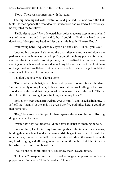"Now." There was no messing with that tone.

The big man sighed with frustration and grabbed his keys from the hall table. He then opened the front door without a word and walked out. Obviously, he expected me to follow.

"Rudi, please stop." Jay's dejected, hurt voice made me stop in my tracks. I wanted to turn around I really did, but I couldn't. With my hand on the doorknob, I dropped my head and let out a little breath. "Please, Rudi."

Swallowing hard, I squeezed my eyes shut and said, "I'll call you, Jay."

Ignoring his protests, I slammed the door after me and walked down the path to where my bike was locked up. Digging through my pockets for keys, I shuffled the tubs, nearly dropping them, until I realised that my hands were shaking too much to hold them and unlock my bike at the same time. I set them on the ground and knelt down onto my knees and let my head hang. I could feel a nasty as hell headache coming on.

I couldn't believe what I'd just done.

"Don't bother with that, boy." David's deep voice boomed from behind me. Turning quickly on my knees, I glanced over at the truck idling in the drive. David waved the hand that hung out of the window towards the back. "Throw the bike in the bed and get your fucking arse in my truck."

I gritted my teeth and narrowed my eyes at him. "I don't need a lift home." I left off the "thanks" at the end. I'd cycled the five odd miles here; I could do that home too.

"Boy," he warned and tapped his hand against the side of the door. His ring dinged against the metal.

I wasn't *his* boy, so therefore I didn't have to listen to anything he said.

Ignoring him, I unlocked my bike and grabbed the tubs up in my arms, holding them in a bunch under one arm whilst I began to steer the bike with the other. Okay, it was hard as hell to concentrate and ride at the same time with my head banging and all thoughts of Jay raging through it, but I did it until a big silver truck pulled up beside me.

"You're one stubborn little shit, you know that?" David hissed.

"I told you," I snapped and just managed to dodge a lamppost that suddenly popped out of nowhere. "I don't need a lift home."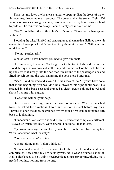Then just my luck, the heavens started to open up. Big fat drops of water fell over me, drowning me in seconds. The green and white stretch T-shirt I'd worn was now see-through and my jeans were stuck to my legs making it hard to peddle. The rain was so heavy, I could barely see in front of me.

"See." I could hear the smile in Jay's dad's voice. "Someone up there agrees with me"

Stopping the bike, I huffed and sent a glare to the man that disliked me with something fierce, plus I didn't feel too dizzy about him myself. "Will you shut up if I get in?"

"No, not particularly."

Well at least he was honest; you had to give him that!

Huffing again, I gave up. Walking over to the truck, I shoved the tubs at David through the window and walked my bike to the back of the truck, lifted it up and settled it slowly into the bed then ran around to the passenger side and lifted myself up into the seat, slamming the door closed after me.

"See," David crowed and shoved the tubs back at me. "If you'd have done that in the beginning, you wouldn't be a drowned rat right about now." He reached into the back seat and grabbed a clean cream-coloured towel and shoved it at me with a grunt.

"I was fine without your help."

David snorted in disagreement but said nothing else. When we reached town, he asked for directions. I told him to stop a street before my own. Turning to open the door, he grabbed my wrist in a firm grip, making me turn back to look at him.

"I understand, you know," he said. Now his voice was completely different. His eyes, so much like Jay's, were sincere, I could tell that at least.

My brows drew together as I let my hand fall from the door back to my lap. "You understand what, exactly?"

"You and what you're doing."

A snort left me then. "I don't think so."

No one understood. No one ever took the time to understand how complicated, how unfair my life actually was. No, I wasn't dramatic about it. Hell, I didn't need to be. I didn't need people feeling sorry for me, pitying me. I needed nothing, nothing from no one.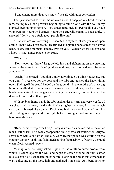"I understand more than you know," he said with utter conviction.

That just seemed to wind me up even more. I snapped my head towards him, feeling my blood pressure beginning to build along with the coil in my stomach beginning to tighten. "You understand fuck all. People like you have your own life, your own business, your own perfect little family. You people," I sneered, "don't give a fuck about people like me."

"That's where you're wrong," he shouted in my face. "I was you once upon a time. That's why I can see it." He rubbed an agitated hand across his shaved head. "I saw it the moment I laid my eyes on you. I've been where you are, and I know it's not a nice place to be, Rudi."

"Whatever"

"Don't even go there," he growled, his hand tightening on the steering wheel at the same time. "Don't go there with me; the attitude doesn't become you, Rudi."

"Again," I repeated, "you don't know anything. You think you know, but you don't." I reached for the door and my tubs and pushed the heavy thing open. Sliding off the seat, I landed on the ground—in the middle of a great big bloody puddle that came up over my anklebones. With a groan because my boots were acting like sponges and soaking the water up, I turned to slam the door as I muttered a "thank you".

With my bike in my hand, the tubs back under my arm and very wet feet, I watched—with a heavy head, a thickly beating heart and a coil in my stomach so strong, it burned like a bitch—David slowly drive away. I watched until his little red lights disappeared from sight before turning around and walking my bike towards home.

\*\*\*\*

"Rudi, come sweep over here," Barry instructed as he moved to the other black leather seat. I'd already prepped the old guy who sat waiting for Barry to shave him with a cutthroat. The old, worn leather pouch was waiting on the counter, along with his old-fashioned shaving foam, a bowl of warm water and clean, fresh-scented towels.

Moving to do as Barry asked, I grabbed the multi-coloured broom from where it leaned against the wall and began to sweep around the first leather bucket chair he'd used just minutes before. I swirled the brush this way and that way, collecting all the loose hair and gathered it in a pile. As I bent down to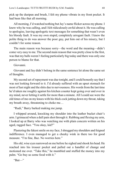pick up the dustpan and brush, I felt my phone vibrate in my front pocket. It had been like that all morning.

All morning, I'd watched nothing but Jay's name flicker across my phone. I knew why he was calling, and I felt ridiculously awful about it. He was calling to apologise, leaving apologetic text messages for something that wasn't even his bloody fault. It was my own stupid, completely arrogant fault. I knew the polite thing to do was answer the poor guy, put him out of his misery, but I couldn't for some reason.

The main reason was because sorry—the word and the meaning—didn't come very easy to me. The second main reason that was pretty close to the first, was that my balls weren't feeling particularly big today and there was only one person to blame for that.

Giovanni.

Giovanni and Jay didn't belong in the same sentence let alone the same set of thoughts.

My second set of repayment was due tonight, and I could honestly say that I was not looking forward to it. I'd already suffered with an upset stomach for most of last night and the shits due to nervousness. His words from the last time he'd taken me roughly against his kitchen counter kept going over and over in my mind, never letting it settle for more than a minute. All I could see were the old times of me on my knees with his thick cock jutting down my throat, taking my breath away, threatening to choke me…

"Rudi," Barry barked making me jump.

I whipped around, knocking my shoulder into the leather bucket chair's arm. I grimaced when a dull pain shot through it. Rubbing and flexing my arm, I looked up at Barry who was watching me with plain concern written on his aged, ragged face. "You okay, kid?"

Plastering the fakest smile on my face, I shrugged my shoulders and feigned indifference. I even managed to get a cheeky wink in there too for good measure. "I'm fine, Baz. No worries here."

His old, wise eyes narrowed on me before he sighed and shook his head. He reached into his trouser pocket and pulled out a handful of change and motioned me over. "Take this," he mumbled and stuffed the money into my palm. "Go buy us some food with it."

" $But$ —"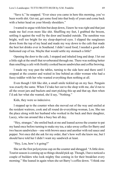"Save it," he snapped. "Ever since you came in here this morning, you've been worth shit. Get out, get some food into that body of yours and come back with a better head on your bloody shoulders."

I wanted to argue with him but deep down, I knew he was right and that just made me feel even more like shit. Shuffling my feet, I grabbed the broom, settling it against the wall by the door and headed outside. The sunshine was bright, well too bright for my sleep-deprived eyes. I slipped the sunglasses down from the top of my head and made my way down to the cafe that made the best hot drinks ever in Southend. I didn't need food; I needed a good oldfashioned cup of tea. Maybe that would settle my stomach a little?

Opening the door to the cafe, I stopped and inhaled long and deep. I let out a little sigh at the smell that reverberated through me. There was nothing better than smelling a cafe with freshly cooked bacon sandwiches and coffee brewing.

I made my way past the tables, turning to the side here and there until I stopped at the counter and waited in line behind an older woman who had a fussy toddler with her who wanted everything then nothing at all.

Even though I felt like shit, a small smile tickled up on my face. Penguin was exactly the same. When I'd take her out to the shop with me, she'd run to all the sweet jars and buckets and start picking this up and that up, then when I'd ask her what she wanted, she'd say, "Nothing."

Kids, they were so indecisive.

I stepped up to the counter when she moved out of the way and smiled at the resident waitress, cook and all round do-everything-woman, Lou. She ran the place along with her husband who worked in the back and their daughter, Lacey, who ran around like a busy bee all day.

"Hey, stranger," she smiled back at me and leaned across the counter to pat my hand once before turning to make my tea, a take-away coffee for Barry and two bacon sandwiches—one with brown sauce and another with red sauce and pepper. Not once did she ask for my order, that's how well she knew me, but I should have told her I didn't want my sandwich at least.

"Hey, Lou, how's it going?"

She set the first polystyrene cup on the counter and shrugged. "A little slow. Tourist season is coming up so things should pick up. Though, I have noticed a couple of builders who look mighty fine coming in for their breakfast every morning." She leaned in again when she set Barry's coffee down. "I think one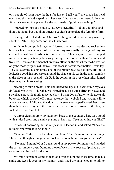or a couple of them have the hots for Lacey. I tell you," she shook her head even though she had a sparkle in her eyes, "those men, their eyes follow her little tush around this place like she was made of gold or something."

I pursed my lips and nodded. "Lacey is beautiful." I didn't do birds and I didn't do fanny but that didn't mean I couldn't appreciate the feminine form.

Lou agreed. "That she is. Oh look." She glanced at something over my shoulder. "Here they come for their lunch now."

With my brows pulled together, I looked over my shoulder and sucked in a breath when I saw a bunch of really hot guys—actually fucking hot guys covered in dust from head-to-foot enter the cafe. Their very nice, much pumped muscles were practically breaking through the holes in their T-shirts and trousers. However, the man that drew my attention the most because he was not only the most gorgeous of them all, but because he was the smallest—was Jay. He was laughing at something one of the bigger guys said to him. His smile looked so good, his lips spread around the shape of his teeth, the small crinkles at the sides of his eyes and—oh God, the colour of his eyes when mirth joined them was just intoxicating.

Needing to take a breath, I did and licked my lips at the same time my eyes drifted down to his T-shirt that was ripped in at least three different places and stretched across his thinly muscled chest. I went down further to his tracksuit bottoms, which showed off a nice package that wobbled and swung a little when he moved. I followed that down to his steel toe-capped booted feet. Even though he was filthy and the clothes so needed to be thrown in the bin, he looked sexy as f'ing hell.

A throat clearing drew my attention back to the counter where Lou stood with a raised brow and a smirk playing at her lips. "See something you like?"

Instead of answering her nosy question, I leaned in and asked, "They the builders you were talking about?"

"Sure are." She nodded in their direction. "There's more in the morning. Those five though are regular as clockwork. Which one has got your pick?"

"No one," I mumbled as I dug around in my pocket for money and handed the correct amount over. Dumping the rest back in my trousers, I picked up my selection and headed for the door.

My mind screamed at me to just look over at him one more time, take his smile and keep it deep in my memory until I had the balls enough to talk to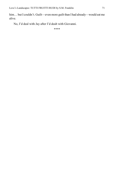him... but I couldn't. Guilt—even more guilt than I had already—would eat me alive.

No, I'd deal with Jay after I'd dealt with Giovanni.

\*\*\*\*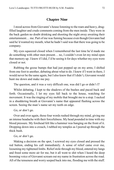## **Chapter Nine**

I stood across from Giovanni's house listening to the roars and heavy, drugfilled laughter and crude comments coming from the men inside. They were in the back garden no doubt drinking and shooting the night away awaiting their entertainment… me. Part of me was fuming because even though Giovanni had said he'd wanted my mouth, what he hadn't said was that there was going to be company.

My eyes squeezed closed when I remembered the last time he'd made me do something with other men present… no, I couldn't even let my mind open that memory up. I knew if I did, I'd be seeing it for days whether my eyes were closed or not.

Rubbing the goose bumps that had just popped up on my arms, I shifted from one foot to another, debating about what to do. I knew if I went in there, I would never be the same again, but I also knew that if I didn't, Giovanni would hunt me down and make me pay.

The question, and it was a very difficult one, was did I go or didn't I?

Whilst debating, I kept to the shadows of the bushes and paced back and forth. Occasionally, I let my eyes fall back to the house, watching for movement. It was the ringing of my mobile that brought me to a stop. I sucked in a shuddering breath at Giovanni's name that appeared flashing across the screen. Seeing the man's name set my teeth on edge.

### *Go, or don't go.*

Over and over again, those four words rushed through my mind, giving me an intense headache with their forcefulness. My head pounded in time with my blood pressure. My forehead felt like a hammer was banging on the front of it. Dropping down into a crouch, I rubbed my temples as I peered up through the thick bush.

### *Go, or don't go.*

Making a decision on the spot, I screwed my eyes closed and pressed the red button, ending his call immediately. A sense of relief came over me, loosening my tightened limbs. Relief stole through my blood, entered my lungs and freed some more air for me, but it all went to shit when I heard the deep booming voice of Giovanni scream out my name in frustration across the road. All of the tenseness and worry seeped back into me, flooding me with the stuff.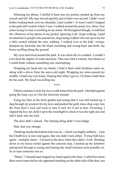Silencing my phone, I stuffed it back into my pocket, pushed up from my crouch and left. My legs moved quickly and of their own accord. I didn't even bother looking back over my shoulder, I just couldn't. It wasn't until I stopped at the park did I realise where I was. I walked around the pond, two, three, four times trying to clear everything in my mind. All throughout though, I could feel the vibrations of my phone in my pocket. Ignoring it all, I kept walking. I paid no attention to people who passed me, dogs being walked who ran up to me for a little scratch behind the ears, nothing. I walked over to the kids' swings, dumped my backside into the black moulding and swung back and forth, my boots scuffing along the ground.

My eyes narrowed around the park. It was silent all of a sudden. I couldn't even hear the ripples of water anymore. That was what I wanted. Just silence so I could think without something else interrupting.

Dropping my head into my hands, I held it there until tiredness came on, along with a shiver from the semi-cold night. Wrapping my arms around my middle, I made my way home. Hoping that when I got in, I'd claim a bath then hit the sack. My head was killing me.

Fifteen minutes it took for me to walk home from the park. I decided against going the long way so I hit the shortcuts instead.

\*\*\*\*

Eying my bike in the front garden and noting that it was still locked up, I dug through my pockets for my keys and pushed the gold, shoe-shop copy into the front door's lock and went to turn it only for it *not* to turn. Frowning, I slipped the key out, held it up to the streetlight to check it was the right one and slid it back into the lock.

The door didn't unlock. The fucking thing didn't even budge.

Huh, that was strange.

Thinking maybe the bottom lock was on—which was highly unlikely—I put the Chubb key in next and again, that one didn't turn either. Trying both keys again—multiple times—I kicked at the door when they didn't work. Bending down so my knees rested against the concrete step, I pushed up the letterbox and peered through it seeing and hearing the small fourteen-inch portable on. So at least someone was in.

"Mum," I shouted and slapped my hand against the door. I called her name three more times before she appeared standing on the other side of the door, not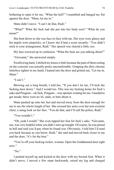bothering to open it for me. "What the hell?" I mumbled and banged my fist against the door. "Mum, let me in."

Mum didn't move. "I can't do that, Rudi."

"What?" What the fuck had she put into her body now? "What do you mean?"

She bent down so she was face-to-face with me. Her eyes were glassy and her pupils were pinpricks, so I knew she'd had a score recently. "You didn't stick to your arrangement, Rudi." Her speech was slurred a little, too.

My face screwed up in confusion. "What the fuck are you talking about?"

"Giovanni," she answered simply.

Swallowing hard, I shifted my knees a little because the pain of them resting on the concrete was actually pretty uncomfortable. Gripping the dirty chrome letterbox tighter in my hand, I leaned into the door and gritted out, "Let me in, Mum"

"I can't"

Blowing out a long breath, I told her, "If you don't let me, I'll kick the fucking door down." And I would too. This was my fucking home for fuck's sake and Penguin—oh fuck, Penguin—was upstairs waiting for me. I needed to get inside; there were no ifs, ands, or buts about it.

Mum pushed up onto her feet and moved away from the door enough for me to see the whole length of her. She crossed her arms over her non-existent chest, a smug look on her face. "You do that, and I'll call the police, Rudi."

"You wouldn't"

"Oh, yeah I would." She even tapped her foot for fuck's sake. "Giovanni, see, was very helpful when you didn't turn up tonight. Of course, he was pissed as hell and said you'd pay when he found you. Obviously, I told him I'd send you back because as you know, Rudi," she said and moved back closer to me and the door, "it's for the best."

"You're off your fucking rocker, woman. Open the Goddamned door right now."

" $No$ "

I pushed myself up and kicked at the door with my booted foot. When it didn't move, I moved a few steps backwards, raised my leg and charged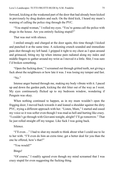forward, kicking at the weakened part of the door that had already been kicked in previously by drug dealers and such. On the third kick, I heard my mum's warning of calling the police ring through the PVC.

"You stupid woman," I rolled my eyes. "You're gonna call the police with drugs in the house. Are you entirely fucking stupid?"

That was met with silence.

I smiled smugly and charged at the door again, this time though I kicked and punched it at the same time. A sickening crunch sounded and immediate pain shot through my left hand. I gripped it tight to my chest as I spun around and grimaced, biting my lip when intense pain radiated along my index and middle fingers to gather around my wrist as I moved it a little. Shit, I was sure I'd broken something.

"Open the fucking door," I screamed out through gritted teeth, not giving a fuck about the neighbours or how late it was. I was losing my temper and fast.

" $No$ "

Intense anger burned through me, making my body vibrate with it. I paced up and down the garden path, kicking the shit litter out of the way as I went. My eyes continuously flicked up to my bedroom window, wondering if Penguin was okay.

When nothing continued to happen, as in my mum wouldn't open the frigging door, I moved back towards it and leaned a shoulder against the dirty PVC, trying a different approach with her. "Listen, Mum," I started and eased my voice so it was softer even though I was mad as hell and hurting like crazy. "I couldn't go through with Giovanni tonight, alright? I'll go tomorrow." That lie just rolled straight off my tongue. Like fuck I was going back.

Silence.

"I'll even…" I had to shut my mouth to think about what I could use to lie to her with. "I'll even do him an extra time; get a better deal for you than the one he offered, how's that?"

"You would?"

Bingo!

"Of course," I readily agreed even though my mind screamed that I was crazy stupid for even suggesting the fucking thing.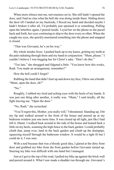When more silence met me, nervousness set in. She still hadn't opened the door, and I had no clue what the hell she was doing inside there. Sliding down the door till I landed on my backside, I flexed my hand and decided maybe I hadn't broken it after all. I'd probably just sprained it or something. Pulling open the letterbox again, I peered inside. I eyed her on the phone as she paced back and forth, her eyes continuing to skip to the door every so often. When she caught my eyes, she quickly murmured something into the phone and snapped it closed.

"That was Giovanni, he's on his way."

My whole insides froze. I pushed back up to my knees, gritting my teeth at the pain radiating through them and my hand in conjunction. "Mum, please." I couldn't believe I was begging her for Christ's sake. "Don't do this."

"Too late," she shrugged and fidgeted a little. "You know how this works, Rudi. You made an arrangement, remember?"

How the hell could I forget?

Rubbing the hand that didn't hurt up and down my face, I blew out a breath. "Mum, open the door, eh?"

" $No$ "

Roughly, I rubbed my tired and aching eyes with the heels of my hands. It was just one thing after another, it really was. "Mum," I said tiredly, all the fight leaving me. "Open the door."

"No, Rudi," she screeched.

"You'll regret this, Mother, you really will," I threatened. Standing up, I bit my lip and walked around to the front of the house and peered up at my bedroom window just one more time. It was closed up all tight, just like I had left it. Damn. I walked back around to the side of the house and leaned back a little on my heels, scanning the high fence to the back garden. I could probably climb that, jump over, land in the back garden and climb up the drainpipe, squeezing myself through the bathroom window. It would be a tight fit but I could do it, I was sure.

With a nod because that was a bloody good idea, I glared at the dirty front door and grabbed my bike from the front garden before Giovanni turned up. Steering my bike was difficult with one hand but I managed.

Just as I got to the top of the road, I pulled my bike up against the brick wall and peered around it. What I saw made a shudder run through me. Giovanni's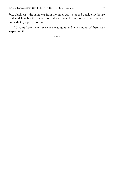big, black car—the same car from the other day—stopped outside my house and said horrible fat fucker got out and went to my house. The door was immediately opened for him.

I'd come back when everyone was gone and when none of them was expecting it.

\*\*\*\*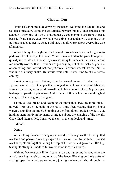## **Chapter Ten**

Hours I'd sat on my bike down by the beach, watching the tide roll in and roll back out again, letting the sea-salted air sweep into my lungs and back out again. All the while I did this, I continuously went over my plans front-to-back, back-to-front. I knew exactly what I was going to do and how I was going to do it. I just needed to get in. Once I did that, I could worry about everything else afterwards.

When I thought enough time had passed, I rode back home making sure to park my bike at the top of the road. When it was locked to the green lamppost, I quickly moved down the road, my eyes scanning the area continuously. Part of me actually worried that Giovanni was gonna jump out of the bush and grab me or something, but I waved that thought away. Giovanni wasn't like that. No, he was like a slithery snake. He would wait until it was time to strike before coming.

Slowing my approach, I bit my lip and squeezed my okay hand into a fist as I peered around a set of hedges that belonged to the house next door. My eyes scanned the living room window—all the lights were out. Good. My eyes just had to pop up to the top window. A little breath left me when I saw nothing had changed. That was good, real good.

Taking a deep breath and scanning the immediate area one more time, I moved. I ran down the path on the balls of my feet, praying that my boots weren't sounding too much. Stopping at the front door, I pulled my keys out, holding them tightly in my hand, trying to subdue the clanging of the metals. Once I had them stilled, I inserted the key in the top lock and turned.

It didn't.

Damn.

Withholding the need to bang my screwed-up fists against the door, I gritted my teeth and pocketed my keys again then walked over to the fence. I raised my hands, skimming them along the top of the wood and gave it a little tug, testing its strength. I nodded to myself when it barely moved.

Walking backwards a little, I gave a run and jump and latched onto the wood, levering myself up and on top of the fence. Blowing out little puffs of air, I gripped the wood, squeezing my jaw tight when pain shot through my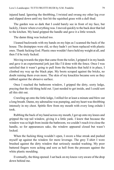injured hand. Ignoring the throbbing, I twisted and swung my other leg over and slipped down until my feet hit the squished grass with a dull thud.

The garden was so dark that I could barely see in front of my face, but luckily, I knew where everything was. I moved quickly to the back door that led to the kitchen. My hand gripped the handle and gave it a little wrench.

The damn thing was locked too.

I leaned backwards with my hands on my hips as I scanned the back of the house. The drainpipes were old, so they hadn't yet been replaced with plastic ones. Thank fucking God. Plastic ones wouldn't have held my weight at all, and then I'd be truly fucked.

Moving towards the pipe that came from the toilet, I gripped it in my hands and gave it an experimental jerk just like I'd done with the fence. Once I was satisfied that it wasn't going to pull from the brackets that held it in place, I climbed my way up the black pipe. My boots scraped against the bricks, no doubt ruining them even more. The skin of my knuckles became sore as they rubbed against the abrasive surface.

Once I reached the bathroom window, I gripped the dirty, sooty ledge, praying that the old thing held out. I just needed to get inside, and I could sort all this shit out.

Crawling up onto the little ledge, I stilled for at least a minute and blew out a long breath. Damn, my adrenaline was pumping, and my heart was throbbing intensely in my chest. Spittle flew from my mouth with every long exhale I took.

Rubbing the back of my hand across my mouth, I got up onto my knees and gripped the top tail window, giving it a little yank. I knew that because the window was so high from inside the bathroom, we couldn't reach it to close the handle, so for appearances sake, the window appeared closed but wasn't locked.

When the fucking thing wouldn't open, I swore a blue streak and pushed myself up against the window for more leverage. The grey T-shirt I wore brushed against the dirty window that seriously needed washing. My poor battered fingers were aching and sore as hell from the pressure against the white plastic moulding.

Eventually, the thing opened. I sat back on my knees very aware of the drop down behind me.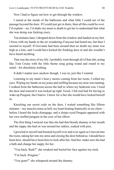Now I had to figure out how to get through the window.

I stared at the inside of the bathroom and what little I could see of the passage beyond the door. If I could just get in there, then all this could be over. I'd explain—no, I'd shake my mum to death to get her to understand that what she was doing was fucking crazy.

Ten minutes later, I dropped down from the window and landed on my feet. I froze with my hands in the air wondering if anyone had heard me, but then I snorted to myself. If Giovanni had been around then no doubt my mum was high as a kite, and I could have kicked the freaking door in and she wouldn't have heard anything.

That was the story of my life. I probably went through all of that shit, acting like Tom Cruise with the little theme song going round and round in my mind—for absolutely nothing.

It didn't matter now anyhow though. I was in, just like I wanted.

Listening to my mum's heavy snores coming from her room, I rolled my eyes. Wiping my hands on my jeans and sniffing because my nose was running, I walked from the bathroom across the hall to where my bedroom was. I tried the door and noticed it was locked up tight. Good. I felt real bad for having to wake up Penguin, but I had to. I knew for a fact she would have locked herself in.

Knocking our secret code on the door, I waited something like fifteen minutes—my muscles tense as hell, my heart beating frantically in my chest before I heard the locks disengage, and a sleepy-eyed Penguin appeared with her own stuffed penguin in the crux of her elbow.

The first thing I noticed was that she had that bloody dummy in her mouth and the nappy she had on was around her ankles, soaked with piss.

I growled to myself and berated myself over and over again as I moved into the room, taking her into my arms and closing the door behind us. I should have been here, should have been here to look after her, feed her, make sure she had a bath and change her nappy for her.

"You back, Rudi?" she croaked and buried her face against my neck.

"I'm back, Penguin."

"You gone?" she whispered around the dummy.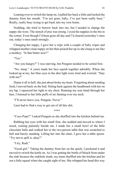Leaning over to switch the lamp on, I pulled her back a little and inched the dummy from her mouth. "I'm not gone, baby, I've just been really busy." Really, really busy trying to get back into my own home.

Nodding, she tried to burrow back into me, but I needed to change the nappy she wore. The stench of piss was strong. I eyed the nappies in the bin in the corner. Even though I'd been gone all day and I'd cleared yesterday's ones out, today's ones smelt strongly.

Changing her nappy, I gave her a wipe with a couple of baby wipes and whipped another clean nappy on her then picked her up so she clung to me like a monkey. "Is that better now?"

"Yes."

"Are you hungry?" I was starving, but Penguin needed to be sorted first.

"No, sleep." A yawn made her face squish together adorably. When she looked up at me, her blue eyes in the dim light were tired and worried. "Stay with me?"

Damn it all to hell, she just about broke my heart. Forgetting about needing food, I moved back on the bed. Sitting back against the headboard with her on my lap, I squeezed her tight to my chest. Running my sore hand through her hair, I listened to her little puffs of air fanning over my neck.

"I'll never leave you, Penguin. Never."

I just had to find a way to get out of all this shit.

\*\*\*\*

"Coco Pops?" I asked Penguin as she shuffled into the kitchen behind me.

Rubbing her eyes with her small fists, she nodded and moved to where I stood, waiting patiently beside me. I made her a small bowl of the little chocolate balls and walked her to the two-person table that was scratched to hell and barely standing. Lifting her into the chair, I gave her a table spoon. "Try not to spill it, okay?"

"I try, Rudi."

"Good girl." Taking the dummy from her on the quick, I pocketed it and moved to switch the kettle on. As I was getting the bottle of bleach from under the sink because the sinkhole stunk, my mum shuffled into the kitchen and let out a little squeal when she caught sight of me. She whipped her head this way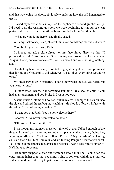and that way, eying the doors, obviously wondering how the hell I managed to get in.

I raised my brow at her as I opened the cupboard door and grabbed a cup. I'd need to do the washing up soon; we were beginning to run out of clean plates and cutlery. I'd wait until the bleach settled a little first though.

"What are you doing here?" she finally asked.

With my back to her, I said, "Didn't think you could keep me out, did you?"

"You broke your promise, Rudi."

I whipped around, a glare already on my face aimed directly at her. "I promised fuck all." Promises didn't exist in my world—well, unless you were Penguin that is, but everyone else's promises meant and were nothing, nothing at all.

Her shaking hand came up, a pointed finger jabbing at me. "You promised that if you and Giovanni… did whatever you do then everything would be okay."

My face screwed up in disbelief. "I don't know what the fuck you heard, but you heard wrong."

"I know what I heard," she screamed sounding like a spoiled child. "You had an arrangement and you broke it. I want you out."

A sour chuckle left me as I poured milk in my tea. I dumped the six pints to the side and stirred the tea bag in, watching little clouds of brown infuse with the white. "I'm not going anywhere."

"I want you out, Rudi. You're not welcome here."

I snorted. "I've never been welcome here."

"I'll just call Giovanni, then."

Even though my stomach muscles tightened at that, I'd had enough of the threats. I picked up my tea and settled my hip against the counter, facing her, feigning indifference. "Call him, tell him I'm here." My balls didn't feel as big as I said that. "Tell him I broke in and am feeding Penguin because you can't. Tell him to come and use me, abuse me because I won't take him voluntarily. He'll have to force me."

Her mouth snapped closed and tightened into a thin line. I could see the cogs turning in her drug-induced mind, trying to come up with threats, stories, and all-round bullshit to try to get me out or to do what she wanted.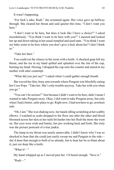It wasn't happening.

"For fuck's sake, Rudi," she screamed again. Her voice gave up halfway through. She cleared her throat and said quieter this time, "I don't want you here."

"I don't want to be here, but does it look like I have a choice?" I asked incredulously. "You think I want to be here with you?" I sneered and looked her up and down taking in her usual rumpled and used state. "You think I want my baby sister to be here where you don't give a fuck about her? I don't think so."

"Take her then"

You could cut the silence in the room with a knife. A shocked gasp left my throat, and the tea in my hand spilled and splashed over the rim of the cup, burning my hand. Hissing, I dropped the cup onto the counter and stared at my mother with utter contempt.

"What did you just say?" I asked when I could gather enough breath.

She waved her thin, bony arm towards where Penguin was blissfully eating her Coco Pops. "Take her. She's only trouble anyway. Take her with you when you go."

"You can't be serious?" Just because I didn't want to be here, didn't mean I wanted to take Penguin away. Okay, I did want to take Penguin away, but only when I had a better, safer place to go. Right now, I had nowhere to go, nowhere safe.

"Oh, I am." She was shaking now, her hands idling scratching at her scabby elbows. I watched as scabs dropped to the floor one after the other and blood bloomed across her skin as her nails bit harder into her flesh the more she went on. Her eyes were wide and frantic, her jaw working back and forth. She truly was the picture postcard of a true junkie.

The lump in my throat was nearly unmovable. I didn't know why I was so shocked to hear that she could just easily sweep me and Penguin to the side she'd done that enough to both of us already, but to hear her be so blunt about it, just cut deep like a knife.

"What if—"

My hand whipped up as I moved past her. I'd heard enough. "Save it."

"Rudi—"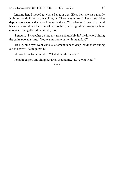Ignoring her, I moved to where Penguin was. Bless her; she sat patiently with her hands in her lap watching us. There was worry in her crystal-blue depths, more worry than should ever be there. Chocolate milk was all around her mouth and down the front of her bobbled pink nightdress, soggy balls of chocolate had gathered in her lap, too.

"Penguin," I swept her up into my arms and quickly left the kitchen, hitting the stairs two at a time. "You wanna come out with me today?"

Her big, blue eyes went wide, excitement danced deep inside them taking out the worry. "Can go park?"

I debated this for a minute. "What about the beach?"

Penguin gasped and flung her arms around me. "Love you, Rudi."

\*\*\*\*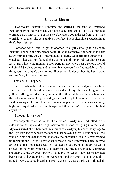## **Chapter Eleven**

"Not too far, Penguin," I shouted and shifted in the sand as I watched Penguin play in the wet muck with her bucket and spade. The little imp had wormed a new pink set out of me as we'd walked down the seafront, but it was worth it to see the smile constantly on her face. She looked like a caged animal that'd been let free.

I watched for a little longer as another little girl came up to play with Penguin. Penguin at first seemed to not like the company. She seemed to shift away from the little girl, as if intimidated. I felt my teeth grinding together as I watched. That was my fault. If she was in school, other kids wouldn't be an issue. But I knew the moment I took Penguin anywhere near a school, they'd call Social Services on me, and quicker than you could say "abracadabra." Next thing you knew, they'd be crawling all over me. No doubt about it, they'd want to take Penguin away from me.

That couldn't happen.

Satisfied when the little girl's mum came up behind her and gave me a little smile and a nod, I relaxed back into the sand a bit, my elbows sinking into the yellow stuff. I glanced around, taking in the other toddlers with their families, the older couples walking their dogs and just people lounging around in the sand, soaking up the sun that had made an appearance. The sun was shining high and bright, which was a change, and there wasn't a breeze to be had anywhere.

"I thought it was you."

My body stilled at the sound of that voice. Slowly, my head lolled to the side and found Jay standing right next to me, his toes wiggling into the sand. My eyes stared at his bare feet then travelled slowly up his bare, hairy legs to the tight jean shorts he wore that ended just above his knees. I continued all the way up to his tight package that made my mouth water a little. My eyes roamed up further to the T-shirt he wore that showed off his trim waist. Then I moved on to his slick, muscled chest that looked oh-so-very-nice under the white stretch top he wore, which just so happened to hug his rounded, sculptured shoulders. Going up even further, I licked my lips when I saw that his jaw had been cleanly shaved and his lips were pink and inviting. His eyes though gutted—were covered in dark glasses—expensive glasses. His dark-blond hair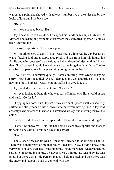was cut to a point and shaved with at least a number two at the sides and by the looks of it, around the back too.

"Rudi?"

My head snapped back. "Huh?"

Jay's head tilted to the side as he slapped his hands on his hips, his black Dr Martens boots dangling from his wrist where they were tied together. "You've been ignoring me."

It wasn't a question. No, it was a point.

My mouth opened to deny it, but it was true. I'd ignored the guy because I was a fucking fool and a stupid-arse prick. I'd run from him, his house, his family and why, because I was jealous as hell and couldn't deal with it. I knew that if I had stayed, I would have either said something that I couldn't afford to take back or passed out from everything going on in my head.

"You're right," I admitted quietly. I hated admitting I was wrong or saying sorry—both hurt like a bitch. Also, it damaged my ego and pride a little. Not having a lot of both as it was, I couldn't afford to give it away.

Jay pointed to the space next to me. "Can I sit?"

My eyes flicked to Penguin who was still off in her own little world of sea and sand. "Go for it."

Dropping his boots first, Jay sat down with such grace; I self-consciously shifted and straightened a little. "Nice weather we're having, huh?" Jay said absently as he scratched his nose and stretched his legs out, crossing them at the ankle.

I nodded and chewed on my lip a little. "I thought you were working?"

"I was," he answered. "But Dad had some issue with a supplier and that set us back, so he said all of us can have the day off."

"Huh."

The silence between us was suffocating. I needed to apologise; I had to. There was a major part of me that really liked Jay. Okay, I didn't know him very well, not very well at all, but something inside me when I was around him, settled. Something inside me, whatever it was, told me Jay was okay, he was good, but there was a little percent that still held me back and then there was the anger and jealousy I had to contend with too.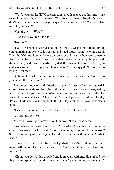"Why'd you run, Rudi?" Once again, my mouth opened but this time it was to tell him the truth, but Jay cut me off by raising his hand. "No, don't say it; I don't think I could bear to hear you say it." Jay's jaw worked. "You don't like me. Do you, Rudi?"

What the hell? "What?"

"That's why you ran, isn't it?"

"No, Jay."

"No." He shook his head and smiled, but it wasn't one of his bright contaminating smiles. No, it was sad and a tad bitter. "Don't say that, Rudi. Don't bullshit me. I get it. I came on too strong. I mean, who saves someone from getting beat up then comes around their house for dinner, puts up with all the shit that you did with regards to my dad, then when I tell you that I like you and show you my room, you run. I understand." He shrugged. "I came on too strong, I get that."

Grabbing hold of his arm, I turned him a little so he faced me. "Where do you get all this shit from?"

Jay's mouth opened and closed a couple of times before he snapped it closed. Snatching his arm back, he said, "You, that's who. Me, my imagination, who the hell do you think? You've been ignoring me for days, Rudi." He leaned forward and hissed, "Days, Rudi. My mind goes into overdrive. One day it's your fault, next day it's my fault, then the day after that, it's everyone else's fault."

"I know," I admitted quietly. "I'm sorry." There I had said it.

A snort left Jay. "Sorry?"

My own brown eyes narrowed on him now. "I said I was sorry."

"And what exactly are you sorry for?" he asked. His chin struck out as he crossed his arms over his chest. "Sorry for running out on me for no reason? Sorry for ignoring me, making me feel like I'd done something wrong? What, Rudi?"

I threw my hands up in the air as I pushed myself up and began to dust myself off. I could feel sand up my crack. *Ugh*. "Everything, okay? I'm sorry for it all."

"Oh, no you don't," Jay growled and jumped up with me. He grabbed my forearm and spun me around to face him. "You're not running on me again."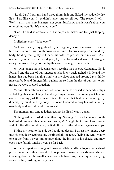"Look, Jay," I ran my hand through my hair and licked my suddenly dry lips, "I do like you. I just didn't have time to tell you. The reason I left… Well... uh... that's my business, not yours. Just know that it wasn't about you or anything you did. It's me, not you."

"Gee," he said sarcastically. "That helps and makes me feel just flipping dandy."

I rolled my eyes. "Whatever."

As I turned away, Jay grabbed my arm again, yanked me forward towards him and slammed his mouth down onto mine. His arms wrapped around my body, holding me tightly to him as his soft lips pressed onto my own. As I opened my mouth on a shocked gasp, Jay went forward and swiped his tongue along the inside of my bottom lip then over the edge of my teeth.

My own tongue moved, consciously seeking his one out. Hesitantly, I let it forward and the tips of our tongues touched. My back arched a little and my hands that had been hanging limply at my sides snapped around Jay's thinly muscled body and dragged him against me so from the tips of our toes to our noses, we were pressed together.

Moans left our throats when both of our mouths opened wider and our lips sealed together completely. I sent my tongue forward searching out his hot cavern, wanting just this once to taste the man that had been haunting my dreams, my mind, and my body. Just once I wanted to drag his taste into my own body and keep it, hold it, savour it.

The moment my tongue lathed against his lips, I was a goner.

Nothing had ever tasted better than Jay. Nothing I'd ever had in my mouth had tasted this ripe, this delicious, this *right.* A slight hint of mint with some sort of toffee-flavoured sweet, drifted off his breath and fanned against my lips.

Tilting my head to the side so I could go deeper, I thrust my tongue deep into his mouth, sweeping along the tips of his top teeth, feeling the semi-wonky one at the front. I swept my tongue along the insides of his cheeks and may even have felt his tonsils I went so far back.

We pulled apart with hungered groans and laboured breaths, our bodies hard pressed into each other. I could feel hot pressure on my hardened-as-a-rod cock. Glancing down at the small space barely between us, I saw Jay's cock lying along his hip, pushing into my own.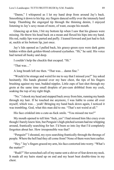"Damn," I whispered as I let my hand drop from around Jay's back. Smoothing it down to his hip, my fingers danced softly over the intensely hard lump. Thumbing the engorged tip through the thinning denim, I enjoyed listening to Jay's sexy moan of more, of want, escape his mouth.

Glancing up at him, I bit my bottom lip when I saw that his glasses were missing. He threw his head back on a moan and flexed his hips into my hand. His red, ruddy lips were parted and puffy. I leaned forward and just had to lick at, suckle at his bottom lip, just once.

Jay's lids opened as I pulled back, his grassy-green eyes were dark gems hidden within dark golden-blond coloured eyelashes. "Hi," he said. His voice had turned all husky and deep.

I couldn't help the chuckle that escaped. "Hi."

"That was…"

A long breath left me then. "That was… damn fine."

"Would it be strange and weird for me to say that I missed you?" Jay asked hesitantly. His hands ghosted over my bare chest, the tips of his fingers brushing against my taut, budded nipples. Little zaps of lust shot through my groin at the same time small droplets of pre-cum dribbled from my cock, soaking the top of my right thigh.

"No." I shook my head and stepped back away from him, running my hands through my hair. If he touched me anymore, I was liable to come all over myself, which was… yeah! Bringing my hand back down again, I noticed it was trembling. God, what this man did to me. "That's not weird at all."

His face crinkled into a cute-as-fuck smile. "You missed me too?"

My mouth opened to tell him "fuck, yes" I had missed him like crazy even though I barely knew him, but Penguin's high-pitched scream had me whipping around, frantically searching for her. I'd been so into Jay that I'd completely forgotten about her. How irresponsible was that?

"Penguin!" I shouted, my eyes searching frantically through the throngs of people. Where the hell had they all come from? None of them were here earlier.

"Hey." Jay's fingers grazed my arm, his face contorted into worry. "What's the matter?"

"Rudi?" Her screeched call of my name sent a shiver of fear down my neck. It made all my hairs stand up on end and my heart beat double-time in my chest.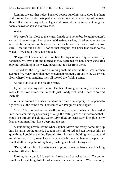Running towards her voice, I pushed people out of my way, elbowing them and shoving them until I stopped when water touched my feet, splashing over them till it reached my ankles. I glanced down at the wetness watching the foamy seawater splash over my toes.

Water

We weren't that close to the water. I made sure not to be. Penguin couldn't swim. I'd never taught her. When we'd arrived earlier, I'd taken note that the tide had been out and sat back up on the beach more than usual just to make sure. How the fuck didn't I notice that Penguin had been that close to the water? How could I have not noticed?

"Penguin!" I screamed as I rubbed the tips of my fingers across my forehead. My eyes hurt and burned as they searched for her. There were kids playing, splashing in the water, parents not too far from them.

I looked for the bright red swimming costume and the little, smaller than average five-year-old with honey-brown hair bouncing around in the water, but from where I was standing, they all looked the fucking same.

All the kids looked the fucking same.

Jay appeared at my side. I could feel his intense gaze on me, his questions ready to be fired at me, but he could just bloody well wait. I needed to find Penguin.

With the amount of noise around me and then a helicopter just happened to fly over us at the same time, I screamed out Penguin's name again—

"There." Jay pointed and went off running, me quick on his tail. Jay waded into the water, his legs powering through the rolling waves and seaweed that I could see through the cloudy water. My rolled-up jeans stuck like glue to my legs the moment I got knee-deep into the sea.

A shuddering breath left me when Jay bent down and swept something up into his arms. As he turned, I caught the sight of red and ran towards him as quickly as I could, snatching Penguin from his arms, holding her scared and trembling body to my own. I scaled my hands through her hair and gripped her small skull in the palm of my hand, pushing her head into my neck.

"Rudi," she sobbed, her salty tears dripping down my bare chest. Hacking coughs rattled her back.

Turning her around, I forced her forward as I smacked her stiffly on her small back, watching dribbles of seawater escape her mouth. When she only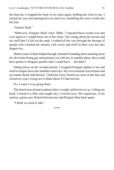dry-heaved, I wrapped her back in my arms again, holding her close to me. I closed my eyes and apologised over and over, mumbling the sorry words into her hair.

"Scared, Rudi."

"Shhh now, Penguin. Rudi's here. Shhh." I repeated those words over and over again as I waded back out of the water. Not caring about the towels and my stuff that I'd left on the sand, I walked all the way through the throngs of people who watched me intently with worry and relief in their eyes but also disgust too.

Shame none of them helped though. Instead of standing there sneering at me for obviously being gay and getting it on with Jay in a public place, they could have gotten to Penguin quicker than I could have... but didn't.

Sitting down on the wooden bench, I wrapped Penguin tighter to me and tried to temper down her shudders and cries. My own stomach was in knots and my hands shook ridiculously. I held her close, buried my nose in her hair and closed my eyes, trying not to think about if I had lost her.

No, I wasn't even going there.

The bench moved and creaked when a weight settled next to us. Lifting my head, I turned it a little and caught Jay's worried eyes. His suspicious, if not curious, green eyes flicked between me and Penguin then back again.

"I think we need to talk."

\*\*\*\*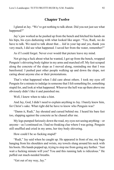## **Chapter Twelve**

I glared at Jay. "We've got nothing to talk about. Did you not just see what happened?"

Jay's jaw worked as he pushed up from the bench and hitched his hands on his hips, his eyes darkening with what looked like anger. "Yes, Rudi, we do have to talk. We need to talk about that… *kid* in your lap and yes, thank you very much, I did see what happened. I saved her from the water, remember?"

As if I could forget. Never ever would that picture leave my mind.

Not giving a fuck about what he wanted, I got up from the bench, wrapped Penguin's shivering body tighter in my arms and marched off. My feet scraped along the concrete of the slope as I moved along, reminding me that I was barefooted. I pushed past other people walking up and down the slope, not caring about anyone else or their protestations.

That's what happened when I did care about others. I took my eyes off Penguin for a minute to indulge in someone that I felt something for, something stupid for, and look at what happened. Whoever the hell was up there above me obviously didn't like it and punished me.

Well, I knew when to take a hint.

And Jay, God, I didn't need to explain anything to Jay. I barely knew him, for Christ's sake. What right did he have to know who Penguin was?

"Damn it, Rudi," Jay shouted and cursed behind me. I heard his bare feet too, slapping against the concrete as he chased after me.

My legs pumped furiously down the road, my eyes not seeing anything—or anyone—as I continued on. I had no freaking clue where I was going. Penguin still snuffled and cried in my arms, her tiny body shivering.

How could I be so fucking stupid?

"Rudi," Jay said when he caught up. He appeared in front of me, my bags hanging from his shoulders and wrists, my towels slung around his neck with his boots. His hands popped up, trying to stop me from going any further. "Just wait a fucking minute will you? You and this running lark is ridiculous." He puffed out much-needed breaths.

"Get out of my way, Jay."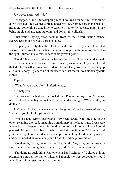Jay's eyes narrowed. "No."

I shrugged. "Fine." Sidestepping him, I walked around him, continuing down the road. I felt wetness spread under my feet. Somewhere in the back of my mind, something warned me to stop, to listen to Jay because *again* I was being stupid and arrogant, ignorant and downright childish.

"Just wait." Jay appeared back in front of me, determination etched everywhere on his perfect, gorgeous face.

I stopped, and only then did I look around to see exactly where I was. I'd walked quite a way from the beach and in the opposite direction of home. On the spot, I turned in a circle. Where exactly was I going?

"Good." Jay nodded and approached me warily as if I were a rabid animal. His arms came up and brushed up and down my own ones. Only when he did that, did I realise that I was now cold too. I could feel goose bumps popping up all over my body. I glanced up at the sky to see that the sun was hidden by dark clouds.

Typical.

"What do you want, Jay?" I asked quietly.

"To help you."

My brows scrunched together as I shifted Penguin in my arms. My arms, now I noticed, were beginning to ache with her dead weight. "Why would you do that?"

Jay's eyes flicked between me and Penguin before he answered softly, "Because you look like you need help."

I bristled and stepped backwards. My head darted from one side to the other, scanning the road, imagining a small map in my head. Once I was sure where I was, I began to walk in the direction of back home. Maybe I could persuade Mum to let me back in whilst I sorted something out? "I don't need your help, Jay. I don't need anyone's help." For so long, I'd done it by myself and never needed anyone's help and I didn't need help now either.

"Goddamnit," Jay growled and grabbed hold of my arm, pulling me to a stop. "You're not doing this to me again, Rudi. You're coming with me."

"I'm doing no such thing. Remove your hand right now." I glared at him, promising him that no matter whether I thought he was gorgeous or not, I would hurt him to get him away from me.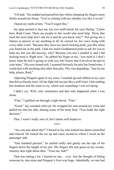"Uh-huh." He nodded and pursed his lips whilst clamping his fingers more firmly around my bicep. "You're coming with me whether you like it or not."

I bared my teeth at him. "You'll regret this."

Jay spun around to face me, his own teeth bared, his eyes flaring. "Listen here, Rudi Costa. There are people in this world who need help. Those that need the most help don't ask for it and do you know why?" Not giving me a chance to answer or say anything at all, he carried on, his voice rising with every other word. "Because they have too much fucking pride, just like when you found me in the park. I had too much Goddamned pride to ask for you to help me, but you did anyway, why? Because you saw I needed it, and I did fucking need it. Right now," he jabbed his finger at me, "you need it. I don't know what the hell is going on with you, but I know that it involves the girl in your arms." His eyes turned soft. I scanned furiously for pity but found none. I could deal with anything else other than pity. Pity was degrading. "Just let me help, please, Rudi."

Adjusting Penguin again in my arms, I reached up and rubbed at my eyes that felt so bloody tired. All the fight left me just like a stiff wind. I felt nothing but tiredness and the want to cry, which was something I was not doing.

I didn't cry. Well, only sometimes and that only happened when I was alone.

"Fine," I garbled out through a tight throat. "Fine."

"Good." Jay sounded relieved. He wrapped his arm around my waist and pulled me into his side, sharing some of his body heat. "You made the right decision."

That, I wasn't really sure of, but I damn well hoped so.

\*\*\*\*

"Are you sure about this?" I hissed at Jay who looked too damn controlled and relaxed. He locked the car up and came around to where I stood on the passenger side.

"One hundred percent," he smiled softly and gently ran the tips of his fingers down the length of my jaw. His fingers felt real good on my sweaty, clammy skin right about then. "Trust me, huh?"

That was asking a lot. I trusted no one… ever. Just the thought of letting someone in, into mine and Penguin's lives was huge. Admittedly, no one had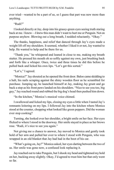ever tried—wanted to be a part of us, so I guess that part was new more than anything.

"Rudi?"

I looked directly at Jay, deep into his grassy-green eyes seeing truth staring back at me. I knew—*I knew* this man didn't want to hurt me or Penguin. Not on purpose anyhow. Blowing out a long breath, I nodded reluctantly. "Okay."

The thanks, happiness, and relief that danced through Jay's eyes made a weight lift off my shoulders. It seemed, whether I liked it or not, Jay wanted to help. He wanted to help and be there for us.

"Thank you," he whispered and leaned in close to me, making my breath stutter. He pressed his mouth oh so softly against my own, just brushing back and forth like a whisper. Once, twice and three times he did this before he pulled back and licked his own lips. "Let's get this sorted."

"Let's," I agreed.

"Monica?" Jay shouted as he opened the front door. Baloo came skidding to a halt, his nails scraping against the shiny wooden floor as he scrambled for purchase. Jumping up, he launched himself at Jay, making Jay grunt and go back a step as his front paws landed on his shoulders. "Nice to see you too, big guy," Jay reached round and rubbed the big dog's head then pushed him down.

"In the kitchen," Monica's musical voice chimed.

I swallowed and licked my lips, closing my eyes a little when I tasted Jay's remnants loitering on my lips. I followed Jay into the kitchen where Monica stood at the counter, chopping what looked like green peppers. Did the woman ever stop cooking?

Turning, she looked over her shoulder, a bright smile on her face. Her eyes flicked to where I stood in the doorway. Her smile stayed in place as her brows rose. "Rudi, it's nice to see you again."

Not giving me a chance to answer, Jay moved to Monica and gently took hold of her arm and pulled her over to where I stood with Penguin, who was wrapped in an old blanket that Jay had had in the boot of his car.

"What's going on, Jay?" Monica asked, her eyes darting between the two of us. Her smile was gone now, a confused look replacing it.

Jay reached out to take Penguin, but I shook my head and tightened my hold on her, backing away slightly. Okay, I'd agreed to trust him but that only went so far.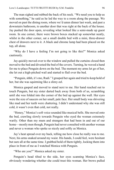The man sighed and rubbed the back of his neck. "We need you to help us with something," he said as he led the way to a room along the passage. We moved on past the dining room, where we'd eaten dinner last week, and past a downstairs bathroom, to another door that was right at the back of the house. Jay pushed the door open, revealing what looked like a semi-made up guest room. In one corner, there were brown boxes stacked up somewhat neatly, whilst in the other corner, sat a small double bed with a mini, three-drawer chest of drawers next to it. A black and chrome lamp had been placed on the top, all alone.

"Why do I have a feeling I'm not going to like this?" Monica asked cautiously.

Jay quickly moved over to the window and pulled the curtains closed then moved to the bed and divested the bed of the covers. Turning, he waved a hand for me to place Penguin down on the bed. The moment my arms let go of her, she let out a high-pitched wail and started to flail over the bed.

"Penguin, shhh, it's me, Rudi." I grasped her again and tried to keep hold of her, but she was squirming like a slimy eel.

Monica gasped and moved to stand next to me. Her hand reached out to touch Penguin, but my sister darted back away from both of us, scrambling until she was folded into the corner of the bed up against the wall. Her eyes were the size of saucers on her small, pale face. Her small body was shivering like mad and her teeth were chattering. I didn't understand why she was still cold, it wasn't even that cold, not really.

"Honey," Monica's soft voice sounded like musical bells. She moved onto the bed, crawling slowly towards Penguin who eyed the woman extremely warily. Other than my mum and strangers that had been in and out of our home—mostly men though, Penguin had never consulted with another woman and never a woman who spoke so nicely and softly as Monica.

Jay's heat spread over my back, telling me how close he really was to me. Next, his arms snaked around my waist. His hands, I could feel, were hesitant but sure all at the same time. I grabbed hold of them tightly, locking them into place in front of me as I watched Monica with Penguin.

"Who are you?" Monica asked my sister.

Penguin's head tilted to the side, her eyes scanning Monica's face, obviously wondering whether she could trust this woman. Her brows pulled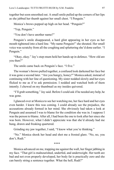together but soon smoothed out. A small smile pulled up the corners of her lips as she jabbed her thumb against her small chest. "I Penguin."

Monica's brows popped up high on her head. "Penguin?"

"Yep, Penguin."

"You don't have another name?"

Penguin's smile disappeared, a hard glint appearing in her eyes as her mouth tightened into a hard line. "My name Penguin!" she shouted. Her small voice was scratchy from all the coughing and spluttering she'd done earlier. "I Penguin."

"Okay, okay." Jay's step-mum held her hands up in defence. "How old are you then?"

The smile came back on Penguin's face. "I five."

The woman's brows pulled together, a confused look darkened her face but it was gone a second later. "Are you hungry, honey?" Monica asked, instead of continuing with her line of questioning. My sister nodded slowly and her eyes flicked to me as if to ask permission. I nodded and watched both of them intently. I chewed on my thumbnail as my insides quivered.

"I'll grab something," Jay said. Before I could ask if he needed any help, he was gone.

I glanced over at Monica to see her watching me, her face hard and her eyes even harder. I knew this was coming. I could already see the prejudice, the accusations already formed in her mind. She obviously had taken a look at Penguin and assumed I was to blame for the condition she was in. I suppose I was the person to blame. After all, I had been the one to look after her since she was born. However, what I didn't appreciate was that she'd already had me hung, drawn and freaking quartered.

Grinding my jaw together, I said, "I know what you're thinking."

"No." Monica shook her head and shot me a frosted glare. "No, no, you don't, Rudi."

\*\*\*\*

Monica advanced on me, trapping me against the wall, her finger jabbing in my face. "That girl is malnourished, underfed, and underweight. Her teeth are bad and not even properly developed, her body fat is practically zero and she can barely string a sentence together. What the hell, Rudi?"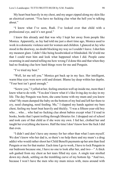My heart beat heavily in my chest, and my anger zipped along my skin like an electrical current. "You have no fucking clue what the hell you're talking about"

"I know what I've seen, Rudi. I've looked over that child with a professional eye, and it's not good."

I knew this already and that was why I kept her away from people like Monica. Apparently, as Jay had told me just a short time ago, Monica used to work in a domestic violence unit for women and children. I glanced at Jay who stood in the doorway, no doubt blocking my way so I couldn't leave. I shot him my meanest glare. I didn't like being hoodwinked or blindsided. He'd told me that I could trust him and look what happened when I did. People came swarming in and started telling me how wrong I'd done this and that when they had no freaking clue how hard things were for me and Penguin.

"I've tried my best."

"Well, let me tell you." Monica got back up in my face. Her intelligent, warm blue eyes were now cold and distant. Blame lay deep within her depths. "Your best isn't good enough."

"Screw you," I yelled at her, feeling emotion well up inside me, more than I knew what to do with. "You don't know what it's like living day-to-day in my life. The day Penguin was born, she came home with my mum and you know what? My mum dumped the baby on the bottom of my bed and left her there to cry, need changing, need feeding. Me," I slapped my hands against my bare chest, feeling my heart beat heavily and thickly. "I was a fifteen-year-old boy who… who… who had no fucking clue about babies except what I'd read in books, books that I spent trolling through libraries for. I dropped out of school and took care of that child as if she were my own. I fed her, clothed her and taught her everything she knows. Half the time I don't know how the fuck I did that even.

"I didn't and don't have any money for her other than what I earn myself. We don't know who her dad is, so there's no help there and my mum's a drug addict who would rather shoot her Child Benefit payments up her arm than feed Penguin or me for that matter. Each time I go to work, I have to lock Penguin in our bedroom because one, I have no one to look after her, and two—" A thick sob gushed from my chest as hot tears filled my eyes. A single tear strolled down my cheek, settling on the trembling curve of my bottom lip. "And two, because I won't have the men who my mum mixes with, mess around with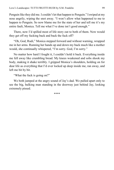Penguin like they did me. I couldn't let that happen to Penguin." I swiped at my nose angrily, wiping the snot away. "I won't allow what happened to me to happen to Penguin. So now blame me for the state of her and tell me it's my entire fault, Monica. Tell me what I've done isn't good enough."

There, now I'd spilled most of life story out to both of them. Now would they get off my fucking back and back the fuck off?

"Oh, God, Rudi," Monica stepped forward and without warning, wrapped me in her arms. Running her hands up and down my back much like a mother would, she continually whispered, "I'm sorry. God, I'm sorry."

No matter how hard I fought it, I couldn't hold it back. Everything inside me fell away like crumbling bread. My knees weakened and sobs shook my body, making it shake terribly. I gripped Monica's shoulders, holding on for dear life as everything that I'd ever locked up deep inside me, ran away, and left me bit by bit.

"What the fuck is going on?"

We both jumped at the angry sound of Jay's dad. We pulled apart only to see the big, hulking man standing in the doorway just behind Jay, looking extremely pissed.

\*\*\*\*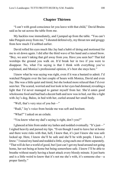## **Chapter Thirteen**

"I can't with good conscience let you leave with that child," David Bruins said as he sat across the table from me.

My hackles rose immediately, and I jumped up from the table. "You can't take Penguin away from me," I shouted defensively, my throat raw and groggy from how much I'd sobbed earlier.

David rolled his eyes much like Jay had a habit of doing and motioned for me to sit down again. I did after the third wave of his hand and a raised brow. "Boy, we aren't taking that girl away from you. Have you seen her? That kid worships the ground you walk on. It'd break her in two if you were to disappear. No, what I'm saying is that I think with everything you've explained, and Monica's professional opinion, it's best she stays here."

I knew what he was saying was right, even if it was a bastard to admit. I'd watched Penguin over the last couple of hours with Monica, David and even Jay. She was a little quiet and timid, but she looked more relaxed than I'd ever seen her. The scared, worried and lost look in her eyes had dimmed, revealing a light that I'd never managed to garner myself from her. She'd eaten good wholesome food and had had a decent bath and now was in bed, out like a light with Jay's dog, Baloo, in bed with her, curled around her small body.

"Well, that's very nice of you but—"

"Rudi," Jay's voice from beside me was soft and hesitant.

"What?" I asked on an exhale.

"You know what my dad's saying is right, don't you?"

I glanced at him from under my lashes and nodded eventually. "It's just—" I sighed heavily and pursed my lips. "Even though I used to leave her at home and there were risks with that, hell, I knew that, it's just I knew she was safe locked up. Here, I know she'll be safe and she'll be with people. I know, *I know*." I raised my hand and nodded a little, eying each one of them separately. "That will do her a world of good, but I just can't get my head around not going home, her not being at home but being somewhere safe. I know I'll be able to breathe without nearly having a heart attack every bloody minute. It just hurts and is a little weird to know that it's not me she's with, it's someone else—a proper family."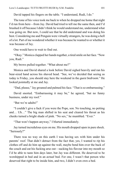David tapped his fingers on the table. "I understand, Rudi, I do."

The tone of his voice took me back to when he dropped me home that night I'd run from here—from Jay. David had tried to tell me the same then, and I'd brushed it off because I didn't think he would understand me, understand what was going on. But now, I could see that he did understand and was doing his best. Considering me and Penguin were virtually strangers, he was doing a hell of a lot. Part of me wondered whether it was because he wanted to or whether it was because of Jay.

One would have to wait to find out.

"Okay." Monica clapped her hands together, a tired smile on her face. "Now you, Rudi."

My brows pulled together. "What about me?"

Monica and David shared a look before David sighed heavily and ran his bear-sized hand across his shaved head. "See, we've decided that seeing as today is Friday, you should stay here the weekend in the *guest bedroom*." He looked pointedly at me and Jay.

"Dad, please," Jay groaned and palmed his face. "That is so embarrassing."

David snorted. "Embarrassing it may be," he agreed, "but no funny business, under my roof."

"But we're adults!"

"I couldn't give a fuck if you were the Pope, son. No touching, no petting and… Uh…" The big man shifted in his seat and cleared his throat as his cheeks turned a bright shade of pink. "No sex," he mumbled. "Ever."

"That won't happen anyway," I blurted immediately.

Jay turned incredulous eyes on me. His mouth dropped open in pure shock. "Seriously?"

There was no way on this earth I was having sex with him under his parents' roof. That didn't detract from the fact that, yes, I wanted to rip his clothes off and do him up against the wall, maybe bend him over the back of the couch and eat his fucking arse out—sucking his flavour into my mouth so I'd be able to taste him days later, but Jay was different. He deserved to be worshipped in bed and in an *actual* bed. For one, I wasn't that person who deserved that right to be inside him, and two, I didn't even own a bed.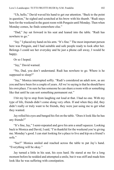"Uh, hello," David waved his hand to get our attention. "Back to the point in question," he sighed and scratched at his brow with his thumb. "Rudi stays here for the weekend in the guest room with Penguin until Monday. Then when Monday comes, he finds somewhere else."

"Dad," Jay sat forward in his seat and leaned into the table. "Rudi has nowhere to go."

"Jay." I placed my hand on his arm. "It's fine." The most important person here was Penguin, and I had suitable and safe people ready to look after her. Belongs I could see her everyday and be just a phone call away, I would be happy.

Or so I hoped.

"Jay," David warned.

"No, Dad, you don't understand. Rudi has nowhere to go. Where is he supposed to sleep?"

"Jay," Monica interrupted softly. "Rudi's considered an adult now, as are you and have been for a couple of years. All we're saying is that he should have his own place. I'm sure he has someone he can share a room with or something like that until he can sort something permanent out."

I bit my lip to stop from laughing out loud at that. I had no one. With my type of life, friends didn't come along very often. If and when they did, they didn't really or truly want to be friends, they were just using me to get what they wanted.

Jay rolled his eyes and banged his fist on the table. "Does it look like he has any friends?"

"It's fine, Jay," I semi-repeated and gave his arm a small squeeze. Looking back to Monica and David, I said, "I'm thankful for the weekend you're giving me. Monday's good. I can start looking for a place to live and kip on a friend's sofa."

"See?" Monica smiled and reached across the table to pat Jay's hand. "Everything will be okay."

Jay turned a little in his seat, his eyes hard. He stared at me for a long moment before he nodded and attempted a smile, but it was stiff and made him look like he was suffering with constipation.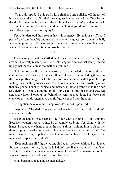"That's all sorted," David said with a final nod and polished off the rest of his beer. Over the rim of his dark brown glass bottle, he eyed me. Once he put the drink down, he leaned into the table and said, "You're welcome back anytime to come see Penguin. She'd be real hurt if you didn't come see her, Rudi. Do you get what I'm saying?"

Yeah, I understood the threat in that little sentence. Giving him a stiff nod, I pushed up from the table and made my way to the guest room down the hall, where Penguin slept. If I was going to be away from her come Monday then I wanted to spend as much time as possible with her.

The clicking of the door startled me from sleep. I sat up in bed quickly, my arm automatically reaching over to check Penguin. She was fast asleep, buried up against the wall across the mattress from me.

\*\*\*\*

Nodding to myself that she was okay, my eyes darted back to the door. I couldn't see who it was, yet because all the lights were out, including the one in the passage. Reaching over to the chest of drawers, my hands tapped the top feeling for something to use as a weapon. When I couldn't find anything other than my phone, I silently cursed, and instead, slithered off the bed to the floor as quietly as I could. Landing on all fours, I rolled my lips in and crawled across the floor. Stopping just behind the semi-opened door, I sat back and clenched my hands together as a dark figure stepped into the room.

Letting them take one more step towards the bed, I pounced.

"Arghhhh." The dark figure screamed out in shock and fright. It didn't sound very manly.

We both landed in a heap on the floor with a couple of dull thumps. Because I couldn't see anything, I was completely blind. Searching with my hands, I wrapped one hand around the man's throat, holding him in place, my thumb digging into the pulse point whilst the other went across his mouth. The man scrambled to get up, his hands clutching at me, his legs kicking out. The man tried to speak but couldn't.

"Keep fucking still," I growled and shifted my body over his so I could feel for any weapon he may have had. I didn't recall the clatter of a knife or anything like that from when we went down. I twisted from where I sat on his legs and frowned when I came up with bare skin.

What burglar robbed a house half-naked?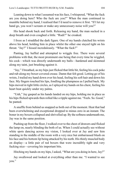Leaning down to what I assumed was his face, I whispered, "What the fuck are you doing here? Who the fuck are you?" When the man continued to mumble behind my hand, I realised that I'd need to remove it first. "If I let my hand go, you won't scream or make any unnecessary noise will you?"

His head shook back and forth. Releasing my hand, the man sucked in a deep breath and even coughed a little. "Rudi?" he croaked.

I froze as I straddled the dark figure. One of my hands clutched his wrists above his head, holding him in place whilst the other one stayed tight on his throat. "Jay?" I hissed incredulously. "What the fuck?"

Panting, Jay huffed and attempted to wriggle free. There were several problems with that, the most prominent one being that every time he wiggled, his cock—which was directly underneath my balls—hardened and skimmed along my taint, just brushing against it.

"Jay," I breathed, as my hips just flicked that little bit, feeling his cock poke and rub along my boxer-covered crease. Damn that felt good. Letting go of his wrists, I trailed my hand down over his head, feeling his soft hair and down his face. My fingers touched his lips, fondling the plumpness as I pulled back. My hips moved in tight little circles, as I splayed my hands on his chest, feeling his heart beat quickly under my palms.

"Unh," Jay gasped as his hands landed on my hips, holding me in place as his hips flicked upwards then rolled like a ripple against me. "Feels. So. Good," he panted.

A snuffle from behind us snapped us both out of the moment. Heat that had been overwhelming and exceptional dropped to minus zero in an instant. The boner in my boxers collapsed and shrivelled up. By the softness underneath me, Jay was in the same position.

Pushing up from the floor, I walked over to the chest of drawers and flicked the lamp on, nearly blinding the both of us. When I could actually see without white spots dancing across my vision, I looked over at Jay and saw him standing in the middle of the room with a very nice but embarrassed blush on his face and his bottom lip being attacked by his teeth. His thinly muscled body on display—a little pair of red boxers that were incredibly tight and very fucking nice—covering his important bits.

Hitching my hands on my hips, I asked, "What are you doing in here, Jay?"

Jay swallowed and looked at everything other than me. "I wanted to see you."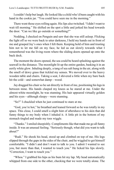I couldn't help but laugh. He looked like a child who'd been caught with his hand in the cookie jar. "You could have seen me in the morning."

There went those eyes rolling again. His lips also twitched. "I didn't want to wait till morning." He shifted on the spot a little and jerked his head towards the door. "Can we like go outside or something?"

Nodding, I checked on Penguin and saw that she was still asleep. Flicking the light off so we were back to utter darkness, I held my hands out in front of me and grasped Jay's ones when I felt them. Keeping hold of him and trusting him not to let me fall on my face, he led us out slowly towards what I remembered was the living room where the sliding doors opened up onto the back deck.

The moment the doors opened, the sea could be heard splashing against the seawall in the distance. The moonlight lit up the entire garden, basking it in an eerily white glow. Inhaling deeply, a tang of sea salt hung in the air, along with the smell of dewy grass that tickled my senses. We moved over to the heavy wooden table and chairs. Taking a seat, I shivered a little when my bare back hit the cold—and somewhat damp—wood.

Jay dragged his chair so he sat directly in front of me, positioning his legs in between mine. His hands clasped my knees as he stared at me. Under the almost-white moonlight, he was stunning. His hair appeared virtually golden and his eyes—although sleepy—were stunning.

"So?" I chuckled when he just continued to stare at me.

"God, you're hot," he breathed and leaned forward so he was totally in my space. This close, I could smell a slight hint of aftershave to his skin that did funny things to my body when I inhaled it. A little pit in the bottom of my stomach tingled and made my toes wiggle.

"Thanks." I smiled sheepishly. Compliments like that made me go all funny inside. It was an unusual feeling. "Seriously though, what did you want to talk about?"

"Rudi." He shook his head, stood up and climbed on top of me. His legs slipped through the gaps in the sides of the chair, and he wiggled to get himself comfortable. "I didn't and don't want to talk to you. I admit I wanted to see you, but more than that, I wanted to touch you." He licked his lips slowly. "Correction, I want to touch you."

"Whoa." I grabbed his hips as his bum hit my lap. My head automatically whipped from one side to the other, checking that we were totally alone. The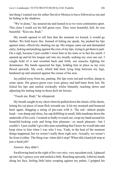last thing I wanted was for either David or Monica to have followed us out and be hiding in the shadows.

"We're alone," Jay assured me and leaned in so we were centimetres apart. This close I could see his full green eyes. They were beautiful, hell, he was beautiful. "Kiss me, Rudi."

My mouth opened to tell him that the moment we kissed, it would go further. We both knew this. Instead of letting me speak, Jay pushed his lips against mine, effectively shutting me up. His tongue came out and demanded entry, licking and pushing against the crux of my lips, trying to get them to part. On a sigh, because I just couldn't resist him or his taste or in fact his smell, I opened up and let his tongue sail into my mouth, seeking my own one out. I caught hold of it and wrestled back and forth, our muscles fighting for dominance. My hands squeezed his hips, holding him in place as my own flexed upwards. My cock, which had been lying limp between my legs, hardened up and smeared against the crease of his arse.

Jay pulled away from me, panting. His lips were red and swollen, damp in some spots. His grassy-green eyes were glassy and half-mast from lust. He licked his lips and smiled crookedly whilst blatantly reaching down and adjusting his tenting lump in those *fuck me* boxers.

"Touch me, Rudi," he whispered.

My breath caught in my chest when he pulled down the elastic of his shorts, letting his cut piece of meat flick towards me. It hit my stomach and bounced back again, dragging a string of pre-cum with it. The red—almost purple head—was damp and shiny, his sap dribbling in small, little teardrops down the underside of his cock. I wanted so badly to reach out, wrap my hand around his beautiful-looking cock and bring him pleasure—so much pleasure—but I couldn't. I just couldn't give this man something that I knew he would take and keep close to him when I was who I was. Yeah, in the heat of the moment things happened, but we weren't really there right now. Actually, we weren't far from it either. The thing was: when did it stop? When did a hand job stop at just a hand job?

Answer: they didn't.

Swallowing hard at the sight of his very nice, very succulent cock, I glanced up into Jay's grassy eyes and smiled a little. Reaching upwards, I slid my hands along his face, feeling little hairs scraping against my palms. I gripped his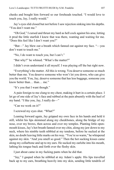cheeks and bought him forward so our foreheads touched. "I would love to touch you, Jay, I really would."

Jay's eyes slid closed but not before I saw rejection sinking into his depths. "You don't want me."

"Oh God," I cursed and thrust my hard as hell cock against his arse, letting it prod the little starfish I knew that was there, wanting and waiting for me. "Does this feel like I don't want you?"

"But—" Jay blew out a breath which fanned out against my face. "—you don't want to touch me."

"No, I do want to touch you, but I can't."

"But why?" he whined. "What's the matter?"

I didn't even understand it all myself. I was playing off the bat right now.

"Everything's the matter. All this is wrong. You deserve someone so much better than me. You deserve someone who won't let you down, who can give you the world. You, Jay, deserve someone that has less baggage, someone you know better than… than… me."

"It's you that I want though."

A pain foreign to me clung to my chest, making it hurt in a certain place. I let go of one side of Jay's face and rubbed at the pain absently with the heel of my hand. "I like you, Jay, I really do—"

"Can we work on it?"

I screwed my eyes shut. "What?"

Leaning forward again, Jay gripped my own face in his hands and held it still, whilst his lips skimmed along my cheekbones, along the bridge of my nose, over my brows, then across and over my temples. Planting little openmouth kisses, Jay's hot breath fanned over my chin, along my jaw down to my neck, where his nimble teeth nibbled at my tendons, before he sucked at the skin, no doubt leaving little marks on his way. "You're so warm," he whispered against my skin. "And you smell so good." Then the hot sucking kisses came along my collarbone and up to my ears. He sucked my earlobe into his mouth, lathing his tongue back and forth over the fleshy skin.

I just about came in my fucking pants when he did that.

"Jay," I gasped when he nibbled at my Adam's apple. His lips travelled back up to my ears, breathing heavily into my skin, sending little tendrils of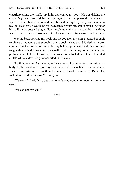electricity along the small, tiny hairs that coated my body. He was driving me crazy. My head dropped backwards against the damp wood and my eyes squeezed shut. Intense want and need burned through my body for the man in my lap. How easy it would be for me to rip his pants off, spit in my hand, finger him a little to loosen that guardian muscle up and slip my cock into his tight, warm cavern. It was all so easy, yet so fucking hard… figuratively and literally.

Moving back down to my neck, Jay bit down on my skin. Not hard enough to pierce or puncture but enough that my cock jerked and dribbled more precum against the bottom of my belly. Jay licked up the sting with his hot, wet tongue then lathed it down into the small point between my collarbones before pulling back. He lifted himself up a tad so he could look down at me. He smiled a little whilst a devilish glint sparkled in his eyes.

"I will have you, Rudi Costa, and vice versa. I want to feel you inside my body, Rudi. I want to feel you days later when I sit down, bend over, whatever. I want your taste in my mouth and down my throat. I want it all, Rudi." He looked me dead in the eye. "I want you."

"We can't," I told him, but my voice lacked conviction even to my own ears.

"We can and we will."

\*\*\*\*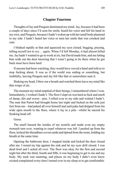## **Chapter Fourteen**

Thoughts of Jay and Penguin dominated my mind. Jay, because it had been a couple of days since I'd seen his smile, heard his voice and felt his hand in my own, and Penguin, because I hadn't woken up with her small body plastered to my side. I hadn't heard her voice or seen her smile that was crooked and cute.

I blinked rapidly at that and squeezed my eyes closed, begging, praying, telling myself not to cry… again. When I'd left Monday, it had almost killed me. Jay hadn't wanted to go to work at six, but David made him, and me letting him walk out the door knowing that I wasn't going to be there when he got back must have been hard.

If anyone had been watching, they would have waved a hand and told us to stop fucking about. It was as if the world was ending or something, but truthfully, leaving Penguin and Jay felt like that or somewhere near it.

Shaking my head, I blew out a breath and watched them leave my mind like thin wisps of air.

The moment my mind emptied of their beings, I remembered where I was. Immediately, I wished I hadn't. The floor I slept on was hard as fuck and smelt of damp, dirt and worse—piss. I rolled over to my side and wished I hadn't. The man that Parrot had brought home last night and fucked on the sofa just feet from me—had puked all over himself and said puke had dripped from his wide open mouth to the floor, where it lay in a pile—whilst he snored his freaking head off.

Gross.

The smell burned the insides of my nostrils and made even my empty stomach turn over, wanting to expel whatever was left. I pushed up from the floor, kicked the threadbare covers aside and tiptoed from the room, holding my breath at the same time.

Opening the bathroom door, I stepped inside and kicked the door closed after me. I rested my hip against the sink and let my eyes drift closed. I was dead tired and I ached all over. The floor was okay for the first and second night but after the third, fourth and fifth, it was beginning to get to me and my body. My neck was smarting, and places on my body I didn't even know existed complained every time I turned over in my sleep or to get comfortable.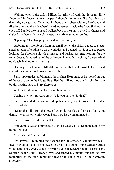Walking over to the toilet, I lifted the grimy lid with the tip of my little finger and let loose a stream of pee. I thought home was dirty but this was damn-right disgusting. Yawning, I rubbed at my chest with my free hand and tilted my head to the side when I heard movement outside the door. Shaking my cock off, I pulled the chain and walked back to the sink, washed my hands and sluiced my face with the cold water, instantly waking myself up.

"Open up." The banging on the door made me jump.

Grabbing my toothbrush from the small pot by the sink, I squeezed a peasized amount of toothpaste on the bristles and opened the door to see Parrot looking like absolute shit. He grimaced and pushed past me, heading for the toilet. Just as I stepped out of the bathroom, I heard his retching. Someone had obviously had too much last night.

Heading to the kitchen, I filled the kettle and flicked the switch, then leaned against the counter as I brushed my teeth.

Parrot appeared, stumbling into the kitchen. He grunted as he shoved me out of the way to get to the fridge. He pulled the milk out and drank right from the bottle, making sure to burp afterwards.

Well that put me off the tea I was about to make.

Curling my lip, I raised a brow. "Did you have to do that?"

Parrot's own dark brows popped up, his dark eyes not looking bothered at all. "Do what?"

"Drink the milk from the bottle." Okay, it wasn't the freshest of milk but damn, it was the only milk we had and now he'd contaminated it.

Parrot blinked. "Is this your flat?"

I rolled my eyes and immediately smiled when Jay's face popped into my mind. "No but—"

"Then shut it," he barked.

"Whatever," I mumbled and reached for the coffee. My thing was tea. I loved a good old cup of hot, sweet tea, but I also didn't mind coffee. Coffee without milk however was not in my top five, but beggars couldn't be choosers. Spitting in the sink, I leaned over and rinsed my mouth out and set my toothbrush to the side, reminding myself to put it back in the bathroom afterwards.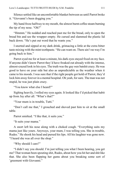Silence settled like an uncomfortable blanket between us until Parrot broke it. "Giovanni's been dogging you."

My hand froze halfway to my mouth, the almost burnt coffee steam burning the tip of my nose. "Oh?"

"Hmmm." He nodded and reached past me for the bread, only to open the bread bin and see the wrapper empty. He cursed and slammed the plastic lid back down. "He's put out word that he wants you."

I snorted and sipped at my dark drink, grimacing a little at the extra bitter taste mixing with the mint toothpaste. "He can want on. There ain't no way I'm going back to him."

Parrot eyed me for at least a minute, his dark eyes stayed fixed on my face. If anyone didn't know Parrot they'd have freaked out already with the intense, almost-crazed look in his eyes. The truth was the guy *was* batshit crazy. He was good to have on your side but also as unpredictable as the weather when it came to his moods. I was sure that if the right people got hold of Parrot, they'd lock him away forever in a mental hospital. Oh yeah, for sure. The man was not stupid, he was just plain crazy.

"You know what else I heard?"

Sighing heavily, I rolled my eyes again. It looked like I'd picked that habit up from Jay after all. "What's that?"

"Your mum is in trouble, Tutti."

"Don't call me that," I grouched and shoved past him to sit at the small table.

Parrot smirked. "I like that, it suits you."

"It suits your mama."

A snort left his nose along with a choked cough. "Everything suits my mama just like yours. Anyways, your mum, I was telling you. She in trouble, Rudes." He shook his head and pursed his lips. All his laughter was gone now. "I heard she was all over the shop."

"Why should I care?"

"I didn't say you should. I'm just telling you what I been hearing, you get me? That woman been spouting shit, Rudes, about how you hit her and shit like that. She also been flapping her gums about you breaking some sort of 'greement with Giovanni."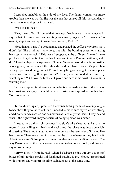I scratched irritably at the side of my face. The damn woman was more trouble than she was worth. She was the one that caused all this mess, and now I was the one paying for it, as usual.

"Well it's all lies."

"Cuz," he scoffed. "I figured that time ago. Problem we have or you, shall I say, is that Giovanni is out and wanting your arse, you get me? He wants in. To own it, slap it and stamp it down. You in deep, Rudes."

"Gee, thanks, Parrot," I deadpanned and pushed the coffee away from me. I didn't feel like drinking it anymore, not with the burning sensation starting back up in my stomach. "This was all supposed to be different. She told me to go, Parrot, to get the fuck out of her house and to take Penguin with me, and I did," I said with pure exasperation. "I knew Giovanni would be after me—that was a given, but to hear all the other shit and be blamed for it, it's just plain wrong. I promised Penguin that I'd sort everything out and get us a nice place where we can be together, you know?" I said, and he nodded, still intently watching me. "But how the fuck can I go out and earn some crust if Giovanni's wanting me?"

Parrot was quiet for at least a minute before he made a noise at the back of his throat and shrugged. A wild, almost sinister smile spread across his face. "We go to work."

\*\*\*\*

Over and over again, I practised the words, letting them roll over my tongue to hear how they sounded out loud. I needed to make sure my voice was strong and didn't sound as scared and as nervous as I actually was inside. Okay, scared wasn't the right word, maybe fearful of being rejected was better.

I needed to do this right because I couldn't take sleeping at Parrot's no more. It was killing my back and neck, and the place was just downright disgusting. The thing that got to me the most was the reminder of it being like back home. There were men in and out of the place whenever they felt like it. Albeit they weren't druggies or drunks, but they were sex addicts, I swear. The way Parrot went at them made even me want to become a monk, and that was saying something.

Barry walked in from the back, where he'd been sorting through a couple of boxes of mix for his special old-fashioned shaving foam. "Got it." He grinned with triumph showing off nicotine-stained teeth at the same time.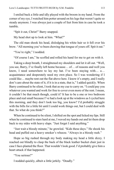I smiled back a little and idly played with the broom in my hand. From the corner of my eye, I watched him potter around on his legs that weren't quite so steady anymore. I was always just a couple of feet from him in case he took a tumble.

"Spit it out, Christ!" Barry snapped.

My head shot up to look at him. "What?"

The old man shook his head, dislodging his white hair so it fell over his brow. "All morning you've been chewing that tongue of yours off. Spit it out."

"You're right," I nodded.

"Of course I am," he scoffed and rolled his hand for me to get on with it.

Taking a deep breath, I straightened my shoulders and let it all out. "Well, you see, Barry, I've finally left home because… of… of reasons and well you know, I need somewhere to lay my hat. I've been staying with... a... acquaintance and desperately need my own place. So I was wondering if I could like… maybe rent out the flat above here. I know it's empty, and I really don't care about the state of it, if it is in a state, that is," I added quickly. When Barry continued to be silent, I took that as my cue to carry on. "I could pay you whatever you wanted and work for free to cover even more of the rent. I mean, it couldn't be that much though, could it? It has to be a one or two bedroom place and real small because I've had a look up at the windows as I cycled here this morning, and they don't look too big, you know? I'd probably struggle with the bills for a little bit until I could work things out, but I could deal with that. So what do you think?"

When he continued to be silent, I shifted on the spot and licked my lips. Still when he continued to stare hard at me, I waved my hands out and let them drop back to my sides with heavy slaps. "Just forget I said anything."

"Just wait a bloody minute," he growled. "Kids these days." He shook his head and puffed out a heavy smoker's wheeze. "Always in a bloody rush."

Hope so big rushed through my body making my head a little dizzy. I reached out blindly to clasp the back of the black leather bucket chair just in case I face-planted the floor. That wouldn't look good. I'd probably give him a heart attack if that happened.

"You serious?"

I nodded quickly, albeit a little jerkily. "Deadly."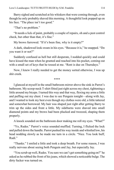Barry sighed and scratched at his whiskers that were coming through, even though he only probably shaved this morning. A thoughtful look popped up on his face. "The place isn't too good."

"That's no problem."

"It needs a lick of paint, probably a couple of repairs, oh and a pest control check, but other than that, it's fine."

My brows furrowed. "If it's been fine, why is it empty?"

A dark, shadowed look swam in his eyes. "Because it is," he snapped. "Do you want it or not?"

Suddenly confused as hell but still desperate, I nodded quickly and could have kissed the man when he grunted and reached into his pocket, coming out with a small set of keys that he tossed at me. "Rent is due on Thursdays."

Now, I knew I really needed to get the money sorted otherwise, I was up shit creek.

\*\*\*\*

I glanced at myself in the small bathroom mirror above the sink in Parrot's bathroom. My scoop-neck T-shirt fitted just right across my chest, tightening a little around my biceps. I turned this way and that way, flexing my arms a little and puffing out my chest. I was due to see Penguin tonight—along with Jay, and I wanted to look my best even though my clothes were old, a little tattered and somewhat borrowed. My hair was shaped just right after getting Barry to trim up the sides and front a little. My sideburns were shaved into small diamond points and my brows had been plucked and tweezed, shaping them properly.

A knock sounded on the bathroom door making me roll my eyes. "What?"

"Yo, Rudes." Parrot's voice sounded muffled. Turning, I flicked the lock and pulled down the handle. Parrot pushed his way inside and whistled low, his head nodding slowly as he made me turn in a circle. "Nice. You look buff, Rudi<sup>"</sup>

"Thanks." I smiled a little and took a deep breath. For some reason, I was really nervous about seeing both Penguin and Jay, but especially Jay.

"You scrub up well, Rudes. You sure we can't get something going on?" he asked as he rubbed the front of his jeans, which showed a noticeable bulge. The dirty fucker was turned on.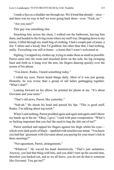I made a face as a shudder ran through me. We'd tried that already—once and there was no way in hell we were going back there—ever. "Fuck, no."

"Are you sure?"

This guy was something else.

Smacking him across the chest, I walked out the bathroom, leaving him there, and headed to the living room where my stuff was. Dropping down to my knees, I rifled through my small bag of clothing. I had a couple pair of jeans, a few T-shirts and a hoody that I'd grabbed, but other than that, I had nothing, really. Everything was still at home—a home that I wasn't welcomed at.

Sighing, I wrapped my clothes up, trying to make them as small as possible. Parrot came into the room and slouched down on the sofa, his leg swinging back and forth as it hung over the arm, his fingers dancing quickly over the screen of his phone.

"You know, Rudes, I heard something today."

I rolled my eyes. Parrot heard things daily. Most of it was just gossip. Honestly, he was worse than a group of old ladies gasbagging together. "What's that?"

Leaning forward on his elbow, he pointed his phone at me. "It's about Giovanni and your mum."

"That's old news, Parrot, like yesterday."

"Nah-uh." He shook his head and pursed his lips. "This is good stuff, Rudes. I'm talking about top notch."

When I said nothing, Parrot prodded again and again and *again* until I threw my hands up in the air. "Okay, I give," I said with pure exasperation. "What's so fucking important that you feel the need to bug the shit out of me?"

Parrot smirked and tapped his fingers against his thigh whilst his eyes which were dark pools of black—sparkled with mischievous intent. "You know you had that 'greement with Giovanni about you paying for your mum's tick in three meetings?"

"Not agreement, Parrot, arrangements."

"Whatever." He waved his hand dismissively. "That's just semantics. Anyway, you had that thing with him, and you didn't turn up the second time, therefore you backed out, and as we all know, you do not do that to someone like Giovanni. You get me?"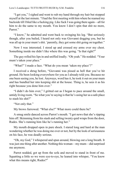"I get you," I sighed and went to rub my hand through my hair but stopped myself at the last minute. "I had the first meeting with him where he reamed my backside till I bled like a fucking pig. Like fuck I was going there again—all for him to do the same to my mouth. You know I don't spin that shit no more, Parrot<sup>"</sup>

"I know," he admitted and went back to swinging his leg. "But seriously though, after you bailed, I heard not only was Giovanni dogging you, but he was all up in your mum's shit. 'parently, they got some shit going on together."

Now I was interested. I stood up and crossed my arms over my chest. Something inside me didn't like where this was going. "Is that right?"

The guy rolled his lips in and sniffed loudly. "Oh yeah." He nodded. "Your mum's taken your place."

"What?" I made a face. "What do you mean 'taken my place'?"

I received a shrug before, "Giovanni was pissed as hell that you've hit ground. He been looking everywhere for you as I already told you. Because no one been seeing you, he lost. Anyways, word has it, he took it out on your mum and has bundled her into keeping shit at the house. Thing is, he sees it as his right because you done him over."

"I didn't do him over," I gritted out as I began to pace around the small, untidy living room. "So what you're saying is that he's using her as a safe place to stash his shit?"

"Not only that."

My brows furrowed. "What else?" What more could there be?

A smug smile danced across Parrot's mouth. "I got news that she's ripping him off. Skimming from his stash and selling twenty quid wraps from the door, Rudes. She's running him like he's running her."

My mouth dropped open in pure shock. I stared long and hard at the man wondering whether he was doing me over or not, but by the look of seriousness on his face, he was deadly serious.

"Oh, my God," I whispered and spun around, blowing out a long breath. It was just one thing after another. Nothing this woman—my mum—did surprised me anymore.

Parrot nodded, got up from the sofa and moved to stand in front of me. Squatting a little so we were eye-to-eye, he leaned into whisper, "You know what this means right, Rudes?"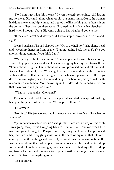"No. I don't get what this means." I wasn't exactly following. All I had in my head was Giovanni taking whatever shit out on my mum. Okay, the woman had done me over multiple times and treated me like nothing more than shit on the bottom of her shoe, but there was still something inside me that clenched hard when I thought about Giovanni doing to her what he'd done to me.

"It means," Parrot said slowly as if I were stupid, "we cash in on the shit, right?"

I reared back as if he had slapped me. "Oh to the hell no." I shook my head and waved my hands in front of me. "I am not going back there. You've got another thing coming if you think I am."

"Will you just think for a minute?" he snapped and moved back into my space. He gripped my shoulder in his hands, digging his fingers into my flesh. "Think about Penguin. Think about what you promised her and all that shit, Rudes. Think about it, Cuz. We can get in there, be in and out within minutes with a shitload of that fat fucker's gear. Then when our pockets are full, we go down the Wellington, pawn the lot and bingo!" he boomed, his eyes wild with uncontained excitement. "We be rolling in it, Rudes. At the same time, we do that fucker over and punish him."

"What you got against Giovanni?"

The excitement bled from Parrot's eyes. Intense darkness spread, making his eyes chilly and cold all at once. "A couple of things."

"Like what?"

"Nothing." His jaw worked and his hands clenched into fists. "So, what do you say?"

My immediate reaction was *no fucking way*. There was no way on this earth I was going back, it was like going back to Titanic—no. However, when I let my mind go and thought of Penguin and everything that I had in fact promised her, there was a little niggling sensation in the back of my mind that told me I could give her those things and more if I just went back that one more time. If I just put everything that had happened to me into a small box and packed it up for the night, I could be a stranger, mute, estranged. If I had myself locked up tight—my feelings and emotions to be precise—then nothing I heard or saw could effectively do anything to me.

But I couldn't.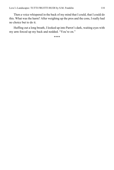Then a voice whispered in the back of my mind that I could, that I could do this. What was the harm? After weighing up the pros and the cons, I really had no choice but to do it.

Huffing out a long breath, I looked up into Parrot's dark, waiting eyes with my arm forced up my back and nodded. "You're on."

\*\*\*\*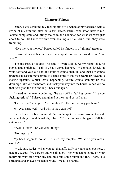## **Chapter Fifteen**

Damn, I was sweating my fucking tits off. I wiped at my forehead with a swipe of my arm and blew out a fast breath. Parrot, who stood next to me, looked completely and utterly too calm and collected for what we were just about to do. His hands weren't even shaking a little. Mine, huh, they were trembling.

"Give me your money." Parrot curled his fingers in a "gimme" gesture.

I looked down at his palm and back up at him with a raised brow. "For what?"

"For the gear, of course," he said if I were stupid. At my blank look, he sighed and explained, "This is what's gonna happen. I'm gonna go knock on your door and your old bag of a mum is gonna open up, and then I'm gonna pretend I'm a customer coming to get me some of that nice gear that Giovanni's storing upstairs. Whilst that's happening, you're gonna shimmy up the drainpipe, like you did before, and track your way into the house. When you do that, you grab the shit and leg it back out again."

I stared at the man, wondering if he was off his fucking rocker. "Are you fucking serious?" I hissed and glared at the stupid-as-hell man.

"Excuse me," he argued. "Remember I'm the one helping you here."

My eyes narrowed. "And why is that, exactly?"

Parrot licked his big lips and shifted on the spot. He peeked around the wall we were hiding behind then dodged back. "I'm getting something out of all this shit as well."

"Yeah, I know. The Giovanni thing."

"Not just that."

My head began to pound. I rubbed my temples. "What do you mean, exactly?"

"Well, duh, Rudes. When you get that laffy taffy of yours back out here, I take my twenty-five percent and we all even. Then you can be going on your merry old way, find your guy and give him some pump and run. There." He shrugged and splayed his hands wide. "We all be happy."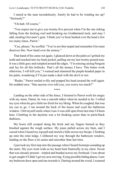I stared at the man incredulously. Surely he had to be winding me up? "Seriously?"

"Uh-huh. Of course."

"You expect me to give you twenty-five percent when I'm the one risking falling from the fucking roof and breaking my Goddamned neck, and may I add, stealing Giovanni's gear. I think you've been bashed over the head a few too many times, Parrot."

"Cuz, please," he scoffed. "You're not *that* stupid and remember Giovanni deserves this. Now hand over the money."

That hand of his came out again. I glanced down at the palm as I gritted my teeth and reached into my back pocket, pulling out my last twenty-pound note. It was a little grey and rumpled around the edges. "I'm missing seeing Penguin and Jay for all this bollocks. That's all the money I have. This better work otherwise, I will kill you," I warned and slammed the purple-headed paper in his palm, wondering if I'd just made a deal with the devil or not.

"Rudes." Parrot smiled evilly and popped his head around the wall again. He nodded once. "Has anyone ever told you, you worry too much?"

\*\*\*\*

Landing on the other side of the fence, I listened to Parrot work his magic with my mum. Damn, he was a smooth talker when he needed to be. I rolled my eyes when he got a little too fresh for my liking. When he coughed, that was my cue to go. I ran around the back of the house and eyed the bathroom window. I felt myself smile when I saw it was still open from last time I'd been here. Climbing in the daytime was a lot freaking easier than in pitch-black darkness.

My boots still scraped along the brick and my fingers burned as they brushed against the rough surface. My jeans pulled across my bum, and I cursed when I heard my top pull and stretch a little across my biceps. Climbing up onto the mini ledge, I slithered my way through the bathroom window, landing on the floor a lot easier and smoother than last time.

I just took my first step into the passage when I heard footsteps sounding up the stairs. My eyes went wide as my heart beat frantically in my chest. Sweat that was already present—tripled and beaded across my forehead. I was about to get caught if I didn't get my arse moving. Eying possible hiding places, I saw my bedroom door open and ran towards it. Darting around the wood, I scanned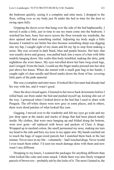the bedroom quickly, seeing it a complete and utter mess. I dropped to the floor, rolling over so my body just fit under the bed in time for the door to swing open fully.

Gripping the duvet cover that hung over the side of the bed haphazardly, I moved it aside a little, just in time to see my mum come into the bedroom. I watched her bare, bony feet move across the floor towards my wardrobe, the door opened and then something rustled. Adjusting my body angle a little because I wanted to see better but also because something sharp was digging into my hip, I caught sight of my mum and bit my lip to stop from making a noise. She was covered in dark black, blue and purple bruises. Her hair, that was usually down and greasy, was pulled back into a mess of a bun with little tendrils hanging down. Her wafer-thin body trembled, making the dirty, pink nightdress she wore dance. My eyes travelled down her bare twig-sized legs, and I cringed. From the back, I could see the finger marks pressed into her skin just above her knees. When she turned with a small gear bag in her hands, I caught sight of clear needle and blood marks down the front of her, covering little parts of the pink material.

She was a complete and utter mess. It looked like Giovanni had already had his way with her, and it wasn't good.

Once the door closed again, I listened to her move back downstairs before I rolled back out from under the bed and pushed myself up, kicking shit out of the way. I grimaced when I looked down at the bed that I used to share with Penguin. The off-white sheets were now grey in some places, and in others, there were dried patches of what looked like cum.

Gagging, I moved over to the wardrobe and felt my eyes go wide and my jaw drop open at the stacks and stacks of drugs that had been placed neatly inside. My clothes, that were once hanging up and folded along the bottom, were now gone—all replaced with boxes and packets of Class A drugs. Wrapped up in meshed cotton, the smell permeated my nose, making me turn my head to the side and bury my nose in my upper arm. My hands reached out to touch the bags of sugar-sized parcels but I snatched them back at the last minute. Never once in my life—voluntarily—had I touched drugs. Never would I ever touch them either. I'd seen too much damage done with them and now wasn't any different.

Dropping to my knees, I scanned the packages for anything different than what looked like coke and some smack. I think there was also finely wrapped parcels of brown too—probably ash by the looks of it. The more I leaned in, the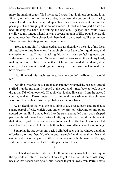more the smell of drugs filled my nose. I swear I got high just breathing it in. Finally, at the bottom of the wardrobe, in between the bottom of two stacks, was a clear dustbin liner wrapped up with an elastic band around it. Pulling the package out and cringing at the sound it made, I turned and dropped it onto the bed. Busting the band and rolling the bag out, I gasped and could have swallowed my tongue when I saw an obscene amount of fifty-pound notes, all piled up together. On a closer look there had to be something like ten maybe fifteen or even twenty grand staring up at me.

"Holy fucking shit," I whispered as sweat rolled down the side of my face. Sitting back on my haunches, I annoyingly wiped the salty liquid away and chewed on my lips. I knew that taking this money meant so fucking much, but at the same time, justice and Giovanni's just desserts rolled through my head, making me smile a little. I knew that fat fucker was loaded, but damn, if he could just leave amounts of drugs and money here then how much more did he have elsewhere?

Also, if he had this much just here, then he wouldn't really miss it, would he?

Deciding what was best, I grabbed the money, wrapped the bag back up and stuffed it under my arm. I stopped at the door and turned back to look at the drugs that I'd left untouched. If I took what looked like a key from the stack, I could give that to Parrott instead of parting with the cash, even though there was more than either of us had probably seen in our lives.

Again deciding that was the best thing to do, I raced back and grabbed a square parcel of coke which went under my arm too. Chewing on my poor, abused bottom lip, I dipped back into the stash and pulled out a book-shaped package full of pressed ash. Before I left, I quickly searched through the shit that littered my old bedroom floor and found an old duffel bag. It was wrinkled as hell and had a small hole at the bottom, but it would hide what I was holding.

Strapping the bag across my back, I climbed back out the window, landing effortlessly on my feet. My whole body trembled with adrenaline, fear and excitement. I was carrying a shitload of money and a high quantity of drugs, and it was fair to say that I was shitting a fucking brick!

\*\*\*\*

I watched and waited until Parrot left on his merry way before heading in the opposite direction. I needed not only to get to the flat I'd rented off Barry because that needed sorting out, but I needed to get far away from Parrot before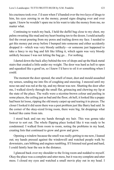his craziness took over. I'd seen when I'd handed over the two keys of drugs to him, his eyes zeroing in on the money, pound signs dinging over and over again. I knew he wouldn't spare me in his want to take the money from me, no matter what.

Continuing to watch my back, I held the duffel bag close to my chest, my palms sweating like mad and my heart beating ten to the dozen. I could actually feel the sweat pouring from my pores and trailing down my face. I needed to get this money put away before I bumped into someone and either accidently dropped it—which was very bloody unlikely—or someone just happened to take a fancy to my bag and felt like lifting it, which again was very bloody unlikely because I was not letting the bag go… For nothing.

I darted down the back alley behind the row of shops and up the black metal stairs that creaked a little under my weight. The door was hard as hell to open and squeaked like a good'en, so I knew I'd have to oil it or something when I could.

The moment the door opened, the smell of must, dust and mould assaulted my senses, sending me into fits of coughing and sneezing. I sneezed until my nose ran and was red at the tip, and my throat was raw. Shutting the door after me, I walked slowly through the small flat, grimacing and chewing my lip at the state of the place. The walls were a nicotine-brown colour and peeling in some places, the ceiling just as bad and the floor, oh hell, it looked like a puppy had been let loose, ripping the old musty carpet up and tearing it to pieces. The closer I looked it did seem there was a pest problem just like Barry had said. In the corner of the okay-sized living room, there were big, fat droppings what looked like came from rats.

I stood back and ran my hands through my hair. This was gonna take forever to sort out. The whole flipping place looked like it was ready to be condemned. I walked from room to room, noting the problems in my head, creating lists that continued to grow and grow and grow.

Opening a window because the smell was really getting to me now, I leaned out; my hands pressed against the windowsill and watched people walk by downstairs, cars bibbing and engines rumbling. If I listened real good and hard, I could faintly hear the sea in the distance.

I glanced back over my shoulder to the living room and nodded to myself. Okay the place was a complete and utter mess, but it was my complete and utter mess. I closed my eyes and watched a small movie play out in my head. I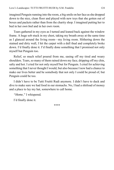imagined Penguin running into the room, a big smile on her face as she dropped down to the nice, clean floor and played with new toys that she gotten out of boxes and packets rather than from the charity shop. I imagined putting her to bed in her *own bed* and in her *own room.* 

Tears gathered in my eyes as I turned and leaned back against the window frame. A huge sob stuck in my chest, taking my breath away at the same time as I glanced around the living room—my living room. Slithering down the stained and dirty wall, I hit the carpet with a dull thud and completely broke down. I'd finally done it. I'd finally done something that I promised not only myself but Penguin too.

Relief, so much relief poured from me, easing off my tired and weary shoulders. Tears, so many of them rained down my face, dripping off my chin, salty and hot. I cried for not only myself but for Penguin. I cried for achieving something that I never thought I would, but also because I now had a chance to make our lives better and be somebody that not only I could be proud of, but Penguin could be too.

I didn't have to be Tutti Fruitti Rudi anymore. I didn't have to duck and dive to make sure we had food in our stomachs. No, I had a shitload of money and a place to lay my hat, somewhere to call home.

*"Home,"* I whispered*.* 

I'd finally done it.

\*\*\*\*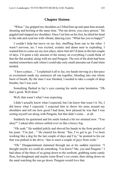### **Chapter Sixteen**

"Whoa." Jay gripped my shoulders as I lifted him up and spun him around, shouting and hooting at the same time. "Put me down, you crazy person." He giggled and slapped my shoulders. Once I set him on his feet, he tilted his head to the side and eyed me with vibrant, dancing eyes. "What has you so happy?"

I couldn't help but move on my feet, shuffling from one to the other. I wasn't nervous, no; I was excited, ecstatic and damn near to exploding. I wanted him to come see my new place, show him all I'd done in the last couple of days. I'd spent a tidy amount of the money on everything I could think of that the flat needed, along with me and Penguin. The rest of the dosh had been stashed somewhere safe where I could take only small amounts out if and when needed.

"I have a place…" I explained it all to Jay, my hands moving at a fast pace as excitement made my sentences all run together, bleeding into one whole burst of breath. By the time I was finished, I needed to take a couple of deep breaths, but I was cool.

Something flashed in Jay's eyes causing his smile some hesitation. "Oh that's good. Well done."

Well, that wasn't what I was expecting.

I didn't actually know what I expected, but I do know that wasn't it. No, I did know what I expected. I expected him to throw his arms around my shoulders and tell me how good I had done, how pleased he was that I was sorting myself out along with Penguin, but that didn't come… at all.

Suddenly he quietened and his smile looked a bit too strained now. "You okay?" I asked after silence settled over us like a heavy fog.

"Oh yeah." He nodded jerkily and shoved his hands in the front pocket of his jeans. "I'm just..." He cleared his throat. "See, I've got to go. I've been working like a dog for the last couple of days and I'm," he pointed to his car that was parked in the drive, "due to meet a couple of guys from work."

"Oh." Disappointment slammed through me at his sudden rejection. "I thought maybe we could do something. You know? Me, you and Penguin." I had ideas of the three of us going down to the seafront, grabbing some candy floss, hot doughnuts and maybe some Rossi's ice cream, then sitting down on the sand watching the sun go down. Penguin would love that.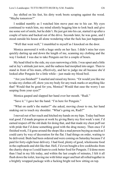Jay shifted on his feet, his dirty work boots scraping against the wood. "Maybe tomorrow?"

I nodded numbly as I watched him move past me to his car. My eyes continued to watch him, my mind silently begging him to look back and give me some sort of smile, but he didn't. He just got into his car, started it up after a couple of turns and backed out of the drive. Seconds later, he was gone, and I stood outside his house all alone wondering what the fuck has just happened.

"Well that went well," I mumbled to myself as I knocked on the door.

Monica answered it with a huge smile on her face. I didn't miss her eyes quickly darting up and down the length of me, scanning my clothing and the way I looked. I was due to take Penguin out for a couple of hours.

My head tilted to the side, my eyes narrowing a little. I was upset and a little sad at Jay's attitude just now, and the sadness had morphed into anger. Then to stand in front of his mum, effectively, and her to judge me all because she'd looked after Penguin for a little while—just made my blood boil.

"Are you finished?" I snarled and raised my brows. "Or would you like me to take my clothes off, show you my body for any track marks or anything like that? Would that be good for you, Monica? Would that ease the worry I see seeping from your eyes?"

Monica gasped and slapped her hand over her mouth. "Rudi."

"Save it." I gave her the hand. "I'm here for Penguin."

"What on earth's the matter?" she asked, moving closer to me, her hand snaking out to touch my shoulder. "What's going on, Rudi?"

I moved out of her reach and hitched my hands on my hips. Today had been real good. I'd made progress at work by giving Barry my first week's rent. I'd earned respect off the old dude for doing that, and that made my chest puff out with pride that I'd done something good with the drug money. Then once I'd finished work, I'd gone around the shops like a mad person buying as much as I could carry by way of decoration for the flat. I had things on order, waiting to be delivered. Beds had been ordered and were coming on Saturday because I'd paid for forty-eight hour delivery. I had food, plenty of good, wholesome food in the cupboards and shit like that. Hell, I'd even bought a few cookbooks from the charity shop so I could learn to cook better food for Penguin. I'd done more than I had in my life today, and within the last couple of minutes, I felt it all flush down the toilet, leaving me with bitter anger and hurt all rolled together in a brightly wrapped package with a fucking bright red bow sitting on top.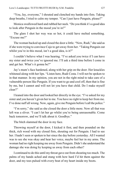"You, Jay, everyone," I shouted and clenched my hands into fists. Taking deep breaths, I tried to calm my temper. "Can I just have Penguin, please?"

Monica swallowed hard and rubbed her neck. "Do you think it's a good idea to look after Penguin in the mood you're in?"

The glare I shot her way was so hot, it could have melted something. "Excuse me?"

The woman backed up and closed the door a little. "Now, Rudi," she said as if she were trying to convince Cujo to get away from her. "Taking Penguin out whilst you're in this mood, isn't a good idea, is it?"

I couldn't believe what I was hearing. "I've asked you twice if I can have my sister and twice you've ignored me. I'll ask a third time before I come in and get her. What's it gonna be?"

Jay's mum's face hardened, along with her grip on the door. Her knuckles whitened along with her lips. "Listen here, Rudi Costa. I will not be spoken to in that manner. In my opinion, you are not in the right mind to take care of a vulnerable person like Penguin. If you want to go and cool off, then that is fine by me, but I cannot and will not let you have that child. Do I make myself clear?"

I leaned into the door and looked her directly in the eye. "I've asked for my sister and you haven't given her to me. You have no right to keep her from me. I've done naff all wrong. Now, again, give me Penguin before I call the police."

"I'm sorry," she said as she closed the door a little more. Now all that was left was a sliver. "I can't let her go whilst you're being unreasonable. Come back tomorrow, and we'll talk about it. Goodbye."

The bitch slammed the door in my face.

Throwing myself at the door, I kicked it first, and then pounded on the thick, rich wood with my closed fists, shouting out for Penguin. I had to see her. I hadn't seen or spoken to her since the day before yesterday. All I wanted was to see she was okay and hear her voice, maybe feel her in my arms. The woman had no right keeping me away from Penguin. Didn't she understand the damage she was doing by keeping us away from each other?

I continued to do this until my throat gave out from shouting too much. The palms of my hands ached and stung with how hard I'd hit them against the door, and my toes pulsed with every beat of my heart inside my boots.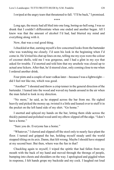I swiped at the angry tears that threatened to fall. "I'll be back," I promised.

\*\*\*\*

Long ago, the music had all bled into one long, boring-as-hell song. I was so drunk that I couldn't differentiate when one ended and another began. All I knew was that the amount of alcohol I'd had, had blurred my mind and everything along with it.

Now, that was a real good thing.

I chuckled at that, earning myself a few concerned looks from the bartender who was watching me closely. I'd seen his look in the beginning when I'd come in. He'd tried his chat up lines on me, telling me my eyes were the colour of coconut shells, told me I was gorgeous, and I had a glint in my eye that asked for trouble. I'd snorted and told him that my arsehole was closed up to actual arse lickers. After that, he'd steered clear, only coming close to me when I ordered another drink.

Four pints and a couple of neat vodkas later—because I was a lightweight did I feel *not* like me, which was good.

"Another!" I shouted and threw a crisp tenner in the general direction of the bartender. I leaned into the wood and waved my hands around in the air when the man failed to look in my direction.

"No more," he said, as he stopped across the bar from me. He sighed heavily and picked the money up, twisted it a little and leaned over to stuff it in the pocket on the left hand side of my shirt. "Go home."

I snorted and splayed my hands on the bar, letting them slide across the thickly painted and polished wood until my elbow slipped off the edge. "I don't have a home"

"Sure you do. Everyone has a home."

"Whatever," I slurred and slipped off the stool only to nearly face-plant the floor. I turned and gripped the bar, holding myself steady until the world stopped tilting on its axis. Damn, that felt wrong. Maybe I should have stopped at my second beer. But then, where was the fun in that?

Chuckling again to myself, I wiped the spittle that had fallen from my mouth with the back of my hand and moved through the throngs of people, bumping into chests and shoulders on the way. I apologised and giggled when in response, I felt hands grope my backside and my cock. I laughed out loud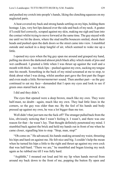and pushed my crotch into people's hands, liking the clenching squeezes on my neglected parts.

A heat covered my back and strong hands settling on my hips, holding them hostage. Lips, very hot lips danced over the side and back of my neck. A goatee if I could feel correctly, scraped against my skin, making me sigh and lean into the contact whilst trying to move forward at the same time. The guy stayed with me until we hit the doors, where the stud muffin bouncers smiled, shook their heads and pushed open the dark doors so the street came into view. I stumbled outside and sucked in a deep lungful of air, which seemed to wake me up a little.

I opened my eyes when the big guy spun me around and grasped my hand, pulling me down the darkened almost pitch black alley which stunk of piss and wet cardboard. I grunted a little when I was thrust up against the wall and a mouth with thick—too thick lips—pushed against my own, sucking my tongue into his mouth. Something in the back of my mind screamed at me to stop, to think about what I was doing, whilst another part gave the first part the finger and even made a little *Nernerneenerner* sound. Then another part—as the guy continued to eat my face—demanded that I open my eyes and look to see if green ones stared back at me.

I did and they didn't.

The eyes that opened were a deep brown, much like my own. They were half-mast, no doubt—again, much like my own. They had little lines in the corners, so the guy was older than me. By the feel of his hands and body pressed up against my own, he was a lot bigger than me too.

Well didn't that just turn me the fuck off? The stranger pulled back from the kiss, obviously noticing that I wasn't feeling it. I wasn't, and there was one reason for that—he wasn't Jay. That thought definitely penetrated my mind. I stumbled back against the brick and held my hands out in front of me when he came closer, signalling him to stop. "Stop, man, stop!"

"Oh come on." He advanced, his hands snaking around my waist, thrusting his hips and hard-on against me. He felt nice and big. I couldn't help the moan when he turned his hips a little to the right and thrust up against my own cock that was half-hard. "There we are," he mumbled and began kissing my neck again as he rubbed me till I was fully hard.

"Arghhhh," I moaned out loud and bit my lip when hands moved from around my back down to the front of me, popping the button fly open and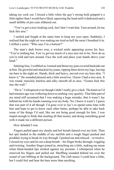taking my cock out. I hissed a little when the guy's strong hold gripped it a little tighter than I would have liked, squeezing the head until it darkened and a small dribble of pre-cum slithered out.

"You've got a nice-looking cock, but I don't want that. Turn around, let me fuck this arse."

I smiled and fought at the same time to keep my eyes open. Suddenly, I realised that the night air was making me tired as hell the more I breathed it in. I stifled a yawn. "Who says I'm a bottom?"

The man's dark brows rose, a wicked smile appearing across his face. "You're nothing but. You've got too much of a nice arse not to be. Now do as you're told and turn around. Face the wall and place your hands above your head"

Saluting him, I wobbled as I turned and thrust my jean-covered backside out at him. He growled and attacked my jeans, ripping them down my legs, leaving me bare to the night air. Hands, thick and heavy, moved over my bare skin. "I knew it." He sounded pleased and a little awed too. I knew I had a nice arse. It was round, muscled, hairless and silky smooth all at once. "Gonna fuck this into the wall."

"Do it," I whispered even though I didn't really give a fuck. The hard-on I'd had minutes ago was withering down to nothing very quickly. That little part of my mind still screamed that I was making a huge mistake, that it wasn't Jay behind me with his hands roaming over my body. No, I knew it wasn't. I guess that was part of it all though. I'd gone over to Jay's to spend some time with him and hope to get to know each other better, perhaps be able to take back some of the things I'd said, like me not being good enough for him. I was stupid enough to think that stealing all that money and doing something good with it made me a different person.

How deluded I was.

Fingers pulled apart my cheeks and hot breath fanned over my hole. Then hot spit landed in the middle of my starfish and a rough finger pushed and prodded, trying to break its way through. I pushed out and relaxed—or tried to. I closed my eyes and let out a deep breath—his finger broke through, wiggling and twisting. Another finger joined in, stretching me a little, making me moan when blunt-headed tips stroked against my prostate. I whimpered when he removed his fingers and pulled out. Shuffling sounded behind me over the sound of cars bibbing in the background. The club music I could hear a little, but I could feel and hear the bass more than anything.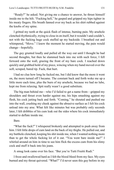"Ready?" he asked. Not giving me a chance to answer, he thrust himself inside me to the hilt. "Fucking hell," he gasped and gripped my hips tighter in his meaty fingers. His breath fanned over my back as his shirt rubbed against the knobs of my spine.

I gritted my teeth at the quick flash of intense, burning pain. My arsehole clenched rhythmically, trying to close in on itself, but it wouldn't and couldn't, not with the fucking huge cock stuffed up my backside. I breathed out and whimpered, "Move." I knew the moment he started moving, the pain would change—hopefully.

The guy grunted loudly and pulled all the way out until I thought he had second thoughts, but then he slammed back into me with such force, I fell forward onto the wall, grazing the front of my bare cock. I reached down quickly and grabbed hold of my piece, wincing when my hand moved over the soft, scraped, bared tip. Fuck, that hurt.

I had no clue how long he fucked me, but I did know that the more it went on, the more turned off I became. The constant back and forth woke me up a little more each time, plus the burn of my arsehole, because we had no lube, kept me from relaxing. Spit really wasn't a good substitute.

The big man behind me—who I'd failed to get a name from—gripped my shoulders and thrust even harder against me, his hips smashing against my flesh, his cock jutting back and forth. "Coming," he shouted and pushed me into the wall, crushing my cheek against the abrasive surface as I felt his cock unload into my arse. What felt like minutes but was probably only seconds later, I felt dribbles of his cum leak out the sides where his cock immediately started to deflate inside me.

#### Bare.

"What the fuck?" I whispered brokenly and attempted to push away from him. I felt little drops of cum land on the back of my thighs. He pulled out, and my butthole clenched, keeping his shit inside me, when I wanted nothing more than to get the whole fucking lot of it out. "You went bare inside me?" I whirled around on him in time to see him flick the excess cum from his slimy cock and stuff it back into his jeans.

A smug look came over his face. "But you're Tutti Fruitti Rudi."

I froze and swallowed hard as I felt the blood bleed from my face. My eyes burned and my throat quivered. "What?" I'd never seen this guy before in my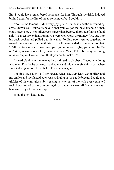life. I would have remembered someone like him. Through my drink-induced brain, I tried for the life of me to remember, but I couldn't.

"You're the famous Rudi. Every gay guy in Southend and the surrounding areas knows you. Rumours have it that you've got the best arsehole a man could have. Now," he smiled even bigger than before, all proud of himself and shit, "I can testify to that. Damn, you were well worth the money." He dug into his back pocket and pulled out his wallet. Folding two twenties together, he tossed them at me, along with his card. All three landed scattered at my feet. "Call me for a repeat. I may even pay you more or maybe, you could be *the birthday present* at one of my mate's parties? Yeah, Pete's birthday's coming up in a couple of weeks. You think you could make it?"

I stared blankly at the man as he continued to blabber off about me doing whatever. Finally, he gave up, thanked me and told me to give him a call when I wanted a "good old time fuck". Then he was gone.

Looking down at myself, I cringed at what I saw. My jeans were still around my ankles and my flaccid cock was swinging in the subtle breeze. I could feel trickles of his cum juice subtly easing its way out of me with every exhale I took. I swallowed past my quivering throat and saw a tear fall from my eye as I bent over to yank my jeans up.

What the hell had I done?

\*\*\*\*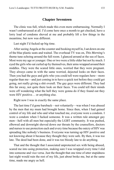### **Chapter Seventeen**

The clinic was full, which made this even more embarrassing. Normally I wasn't embarrassed at all. I'd come here once a month to get checked, have a lorry load of condoms shoved at me and probably lift a few things in the meantime, but now was different.

Last night I'd fucked up big time.

After seeing Angela at the counter and booking myself in, I sat down on one of the blue plastic seats and waited. The overhead TV was on, *This Morning's*  theme tune echoing around the full room. I glanced around at the sea of faces. Most were my age or younger. One or two were a little older but not by much. I eyed the girls who sat curled up by themselves, their arms wrapped around their middles. They were the scared little ones, worried that they were pregnant. They always came in with the same worried, dejected looks on their faces. Then you had the guys and girls who you could tell were regulars here—more regular than me—and just coming in to have a quick test before they could get going, not really giving a shit overall. The gay guys were different. They had this far away, not quite there look on their faces. You could tell their minds were off wondering what the hell they were gonna do if they found out they were HIV positive… or anything else.

Right now I was in exactly the same place.

The last time I'd gone bareback—not voluntarily—was when I was abused by the men that my mum had brought home. Since then, when I had gained control of my life and who and what touched me, everyone wore a condom. I wore a condom when I fucked someone. It was a written rule amongst gay men—hell with all men but especially the LGBT community. It was pushed, elbowed and downright shoved down our throats by the counsellors, doctors and nurses to use protection each and every time because the outcry of HIV was spreading like nobody's business. Everyone was turning up HIV positive and not knowing about it because they thought they were safe. By then, it was too late. The deed had been done, and it was too bloody late to do anything.

That and the thought that I associated unprotected sex with being abused, scared me into using protection, making sure I was wrapped every time I slid into someone and vice versa. Just the thought that one time of utter stupidness last night would ruin the rest of my life, just about broke me, but at the same time, made me angry as hell.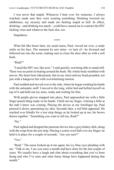I was never that stupid. Whenever I bent over for someone, I always watched, made sure they were wearing something. Drinking lowered my inhibitions, my security and made me fucking stupid as hell. In effect, drinking—and drinking too much—could have caused me to contract the HIV fucking virus and whatever the fuck else, too.

Stupidness.

\*\*\*\*

What felt like hours later, my usual nurse, Paul, waved me over, a ready smile on his face. The moment he saw mine—or lack of—he frowned and followed me into the room, making sure to close the door after us with a soft hush.

"Rudi?"

"I need the HIV test, like now," I said quickly, not being able to stand still. There was no point in beating around the bush. My whole body trembled with nerves. My heart beat ridiculously fast in my chest and my head pounded, not just with a hangover but with overwhelming tension.

Paul nodded and moved over to the sink, where he began washing his hands with the antiseptic stuff. I moved to the long, white bed and hefted myself on top of it and held out my arms, ready and waiting for him.

With purple gloves snapped into place, Paul approached me with a little finger punch thing ready in his hands. I held out my finger, wincing a little at the stab I knew was coming. Placing the device at my forefinger tip, Paul pressed it down, puncturing my skin. Seconds later, a red blob appeared. He reached over blindly for a test strip thingy as he looked up at me, his brows drawn together. "Something you want to tell me, Rudi?"

" $No$ "

Paul sighed and dropped the puncture device into a grey kidney dish, along with the wrap from the test strip. Placing a cotton wool ball over my finger, he held it in place for a couple of seconds. "Are you sure?"

"Yes."

"Rudi." The nurse looked up at me again, his icy blue eyes pleading with me. "Talk to me. I see you once a month and have done for the last couple of years. We usually have a laugh and chat about everything that you've been doing and who I've seen and what funny things have happened during that month"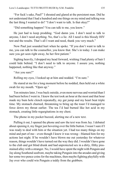"For fuck's sake, Paul!" I shouted and glared at the persistent man. Did he not understand that I had a hundred and one things on my mind and talking was the last thing I wanted to do? "I don't want to talk. Is that okay?"

"Did something happen? You can talk to me, you know."

He just had to keep prodding. "God damn you. I don't need to talk to anyone, I don't need anything. No, that's a lie. All I need is this bloody HIV test and the results. That's all I want and need, thank you very much."

Now Paul just sounded hurt when he spoke. "If you don't want to talk to me, you can talk to the counsellor, you know that. She's in today. I can make sure you get seen right away, be her first patient."

Sighing heavily, I dropped my head forward, wishing I had plenty of hair I could hide behind. "I don't need to talk to anyone. I assure you, nothing happened, nothing like that anyway."

"Are you sure?"

Rolling my eyes, I looked up at him and nodded. "I'm sure."

He stared at me for a long moment before he nodded, then held out a white swab for my mouth. "Open up."

Ten minutes later, I was back outside, even more nervous and worried than I had been before I went in. I knew the test took an hour at the most and that hour made my bum hole clench repeatedly, my gut jump and my heart beat triple time. My stomach churned, threatening to bring up the toast I'd managed to force down my throat earlier. The tea I'd had burned like hot acid in my stomach, creating little regurgitations in my chest.

The phone in my pocket buzzed, alerting me of a new text.

Pulling it out, I opened the phone and saw the text was from Jay. I debated about opening it, my finger just hovering over the little button. I wasn't sure if I was ready to deal with him or the situation yet. I had too many things on my mind and part of me—even though I knew it was wrong—blamed him for my actions last night. If he wouldn't have blown me out yesterday for whatever reason, things wouldn't have turned out the way they did. I wouldn't have gone to the club and got blind drunk and had unprotected sex in a dirty, filthy pissstained alley with a stranger. No, I would have spent the night with Penguin and Jay along Southend seafront, maybe taking Penguin into the arcades and giving her some two pence coins for the machines, then maybe fighting playfully with Jay over who could win Penguin a teddy from the grabbers.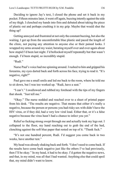Deciding to ignore Jay's text, I closed the phone and set it back in my pocket. Fifteen minutes later, it went off again, buzzing intently against the side of my thigh. I clenched my hands into fists and debated about taking the piece of plastic out and perhaps crushing it in my grip. Maybe that would shut the thing up?

Getting annoyed and frustrated at not only the constant buzzing, but also the waiting, I got up from the uncomfortable blue plastic and paced the length of the clinic, not paying any attention to anyone else or their pained looks. I wrapped my arms around my waist; berating myself over and over again about how stupid I'd been last night. I'd bollocked myself repeatedly but that wasn't enough. I'd been stupid, so incredibly stupid.

"Rudi<sup>"</sup>

Nurse Paul's voice had me spinning around. I rushed to him and gripped his forearms, my eyes darted back and forth across his face, trying to read it. "It's negative, right?"

Paul gave me a small smile and led me back to the room, where he told me to sit down, but I was too worked up. "Rudi, have a seat."

"I can't." I swallowed and rubbed my forehead with the tips of my fingers that shook. "Just tell me."

"Okay." The nurse nodded and reached over to a sheet of printed paper from his desk. "The results are negative. That means that either it's really a negative, because the person or persons you had risky sex with didn't have the HIV virus, or if they did, had a very low viral load. Either that, or it's a false negative because the virus hasn't had a chance to infect you yet."

Relief so fucking strong swept through me and actually took my legs out. I collapsed to the floor, my hand reaching out to grab the end of the bed, clenching against the soft blue paper that rested on top of it. "Thank fuck."

"It's not one hundred percent, Rudi. I'd suggest you come back in two weeks, have another test."

My head was already shaking back and forth. "I don't need to come back. If the results have come back negative just like the others I've had previously, then I'll be okay." In my head, it had to be okay. I'd gotten the negative news, and that, in my mind, was all that I had wanted. Anything else that could spoil that, my mind didn't want to know.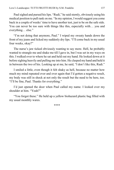Paul sighed and pursed his lips. "Rudi," he said sternly, obviously using his medical position to pull rank on me. "In my opinion, I would suggest you come back in a couple of weeks' time to have another test, just to be on the safe side. You can never be too sure with things like this, especially with… you and everything… else."

"I'm not doing that anymore, Paul." I wiped my sweaty hands down the front of my jeans and licked my suddenly dry lips. "I'll come back in my usual four weeks, okay?"

The nurse's jaw ticked obviously wanting to say more. Hell, he probably wanted to strangle me and shake me till I gave in, but I was set in my ways on this. I walked over to where he sat and held out my hand. He looked down at it before sighing heavily and pulling me into him. He clasped my hand and held it in between the two of his. Looking up at me, he said, "I don't like this, Rudi."

I smiled a little, even though it felt shaky as hell, because no matter how much my mind repeated over and over again that I'd gotten a negative result, my body was still in shock at not only the result but the need to be here, too. "I'll be fine, Paul. Thanks for everything."

I'd just opened the door when Paul called my name. I looked over my shoulder at him. "Yeah?"

"You forgot these." He held up a yellow biohazard plastic bag filled with my usual monthly wares.

\*\*\*\*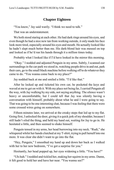# **Chapter Eighteen**

"You know," Jay said warily. "I think we need to talk."

That was an understatement.

We both stood staring at each other. He had dark rings around his eyes, and even though he had a nice new tan from working outside, it only made his face look more tired, especially around his eyes and mouth. He actually looked like he hadn't slept much better than me. His dark-blond hair was messed on top and looked as if he'd run his hands through it a million times today.

Probably what I looked like if I'd have looked in the mirror this morning.

"Okay." I nodded and adjusted Penguin in my arms. Subtly, I scanned our surroundings in the car park we stood in, watching people drive in and out, park their cars, go to the small black machine before walking off to do whatever they came to do. "You wanna come back to my place?"

Jay nodded back at me and smiled a little. "I'd like that."

After he locked up and ticketed his own car, he pocketed the keys and waved at me to get on with it. With my place not being far, I carried Penguin all the way, with Jay walking by my side, not saying anything. The silence wasn't heavy or uncomfortable, but I could tell that Jay was silently having a conversation with himself, probably about what he and I were going to say. That was going to be one interesting chat, because I was feeling that there were some crossed wires going on somewhere.

Fifteen minutes later, we arrived at the creaky steps that led up to my flat. Going first, I unlocked the door, giving it a quick jerk of my shoulder, because I still hadn't oiled the thing, and held my hand out, waiting for Jay to go in. He hesitated a little, and then seemed to shake himself.

Penguin tensed in my arms, her head burrowing into my neck. "Rudi," she whispered whilst her hands clutched at my T-shirt, trying to pull herself into me more. It was clear she didn't want to go into the flat.

"Hey, Penguin," I smoothed my hand up and down her back as I walked with her to her new bedroom, "I've got a surprise for you."

Hesitantly, her head popped up, her eyes widening a little. "You have?"

"Uh-huh." I nodded and tickled her, making her squirm in my arms. Damn, it felt good to hold her and have her near. "You wanna see?"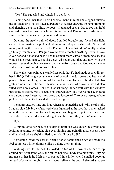"Yes." She squealed and wiggled to get down.

Placing her on her feet, I held her small hand in mine and stopped outside the closed door. I looked down at Penguin to see her chewing on her bottom lip and glancing up at me a little nervously. I glanced back at Jay to see that he'd stopped down the passage a little, giving me and Penguin our little time. I smiled at him in acknowledgement and thanks.

Opening the newly painted door, I smiled broadly and flicked the light switch, illuminating the pink and white room. I'd spent a shitload of time and money making the room perfect for Penguin. I knew that I didn't really need to go to any trouble at all. Penguin would have accepted anything I would have given her and if that had been a bed in a small room without anything else, she would have been happy, but she deserved better than that and now with the money—even though it was stolen and came from drugs and God knows where and what else—I could do this for her.

The walls were painted a candyfloss pink that I'd had made especially for her in B&Q. I'd bought small stencils of penguins, teddy bears and hearts and painted them on along the top of the wall as a replacement border. I'd also gotten a new wardrobe set with side table and chest of drawers that I'd also filled with new clothes. Her bed, that sat along the far wall with the window just to the side of it, was a special pink and white, with silver painted swirls and stars along the princess-cut headboard and footboard. The covers were gingham pink with little white bows that looked real girly.

Penguin squealed long and loud when she spotted the bed. Why she did this, I had no clue. My brows furrowed when I glanced at the toys that were stacked up in the corner, waiting for her to rip open and bug me to put batteries in, but she didn't. She instead headed straight past those as if they weren't even there.

Huh.

Climbing onto her bed, she squirmed until she was under the covers and looking up at me, her bright blue eyes shining and twinkling, her cheeks rosy and bunched where she'd smiled so much. "I love Rudi."

Something inside me settled. Seeing her so happy and so *her age* made me feel complete a little bit more, like I'd done the right thing.

Walking over to the bed, I crawled on top of the covers and curled up around her, against the wall, and pulled her small body into my arms. Burying my nose in her hair, I felt my brows pull in a little when I smelled coconut instead of strawberries, but then a shadow fell over the door. I glanced up to see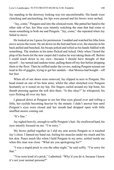Jay standing in the doorway looking way too uncomfortable. His hands were clenching and unclenching, his lips were pursed and his brows were arched.

"Jay, come," Penguin said into the silenced room. She patted her hand to the other side of her, her blue eyes intently watching the man that had come to mean something to both me and Penguin. "Jay, come," she repeated when Jay failed to move.

He looked at me I guess for permission. I nodded and watched his lithe form move across the room. He sat down on the bed and bent over, the muscles in his back pulled and bunched, his biceps jerked and rolled as his hands fiddled with something. The tendons in his arms flicked and ticked. Only when I heard the plop of his boots hit the new carpet did I realise he was taking them off. Before I could reach down to my own—because I should have thought of that myself—Jay turned and undone mine, pulling them off my feet before dropping them to the floor. Then he ruffled under the covers, making Penguin scream out loud in fits of giggles, trying to get her sandals—that Monica had bought—off her feet.

When all of our shoes were removed, Jay slipped in next to Penguin. His head rested on one of his bent arms, whilst the other stretched over Penguin hesitantly so it rested on my hip. His fingers curled around my hip bone, his thumb pressing against the soft skin there. "Is this okay?" he whispered, his eyes flicking all over my face.

I glanced down at Penguin to see her blue eyes glazed over and rolling a little, her eyelids becoming heavier by the minute. I didn't answer him until Penguin's eyes were closed and her mouth had dropped open with little snuffled snores coming out.

"It's fine."

Jay sighed heavily, enough to ruffle Penguin's hair. He swallowed hard, his eyes intently focused on me. "I'm sorry."

My brows pulled together as I slid my arm across Penguin so it touched Jay's chest. I fanned my hand out, feeling his muscles under my touch and his hot skin. Peace much like when I held Penguin in my arms, settled inside me when this man was close. "What are you apologising for?"

"I was a stupid prick to you the other night," he said softly. "I'm sorry for that"

"You were kind of a prick," I admitted. "Why'd you do it, because I know it's not your normal persona?"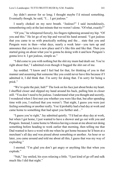Jay didn't answer for so long; I thought maybe I'd missed something. Eventually though, he said, "I… I got jealous."

I nearly choked on my next breath. "Jealous?" I said incredulously, remembering only at the last minute that we weren't alone. "Of what, exactly?"

"Of you," he whispered fiercely, his fingers tightening around my hip. "Of you and this." He let go of my hip and waved his hand around. "I got jealous that you came to us with practically nothing and the… state that you and Penguin were in then—what days, nearly a week later—you turn up and announce that you have a new place and it's like this and like that. Then you started going on about what you're gonna be doing with it and how Penguin's gonna love it. I got jealous, simple as."

"I did come to you with nothing but the shit my mum had dealt out. You're right about that," I admitted even though it bugged the shit out of me.

Jay nodded. "I know and I feel bad for that, for thinking of you in that manner and assuming that someone like you could never have this because if I admitted it, I did think that. I'm sorry for doing that. I'm sorry for being a prick."

"We're quite the pair, huh?" The look on his face just about broke my heart. I shuffled closer and slipped my hand around his back, pulling him in closer still. "You don't need to be jealous. I understand what you thought and secretly, I wondered when I first met you whether you were like that, but after spending time with you, I realised that you weren't. That night, I guess you were just feeling something or another really. You'd probably had a bad day at work and came home to something that had upset you further and…"

"I guess you're right," Jay admitted quietly. "I'd had an okay day at work, but when I got home, I just wanted to have a shower and go out with you and Penguin. Instead, I came home to Monica having a moan at me about not doing something before heading to work earlier that morning, then telling me that Dad wanted to have a word with me when he got home because he'd been at a merchant's all day and was pissed about something or another. An hour or so later, you came around and told me about all this, I guess that was my way of exploding."

I snorted. "I'm glad you don't get angry or anything like that when you explode."

"Nah," Jay smiled, his eyes relaxing a little. "I just kind of go off and sulk much like I did that night."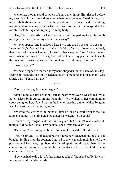Memories, thoughts and snippets of angry men in my life, flashed before my eyes. Men hitting me and my mum when I was younger flitted through my mind. My body instantly tensed at the phantom feel of hands and fists hitting my body, blood rushing to the surface as bruises formed and cuts exploded, the red stuff splattering and dripping from my body.

"Hey," Jay said softly, his hand reached up and cupped my face, his thumb tracing over the curve of my cheek. "You okay?"

My eyes opened, and I realised where I was and that I was okay. I was okay. I scanned Jay's face, taking in all the little bits of it that I loved and adored, then I looked down at Penguin. I gazed at her sleeping form for the longest time. When I felt my body relax, I looked back up at Jay just in time to catch the concerned frown on his face before it was wiped away. "I'm fine."

"Are you sure?"

My head dropped to the side as my hand slipped under the hem of Jay's top, feeling his hot and soft skin. I needed to touch something on him even if it was a little part. "Yeah, I am now."

\*\*\*\*

"You are staying for dinner, right?"

After having our little chat or heart-to-heart, whatever it was called, we'd fallen asleep both curled around Penguin. We'd woken to her complaining about being too hot. Now, I was in the kitchen starting dinner, whilst Penguin watched cartoons in the living room.

Jay eyed me warily as he perched himself up on a stall against the old kitchen counter. The thing creaked under his weight. "You cook?"

I clucked my tongue and shot him a glare, but I didn't really mean it, though. "Of course I cook. I've cooked since I was ten years old."

"I'm sorry," Jay said quickly, as if sensing his mistake. "I didn't realise."

"You're alright." I sighed and reached for a new saucepan out of a set I'd bought. Settling it on the counter, I moved to the vegetable rack that held the potatoes and fresh veg. I grabbed the bag of spuds and dropped them to the counter too, as I searched through the cutlery drawer for a small knife. "You couldn't have known."

"I bet you had to do a lot of other things too, huh?" he asked softly, his eyes just as soft and rounded a little.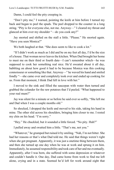Damn, I could feel the pity creeping in.

"Don't pity me," I warned, pointing the knife at him before I turned my back and began to peel the spuds. The peel dropped to the counter in a long string. "Pity is for everyone else, not me. Anyway—" I cleared my throat and glanced at him over my shoulder "—do you cook any?"

Jay snorted and shifted on the stall a little. "Please." He snorted again. "Have you seen Monica?"

We both laughed at that. "She does seem to like to cook a lot."

"If I didn't work as much as I did and be on my feet all day, I'd be the size of a house. That woman never leaves the kitchen. When Dad brought her home to meet me on their third or fourth date—I can't remember which—he was supposed to cook her something real nice. He'd sweated about it all day, babbling on about how good it had to be because Monica was this cooking connoisseur or something like that. Anyway—" he waved his hand and smiled fondly "—she came over and completely took over and ended up cooking for us. From that moment, I think Dad fell in love with her."

I moved to the sink and filled the saucepan with water then turned and grabbed the colander for the raw potatoes that I'd peeled. "What happened to your real mum?"

Jay was silent for a minute or so before he said ever so softly, "She left me and Dad when I was a couple months old."

So shocked, I dropped the knife and moved to his side, taking his hand in mine. The other slid across his shoulders, bringing him closer to me. I rested my chin on his head. "I'm sorry."

"Hey." He chuckled, but it sounded a little forced. "No pity. Huh?"

I pulled away and swatted him a little. "That's me, not you."

"Whatever," he grumped but ruined it by smiling. "Nah, I'm not bitter. She had her reasons or that's what Dad told me. He said that things weren't right when she got pregnant. Apparently, it was just a onetime thing between them, and then she turned up one day when he was at work and sprung it on him. Immediately, he assumed responsibility and took care of her and me eventually. Apparently, after I was born, she suffered with some depression or whatever and couldn't handle it. One day, Dad came home from work to find me left alone, crying and in a state. Seemed he'd left for work around eight that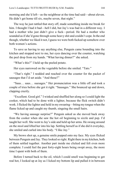morning and she'd left—as the neighbour at the time had said—about eleven. He didn't get home till six, maybe seven, that night."

The way he just rattled that story off, made something inside me break for him. I thought I had it bad—hell I did, but Jay's was bad in a different way. I had a mother who just didn't give a fuck—period. He had a mother who sounded as if she'd gone through some heavy shit and couldn't cope. In the end though, whether we liked it not, I guess we were both fucked up somehow over both women's actions.

To save us having to say anything else, Penguin came bounding into the kitchen and stopped next to me, her eyes dancing over the counter, watching the peel drop from my hands. "What having dinner?" she asked.

"What's this?" I held up the peeled potato.

Her eyes narrowed on the vegetable before she smiled. "Tato."

"That's right." I nodded and reached over the counter for the packet of sausages that I'd set aside. "And these?"

"Saus… saus… suesages." Her pronunciation was a little off and took a couple of tries before she got it right. "Sausages." She bounced up and down, clapping crazily.

"Excellent. Good girl." I winked and shuffled her along so I could light the cooker, which had to be done with a lighter, because the flick switch didn't work. I flicked the lighter and held in my swearing—biting my tongue when the flame licked up and caught my thumb, singeing the small hairs.

"We having sausage surprise?" Penguin asked as she moved back away from the cooker when she saw the hot oil beginning to sizzle and pop. I'd taught her well. She went to Jay's side and held up her arms. He swung around on the stool and lifted her into his lap. Settling herself as if she did it everyday, she smiled and curled into his body. "I like Jay."

My brows shot up, a genuine smile popped onto my face. My eyes flicked between Penguin and Jay. They looked so right. Right there in my kitchen, both of them settled together. Another part inside me clicked and felt even more complete. I could feel the past forty-eight hours being swept away, the more time I spent with both of them.

Before I turned back to the oil, which I could smell was beginning to get real hot, I looked up at Jay as I licked my bottom lip and pulled it in between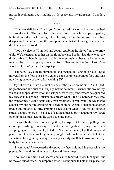my teeth, feeling my body tingling a little, especially my groin area. "I like Jay, too."

\*\*\*\*

"That was delicious. Thank you." Jay rubbed his stomach as he stretched against the sofa. The muscles in his chest and stomach cramped together, highlighting the pack through his T-shirt, before he relaxed and they disappeared. I couldn't stop the disappointment that shot through me when he did that, even if I tried.

"You're welcome." I smiled and got up, grabbing the plates from the coffee table. We'd eaten all together on the floor, because I hadn't had time to put the dining table I'd bought up, yet. It didn't matter anyhow, because Penguin got most of the mash and gravy down the front of her and on the floor. Part of me was glad I hadn't gotten the carpet yet.

"I'll help." Jay quickly jumped up and swiped up Penguin's plate. She'd moved from the floor once she'd eaten a considerable amount of food and was now lying on one of the sofas watching TV.

Jay followed me into the kitchen and set the plates on the side. As I turned, he grabbed me and pushed me up against the counter. His hands slid around my waist and slipped down into the back pockets of my jeans, where he squeezed my cheeks in his palms. I sucked in a breath when I felt his hardness rock into the front of me, flicking against my own readiness. "I want you," he whispered against my lips before crashing his down on mine. Again, I sucked in another breath and moaned a little, grabbing back at him when I felt his hot tongue spread against my own. The taste of sausage, mash, gravy and pure Jay flared over my taste buds. Damn, he tasted fucking good.

Rocking both of our bodies together, I grasped at his shirt, pulling him closer yet pushing him away. I found skin and grabbed it, my fingernails scraping against soft, pliable, hot skin. Needing a breath, I pulled away and panted into his neck, sucking in deep lungfuls of much needed air, but at the same time, taking in Jay's unique spicy, yet sporty smell that drove me and my body to want and need more.

"I want you," Jay repeated and cupped my face, holding it in place whilst he pressed his mouth to mine once, twice and three times.

"You can have me," I whispered and leaned forward to kiss him again, but he moved out of reach. I whimpered when he continued to hold me in place, not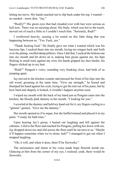letting me move. My hands reached out to slip back under his top. I wanted no needed—more skin. "Jay."

"Really?" His green eyes that had clouded over with lust were serious as hell now. There was no messing about. His body, which was hot to the touch, moved out of reach a little so I couldn't touch him. "Seriously, Rudi?"

I swallowed heavily, sensing a lot rested on this little thing that was happening between us. "Yes. Fuck, yes."

"Thank fucking God." He finally gave me what I wanted which was his luscious lips. I sucked them into my mouth, laving my tongue back and forth over the plump, swelled damp pillows. Once I did that, I sucked the bottom one into my mouth and bit down on it, making him groan against me, his hips flicking in small ticks against my own; his hands gripped my face harder, his fingers slicked up in my hair.

"Rudi?" Penguin's voice, sounding very freaking close, had both of us jumping apart.

Jay moved to the kitchen counter and pressed the front of his hips into the old wood, groaning at the same time. "Give me strength," he hissed and thumped his hand against his cock, trying to get the tent out of his jeans, but by how hard and shapely it looked, it wouldn't happen anytime soon.

I wiped my mouth with the back of my hand just as Penguin came into the kitchen, the bloody pink dummy in her mouth. "I looking for you."

I scowled at the dummy and held my hand out for it, my fingers curling in a "gimme" gesture. "Give me the dummy."

Her mouth opened as if to argue, but she huffed instead and placed it in my palm. "I ready for bath time."

Upon hearing Jay's groan, I busted out laughing and fell against the cabinets. I slid to the floor and reached for Penguin, pulling her down with me. Jay dropped down too and slid across the floor until he sat next to us. "Maybe it'll happen sometime when we're alone, huh?" I managed to get out when I stopped laughing.

"Oh, it will, and when it does, there'll be fireworks."

The seriousness and intent in his voice made hope flourish inside me. Glancing at him from the corner of my eye, I realised, yeah, there would be fireworks.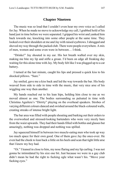### **Chapter Nineteen**

The music was so loud that I couldn't even hear my own voice as I called for Jay. When he made no move to acknowledge my call, I grabbed hold of his hand just in time before we were separated. I gripped his wrist and yanked him back towards me, knocking into some other people at the same time. They looked over their shoulders at me and Jay with raised eyebrows. I shrugged and shoved my way through the packed club. There were people everywhere. A mix of men, women and some even were in between… I think.

"Drinks!" Jay shouted in my ear. His hot breath wafted over my skin, making me bite my lip and stifle a groan. I'd been on edge all freaking day waiting for this alone time with Jay. My body felt like I was plugged up to a car battery.

I turned at the last minute, caught his lips and pressed a quick kiss to his shocked pillows. "Sure."

Jay smiled, gave me a kiss back and led the way towards the bar. His body weaved from side to side in time with the music, that very nice arse of his wiggling one way then another.

My hands reached out to his lean hips, holding him close to me as we moved almost as one. The bodies surrounding us pulsated in time with Christina Aguilera's "Dirrrty" playing on the overhead speakers. Strobes of varying different colours danced and swished around the black-coloured walls, creating streaks of intense bright light.

The bar area was filled with people shouting and barking out their orders to the overworked and stressed-looking bartenders who were very nicely bare from the waist upwards. They had their hands filled with bottles and glasses but amazingly, nothing was dropped and nothing was spilled.

Jay squeezed himself in between two muscle-eating men who took up way too much space for their own good. One of them gave Jay the once-over. He even had the cheek to lean back a little on his heels and scan that tight little arse that I knew my boy had.

"Oi." I leaned in close to him, my nose flaring and my lip curling. I was not gonna be intimidated by his size one bit. Just because we were in a gay club didn't mean he had the right to fucking ogle what wasn't his. "Move your fucking eyes."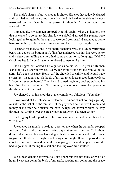The dude's sharp eyebrows shot up in shock. His eyes that suddenly danced and sparkled looked me up and down. He tilted his head to the side as his eyes narrowed on my face, his lips pursed in thought. "I know you from somewhere?"

Immediately, my stomach dropped. Not this again. When Jay had told me that he wanted to go out for his birthday to a club, I'd agreed. His parents were looking after Penguin for the night, so we could be alone. I'd arranged to come here, some thirty miles away from home, and I was still getting this shit?

I scanned his face, taking in his sharp, shapely brows, to his nicely trimmed beard that coated the bottom half of his face and neck. His thin lips were perky and a deep pink, telling me he'd had *some* action not so long ago. "Nah," I shook my head. I would have remembered someone like him.

He shrugged but looked a little gutted as he did so. "No probs." He then leaned in to whisper in my ear. "Sorry for eying your boy, but you've got to admit he's got a nice arse. However," he chuckled breathily, and I could have sworn I felt his tongue touch the tip of my ear for at least a second, maybe less, "if you two ever get bored." Then he slid something in my pocket, grabbed his beer from the bar and turned. Next minute, he was gone, a nameless person in the already packed crowd.

Jay glanced over his shoulder at me, completely oblivious. "You okay?"

I swallowed at the intense, unwelcome reminder of not so long ago. My mistake at the last club, the reminder of the guy when he'd shoved his card and money at me after he'd fucked me bare. A repulsed shiver worked its way through me, turning over the greasy bacon sandwich I'd eaten earlier.

Shaking my head, I plastered a fake smile on my face and patted Jay's hip. "I'm fine"

Jay opened his mouth to no doubt question me, when the bartender stopped in front of him and called over, taking Jay's attention from me. Talk about divine intervention. Jay was like a dog with a bone sometimes and I didn't want to give him this bone. Tonight was his night, our night. It was supposed to be about just me and him and damn it, I was going to make it happen… even if I had to go about it feeling like shit and looking over my shoulder.

\*\*\*\*

We'd been dancing for what felt like hours but was probably only a half hour. Sweat ran down the back of my neck, soaking my collar and the space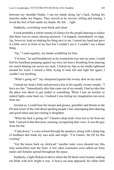between my shoulder blades. I ran my hands along Jay's back, feeling his muscles under my fingers. They moved as he moved, rolling and tensing. I loved the feel of him under my hands. He felt… right.

Suddenly, everything went black and silent.

It took probably a whole minute of silence for the people dancing to realise that there was no music playing anymore. I'd stopped, immediately on edge. Jay, however, kept on shaking his thing next to me. I raised my hand and gave it a little wave in front of my face but I couldn't see it. I couldn't see a damn thing.

"Jay," I said urgently, my hands scrabbling for him.

"I'm here," he said breathlessly as he wormed his way into my arms. I could feel his heartbeat pumping against my own, his heavy breathing from dancing too much fanning out across my neck. I licked my lips as my hands tightened around his waist. I turned a little, trying to look left and right but again, I couldn't see anything.

"What's going on?" Jay whispered against the sweaty skin on my neck.

I turned my head a little and pressed a kiss to his equally sweaty temple. "I have no clue." Immediately after that came out of my mouth, I had an idea that the place was about to get raided or something. When I saw no torches or indeed lights come back on, I realised I was letting my imagination run away from me.

Around us, I could hear the moans and groans, grumbles and threats to the DJ and owner of the club about spoiling people's fun, interrupting their dancing and good times and just ruining it altogether.

"What the fuck is going on?" I heard a deep male voice not so far from me bark. I turned in that direction, noticing, recognising that voice. It was the guy from the bar.

"Calm down," a voice echoed through the speakers, along with a sharp ting of feedback that made my ears ache and tingle. "I'm Gustav, the DJ for this evening."

"Get the music back on, dickwad," another male voice shouted out, this time somewhere near the front. A few other comments were called out from males and females spread throughout the space.

Suddenly, a light flicked on above where the DJ decks were located, making me blink with how bright it was. A heavy-set man appeared, his white shirt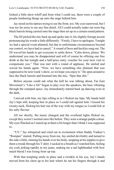looked a little skew-whiff and from what I could see, there were a couple of people lumbering things up onto the stage behind him.

Jay stood on his tiptoes trying to see the front, too. My eyes narrowed, but I was too far away to see any fine detail. All I could actually make out were big black barrels being carried onto the stage then set up in a certain round pattern.

The DJ picked the mic back up and spoke into it, his slightly foreign accent pronouncing his words a little differently. "Firstly, I have to apologise. Tonight we had a special event planned, but due to unfortunate circumstances beyond our control, we have had to cancel." A round of boos and heckles rung out. The DJ waved his hands to get everyone to settle down. "Calm down, please. We understand you may be disappointed and will of course be offering one free drink at the bar tonight and a half-price entry voucher for your next visit to compensate you." That was met with a round of applause. He smiled and waved his hands again. "Now, we have something else planned that was supposed to be next week's show, so we hope you enjoy it." He spun around to face the black barrels and boomed into the mic, "Spin that shit."

Before anyone could ask what the hell he was talking about, Far East Movement's "Like a G6" began to play over the speakers, the bass vibrating through the cramped space. Jay immediately started back up dancing even in the dark.

I moved with him, my lips rolling in as I flicked my hips. My hands held Jay's hips still, keeping him in place so I could rub against him. I kissed his sweaty neck, flicking his hair out of the way with my tongue so I could lick at his salty flavour.

All too shortly, the music changed and the overhead lights flicked on, except they weren't normal ones like before. They were a strange purple colour. My eyes flinched as I stared up at them a bit longer than I think I was supposed to.

"UV," Jay whispered and cried out in excitement when Daddy Yankee's "Rompee" started. Pulling away from me, Jay smiled devilishly and turned to the side a little, running his hands over his body, stopping at his nipples to give them a tweak through his T-shirt. I sucked in a breath as I watched him, feeling my cock jerking rapidly in my jeans, making me a tad lightheaded with how much blood I was losing from up top.

With that tempting smile in place and a twinkle in his eye, Jay's hands moved from his chest up to his hair where he ran his fingers through it and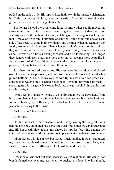pulled on the ends a little. His hips swirled in time with the music, which meant his T-shirt pulled up slightly, revealing a strip of smooth, tanned skin that glowed eerily under the strange lights above us.

The longer I stood there watching him, the more other people moved in, surrounding him. I felt my teeth grind together as—oh God—bitter, hot jealousy speared through me at seeing, watching other men—good-looking, hot men—move on up to him. Four men, one in front, one behind and one on each side of Jay began to grind in time with him and the music that pulsed much too loudly around us. All four sets of hands landed on Jay's waist, holding tight as they moved in sync with each other. Honestly, even though it made me jealous as hell, it was also a little arousing to watch and a bit fascinating. The longer they danced with each other, the more their moves became more sexualised. From the rolls of all five of their pelvises to the lithe way their hips and chests popped, nothing but sex flittered from those moves.

Just then, Jay looked over at me. His eyes were heavy lidded and glazed over. His mouth dropped open, and his pink tongue peeked out and licked at his plump bottom lip. I sucked my own bottom lip in with a tortured groan as I continued to watch him. He kept his eyes open—even if they were half-mast spearing me with his gaze. He leaned back into the guy behind him and let him take his weight.

I could feel my hands twitching to go to him and move the guys away from him, warn them to keep their fucking hands to themselves, but the look of heat for me in Jay's eyes, the flushed, relaxed look on his face kept me where I was, just subtly rocking to the music.

"All for you," Jay mouthed.

#### *All for me.*

He shuffled back over to where I stood, finally leaving the hang-all-overs behind. His body undulated like a snake towards me, somehow winding around me. His hot breath blew against my cheek, his lips just brushing against my skin, before he whispered for me to stay in place, while he danced around me.

I didn't know this side of Jay, but I knew I fucking liked it. Fuck, I adjusted my cock that hardened almost immediately at the look in Jay's face, that flushed, pink cheeked, puffy-lipped look just about did me in.

#### *All for me.*

I must have said that out loud because Jay got real close. His damp, hot breath fanned out over my ear when he sucked my lobe into his mouth,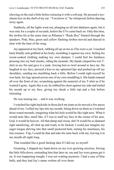chewing on the end a little before releasing it with a soft pop. He pressed a toochaste kiss on the shell of my ear. "You know it," he whispered, before dancing away again.

Suddenly, all the lights went out, plunging us all into darkness again, but it was only for a couple of seconds, before the UVs came back on. Only this time, the strobes hit at the same time as Rihanna's "Rude Boy" blasted through the speakers. Pink, blue, green and yellow flashing strobes moved and danced in time with the beat of the song.

Jay appeared at my back, rubbing all up on me as if he were a cat. I reached back blindly and grabbed at his body, moulding it against my own, feeling his sweat-soaked clothing making my own damper. I could feel his hardness pressing into my butt cheeks, riding the mounds. My hands clasped his wet Tshirt in my fist and gave it a yank, forcing him to twirl around to face me. He laughed in my face, pressed a kiss to my upturned lips and pushed up off my shoulders, sending me stumbling back a little. Before I could right myself he was back, his legs spread across one of my own straddling it. His hands roamed all over the front of me, scrunching against the material of my T-shirt as if he wanted it gone. Again like a cat, he rubbed his chest against my side and trailed his mouth up to my face, giving my cheek a little nip and a lick before retreating.

He was teasing me… and it was working.

I watched his tight backside in those *fuck me* jeans as he moved a few paces ahead of me. I rolled my lips into my mouth, biting down on them as I watched those round mounds, imagining what his hole would be like right now. What it would taste like; smell like, if I was to stuff my face in the crease of his arse. God, it would be heaven. All that damp and sweat, shit! It would be so damned right tantalizing, all riled up and ready to be fucked. I could just imagine my eager tongue delving into that small puckered hole, tasting his mustiness, his true essence. Yup, I could do that and take his taste back with me, leaving it in my mouth all night long.

That sounded like a good fucking idea if I did say so myself.

Groaning, I slapped my hand down on my ever-growing erection, forcing the little fella down, reminding him that later on, me and Jay were gonna get it on. It was happening tonight. I was not waiting anymore. I had a case of blue balls, and they had Jay's name written all over them.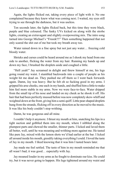Again, the lights flicked out, taking every piece of light with it. No one complained because they knew what was coming next. I waited, my eyes still trying to see through the darkness, but it was useless.

Ten seconds later, the lights flicked back, but this time they were black, purple and blue coloured. The funky UVs kicked on along with the strobe lights, creating an extravagant and slightly overpowering mix. The intro song turned into George Michael's "Freeek!!!" Then something happened that not only scared the shit out of me but took my breath away too.

Water rained down in a fine spray but not just any water… freezing cold bloody water.

Shrieks and curses could be heard around me as I shook my head from one side to another, flicking the water from my hair. Running my hands up and down my face, I brushed the droplets aside and coughed a little.

"Hell yeah!" Jay screamed in delight and threw himself at me, his legs going round my waist. I stumbled backwards into a couple of people as his weight hit me dead on. They pushed me off them so I went back forwards again. Damn, Jay was heavy. But he felt oh so fucking good in my arms. I gripped his arse cheeks, one each in my hands, and shuffled him a little to make him feel more stable in my arms. Now we were face-to-face. Water dripped from the small tip of his nose and landed on my cheek as he shook it off. His hair that had been perfectly mussed before was now completely skew-whiff and weighted down at the front, giving him a semi quiff. Little pear-shaped droplets hung from the strands, flicking off in every direction as he moved to the music. It was like his body couldn't stop writhing.

Damn, he was gorgeous and all mine.

I couldn't help it anymore. I thrust my mouth at him, snatching his lips in a tight suction and gobbled them into my mouth, where I nibbled along the plumpest parts and chewed the smaller, thinner parts. I licked and laved them all better, well, until he was moaning and writhing more against me. He tasted like pure Jay, mixed with the lemon shots we'd had earlier at the bar. I licked all around inside his mouth, greedily taking everything I could. I loved the taste of Jay in my mouth. I liked knowing that it was him I tasted hours later.

Jay made me feel settled. The taste of him in my mouth reminded me that all wasn't bad; it was good… especially with Jay.

Jay moaned louder in my arms as he fought to dominate our kiss. He could try, but it was never going to happen. His legs tightened around my waist and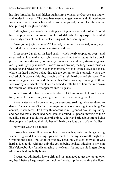his hips thrust harder and thicker against my stomach, as George sang higher and louder in our ears. The deep bass seemed to get heavier and vibrated more in our ear drums. I swear from where we were joined, I could feel the intense beat pulsing through our bodies.

Pulling back, we were both panting, sucking in needed gulps of air. I could have happily carried on kissing him; he tasted delish. As Jay gasped, he smiled sheepishly down at me, his cheeks filling with blossoming red.

"Are you enjoying yourself?" I asked, or more like shouted, as my eyes flicked all over his water- and sweat-covered face.

In response, Jay threw his head back—which nearly toppled us over—and screamed out loud to the music, his voice scratching the lyrics, as his hard cock pressed into my stomach, continually moving up and down, stroking against me. I guess I got my answer? His arms waved around, the long flexed muscles bunching and releasing with each movement. My eyes drifted down his chest, where his hard nipples poked through the cotton, to his stomach, where the soaked cloth stuck to his abs, showing off a tight hard-worked six pack. The more he wiggled and moved, the more his T-shirt rode up showing off those lick-worthy abs, which were tanned and had a little trail of hair that ran down the middle of them and disappeared into his jeans.

What I wouldn't have given to be able to let him go and lick his treasure trail, and at the same time, seeing where it went and licking that too.

More water rained down on us, on everyone, soaking whoever dared to dance. The water wasn't a fine mist anymore, it was a downright drenching. On contact, it splattered like heavy thunderous rain. I glanced around, squinting and noticed that a space had been created around us, people moving to their own little group. I could see under the pink, yellow and bright blue strobe lights that people had striped their clothes off, baring various parts of their bodies.

Now that wasn't a bad idea.

Easing Jay down till he was on his feet—which splashed in the gathering water—I ignored his pouting lips and reached for my soaked-through top. Gripping the back, I pulled it up over my head, only to stop halfway. It was hard as fuck to do, with not only the cotton being soaked, sticking to my skin like Velcro, but Jay found it amusing to tickle my ribs and run his fingers along till he reached my belly button.

I squealed, admittedly like a girl, and just managed to get the top up over my head before I squirmed too much and ended up face-planting the floor.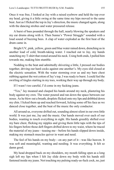Once it was free, I looked at Jay with a raised eyebrow and held the top over my head, giving it a little swing at the same time my hips moved to the same beat. Just as I flicked the top in Jay's direction, the music changed again, along with the dancing strobes and water pressured release.

A burst of bass pounded through the hall, nearly blowing the speakers and my ear drums along with it. Then Sunna's "Power Struggle" sounded with a loud sound of buzzing bees. A clap of water exploded as the first beat of the drum came in.

Bright UV, pink, yellow, green and blue water rained down, drenching us in another load of cold, breath-taking water. I reached out to Jay, my hands snatching my T-shirt that rested around his neck. Using both ends, I pulled him towards me, making him stumble.

Nodding to the beat and admittedly shivering a little, I pressed our bodies together, driving our hard cocks against one another's. My eyes slid closed at the electric sensation. With the water storming over us and my bare chest rubbing against the wet cotton of Jay's top, I was ready to burst. I could feel the swirling of tingles starting in my toes, working their way up through my body.

If I wasn't too careful, I'd come in my fucking jeans.

"Yes," Jay moaned and clasped his hands around my neck, plastering his body against my own. The water poured and ran down the space between our noses. As he blew out a breath, droplets flicked onto my lips and dribbled down my chin. I licked them up and reached forward, licking some off his face as we danced close together, and the beat of the music the only conductor.

All around us, everyone drifted out, sounding almost silent in our own little world. It was just me, Jay and the music. Our hands moved over each of our bodies, wanting to touch everything in sight. His hands greedily shifted over my bare chest, flicking my nipples and giving them little taps with the tips of his fingers before those deft fingers drifted down to my waist, where he traced the material of my jeans—teasing me—before his hands slipped down inside, making my stomach muscles quiver in want and need.

The feel of his hands on my body—on any part of it—was like heaven. It was soft and meaningful, wanting and needing. It was everything. It felt so damn good.

My head dropped back on my shoulders, my mouth falling open as a long sigh left my lips when I felt Jay slide down my body with his hands still fastened inside my jeans. Not touching my pulsing ready-as-fuck cock, no, just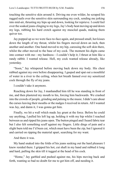touching the sensitive skin around it. Driving me even wilder, he scraped his ragged nails over the sensitive skin surrounding my cock, sending me jerking into mid-air, thrusting my hips up and down, looking for reprieve. I could feel over the soaked jeans clinging to my legs, Jay's body heat moving up and down my legs, rubbing his hard crotch against my muscled quads, making them quiver too.

Jay popped up so we were face-to-face again, and pressed small, hot kisses down the length of my throat, whilst his fingers moved down an inch, then another and another. One hand moved to my hip, caressing the soft skin there, whilst the other moved to the base of my cock. The moment his digits came into contact with me—my hardness—I couldn't help it; I thrust at him like a randy rabbit. I wanted release. Hell, my cock wanted release already, like yesterday.

"Soon," Jay whispered before moving back down my body. His chest rubbed against my own before disappearing. I gasped and spat out a mouthful of water in a river to the ceiling, when hot breath fanned over my sensitized cock through the fly of my jeans.

I couldn't take it anymore.

Reaching down for Jay, I manhandled him till he was standing in front of me, and then plastered my mouth to his, forcing him backwards. We crashed into the crowds of people, grinding and pulsing to the music. I didn't care about the curses leaving their mouths or the nudges I received in return. All I wanted was Jay, and damn it, I was gonna get him.

Finally, we hit a wall which made Jay grunt at the force. Before he could say anything, I pulled his left leg up, holding it with my hip whilst I reached between us and ripped his jeans open. The button pinged and I heard fabric tear but I also felt something scuff against my fingers. Little dings of pain and a slight burn told me I'd been cut, which must have been the zip, but I ignored it and carried on ripping the material apart, searching for my want.

And there it was.

My hand snaked into the folds of his jeans seeking out the hard pleasure I knew resided there. I gripped his hot, cut shaft in my hand and rubbed it long and hard, pulling the skin till it tugged at the head of his cock.

"Home," Jay garbled and pushed against me, his hips moving back and forth, wanting so bad no doubt for me to get him off, and needing it.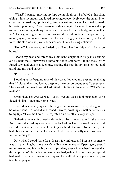"What?" I panted, moving my lips down his throat. I nibbled at his skin, taking it into my mouth and laved my tongue repetitively over the small, bitesized lumps, soaking up his salty, tangy sweat and water. I wanted to mark him—in a good way of course—over and over again. I wanted him to wake up tomorrow morning with my bite-shaped marks all over his body, knowing that we'd had a good night. I moved on down and sucked his Adam's apple into my mouth, again, laving my tongue over the sharp ridge, back and forth, back and forth. His skin was hot, wet and tasted absolutely fucking delicious.

"Home," Jay repeated and tried to still my hand on his cock. "Let's go home"

I shook my head and forced my other hand deeper into his jeans, seeking out his balls that I knew were tight to his hot-as-shit body. I found the slightly furred sack and gave it a deep tug, making the man in my arms cry out and grind into my hand harder.

"Please, Rudi."

Stopping at the begging tone of his voice, I opened my eyes not realising that I'd closed them and looked deep into the most gorgeous eyes I'd ever seen. The eyes of the man I was, if I admitted it, falling in love with. "What's the matter?"

Jay blinked. His eyes were still lusted over and dazed-looking though, as he licked his lips. "Take me home, Rudi."

I sucked in a breath, my eyes flicking between his green orbs, asking him if he was serious. He nodded and leaned forward, brushing a small butterfly kiss to my lips. "Take me home," he repeated on a breathy, shaky whisper.

Gathering my wanting need and shoving it back down again, I pulled away from him and wiped my mouth with the back of my hand. I closed my eyes and sucked in a few deep breaths. I had to get a hold of myself. Never in my life had I been so turned on that I'd wanted to do that, especially not to someone I felt something for.

Only when I stood there for at least a few minutes did I realise the music was still pumping, but there wasn't really any other sound. Opening my eyes, I turned around and felt my brows pop up and my eyes widen when I noticed that the people who'd been dancing around us, had gathered in one huge group and had made a half circle around me, Jay and the wall I'd been just about ready to take him up against.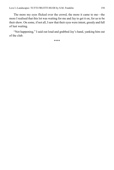The more my eyes flicked over the crowd, the more it came to me—the more I realised that this lot was waiting for me and Jay to get it on, for us to be their show. On some, if not all, I saw that their eyes were intent, greedy and full of lust waiting.

"Not happening," I said out loud and grabbed Jay's hand, yanking him out of the club.

\*\*\*\*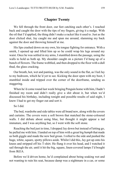### **Chapter Twenty**

We fell through the front door, our feet catching each other's. I reached back and caught the door with the tips of my fingers, giving it a nudge. With the oil that I'd applied, the thing didn't make a racket like it used to. Just as the door clicked shut, Jay caught me and spun me around, slamming my back against the door and throwing himself at me.

His lips crashed down on my own, his tongue fighting for entrance. With a smirk, I opened up and lifted him up so he could wrap his legs around my waist. Once he was settled in my arms, I stumbled down the passage, using the walls to hold us both up. My shoulder caught on a picture I'd hung up of a bunch of flowers. The frame wobbled, and then dropped to the floor with a dull thud, the glass cracking.

Our breath, hot, wet and panting, was the only sound in the flat, as I led Jay to my bedroom, which he'd yet to see. Kicking the door open with my boot, I stumbled inside and tripped over the corner of the doorframe, sending us staggering.

When he'd come round last week bringing Penguin home with him, I hadn't finished my room and didn't really give a shit about it, but when we'd discussed his birthday, including tonight and possible results of said night, I knew I had to get my finger out and sort it.

So I did.

The bed, wardrobe and side tables were all brand new, along with the covers and curtains. The covers were a soft brown that matched the stone-coloured walls. I did debate about using blue, but thought it might appear a tad immature, and I was anything but, so I went with the soft stone.

Reaching the bed just in time, I dropped Jay down but instead of letting go, he pulled me with him. I landed on top of him with a great big *humph* that made us both giggle and made the new bed groan. I rolled to the side and pushed the huge, white, square, spotty pillows aside. Whilst I did this, Jay got up onto his knees and stripped off his T-shirt. He flung it over his head, and I watched it sail through the air, until it hit the big, square, linen-covered lamps I'd bought from IKEA.

Before we'd driven home, he'd complained about being soaking wet and not wanting to ruin his seat, because damp was a nightmare in a car, or some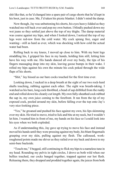shit like that, so he'd changed into a spare pair of cargo shorts that he'd kept in his boot, just in case. Me, I'd taken his picnic blanket. I didn't mind the damp.

Now though, Jay was unbuttoning his shorts, his eyes heavy-lidded as they watched me roll back over and pop my own button. I blindly pushed down my wet jeans so they settled just above the top of my thighs. The damp material was coarse against my hips, and when I looked down, I noticed the top of my legs were red-raw from the cold water. My cock sprang free, eager and wanting—still as hard as ever, which was shocking with how cold the actual water had been

Rolling back to my knees, I moved up close to him. With my bent legs straddling his, I gripped his face in my hands, holding him still, letting him have his way with me. His hands danced all over my body, the tips of his fingers massaging deep into my skin, leaving goose bumps in their wake. I rolled my hips against his own the minute his cock poked through the wide flaps of his shorts.

"Shit," Jay hissed as our bare cocks touched for the first time ever.

Looking down, I sucked in a deep breath at the sight of our two rock-hard shafts touching, rubbing against each other. The sight was breath-taking. I watched as his bare, long cock throbbed, a bead of sap dribbled from the ruddy end and rolled down his cleanly cut length. My own fully-sheathed cock rubbed the sap in, my own juice coming to the forefront. It ran from the tip of my exposed cock, pooled around my skin, before falling over the top onto Jay's very nice-looking piece.

"Yes," he groaned and pushed his face against my own, his lips skimming over my skin. He tried to move, tried to lick and bite at my neck, but I wouldn't let him. I wanted him in front of me, my hands on his face so I could look into his eyes when we both exploded.

As if understanding this, Jay gave up trying to move his face and instead moved his hands until they were pressing against my body, his blunt fingernails grasping over my skin, pulling against my flesh. The calloused, workroughened points made me shiver as they railed over my back and down to my semi-bare backside.

"Touch me," I begged, still continuing to flick my hips to a nameless tune in my head. Rounding my pelvis in tight circles, I drove us both wild when our bellies touched, our cocks banged together, trapped against our hot flesh. Releasing them, they dropped and prodded together again, the juices from both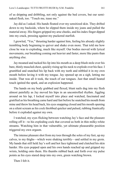of us dripping and dribbling, not only against the bed covers, but our seminaked flesh, too. "Touch me, tease me."

Jay did as I asked. His hands floated over my sensitized skin. They drifted down to my backside, where he slipped them inside my jeans and pulled the material away. His fingers gripped my arse cheeks, and his index finger dipped into my crack, pressing against my puckered starfish.

I growled, "Yes," thrusting harder against him, feeling his already slightly trembling body beginning to quiver and shake even more. That told me how close he was to exploding, much like myself. Our bodies moved with lyrical movements, our breathing coming out heavier and faster, more like pants than anything else.

Jay moaned and tucked his lip into his mouth as a deep blush stole over his bare, thinly muscled chest, quickly rising up his neck to explode over his face. I grumbled and snatched his lip back with my teeth and nibbled it in my own mouth before laving it with my tongue. Jay opened up on a sigh, letting me inside. That was all it took, the touch of our tongues. Just that small heated touch ignited the spark, and an explosion happened.

The hands on my body grabbed and flexed, blunt nails dug into my flesh almost painfully as Jay moved his hips in an uncontrolled rhythm. Jiggling around on his lap, I locked myself into place and watched, fascinated and gratified as his breathing came hard and fast before he snatched his mouth from mine and threw his head back, his eyes snapping closed and his mouth opening on a silent scream as his cock throbbed quicker and pulsed, rubbing frantically before it exploded against my own.

I watched, my eyes flicking between watching Jay's face and the pleasure rolling off it—to his exploding cock that covered us both in thin milky-white streams. Watching him in that vulnerable, yet ultimate pleasurable position triggered my own orgasm.

The intense pleasure shot from my toes through the soles of my feet, up my calves, to my thighs—which were shaking terribly—and settled in my groin. My hands that still held Jay's soft and hot face tightened and clutched his skin harder. His eyes popped open and his own hands reached up and gripped my wrists, holding onto them. His thumbs rubbed back and forth over my pulse points as his eyes stared deep into my own, green watching brown.

Then I felt it.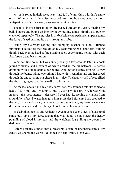My balls rolled in their sack, heavy and full of cum. Cum with Jay's name on it. Whimpering little noises escaped my mouth; encouraged by Jay's whispering words, his steady eyes never leaving mine.

The most intense orgasm of my life pushed through my groin, making my balls bounce and bound up into my body, pulling almost tightly. My pucker clenched repeatedly. The muscles in my backside clamped and cramped against the force of seed pushing its way through my tube.

Using Jay's already cooling and clumping essence as lube, I rubbed furiously. I could feel the foreskin on my cock rolling back and forth, pulling tightly back over the head before pushing back, covering my helmet with each fast forward and back motion.

What felt like hours, but was only probably a few seconds later, my cock jerked violently and a stream of white arced in the air between us before dropping with a splat against our bodies. Another one came, forcing its way through my being, taking everything I had with it. Another and another arced through the air, covering our chests in my juice. The heavy smell of seed filled the air, stringing out another small strip from me.

As the last one left me, my body convulsed. My stomach felt like someone had a fist in my gut, twisting it, but it wasn't with pain. No, it was with intense—the most intense—pleasure I'd ever had. Loosening my hands from around Jay's face, I leaned in to give him a soft kiss before my body dropped to the bed, shaken and sweaty. My breath came out in pants; my heart beat ten to a dozen in my chest and my rib cage hurt from the heavy pressure.

We'd both gotten off and we hadn't even touched each other. I felt a stupid smile pull up on my face. Damn that was good. I could hear the heavy pounding of blood in my ears and the weighted fog pulling me down into darkness that loomed.

Before I finally slipped into a pleasurable state of unconsciousness, Jay gently whispered the words I'd longed to hear: "Rudi, I love you."

# **The End**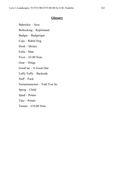#### **Glossary**

Bahookie – Arse Bollocking – Reprimand Budgie – Budgerigar Cujo – Rabid Dog Dosh – Money Fella – Man Fiver  $-$  £5.00 Note Gear – Drugs Good'un – A Good One Laffy Taffy – Backside Naff – Fuck Nernernenerner – Told You So Sprog – Child Spud – Potato Tato – Potato Tenner – £10.00 Note